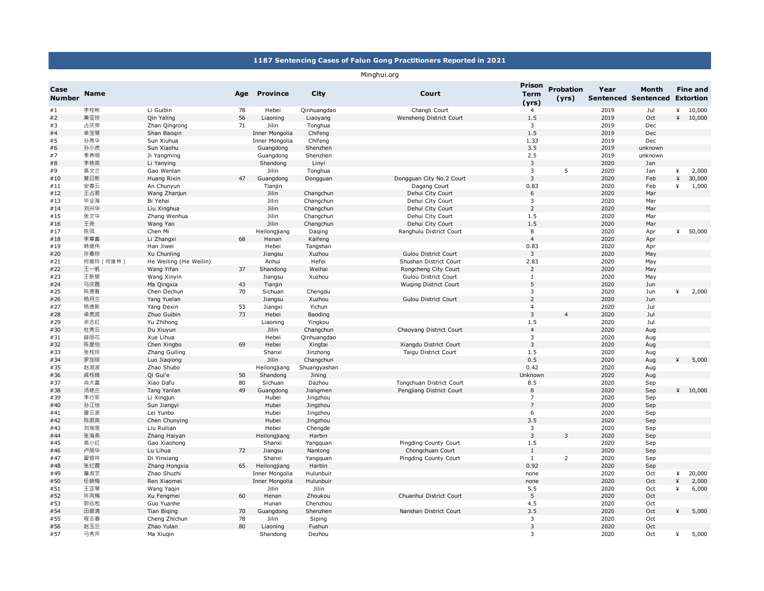## **1187 Sentencing Cases of Falun Gong Practitioners Reported in 2021**

## Minghui.org

| Case<br><b>Number</b> | <b>Name</b> |                        | Age | <b>Province</b> | City         | Court                        | <b>Prison</b><br><b>Term</b><br>(yrs) | <b>Probation</b><br>(yrs) | Year<br><b>Sentenced Sentenced</b> | Month   |   | <b>Fine and</b><br><b>Extortion</b> |
|-----------------------|-------------|------------------------|-----|-----------------|--------------|------------------------------|---------------------------------------|---------------------------|------------------------------------|---------|---|-------------------------------------|
| #1                    | 李桂彬         | Li Guibin              | 78  | Hebei           | Qinhuangdao  | Changli Court                | $\overline{4}$                        |                           | 2019                               | Jul     | ¥ | 10,000                              |
| #2                    | 秦亚玲         | Qin Yaling             | 56  | Liaoning        | Liaoyang     | Wensheng District Court      | 1.5                                   |                           | 2019                               | Oct     |   | 410,000                             |
| #3                    | 占庆荣         | Zhan Qingrong          | 71  | Jilin           | Tonghua      |                              | 3                                     |                           | 2019                               | Dec     |   |                                     |
| #4                    | 单宝琴         | Shan Baogin            |     | Inner Mongolia  | Chifeng      |                              | 1.5                                   |                           | 2019                               | Dec     |   |                                     |
| #5                    | 孙秀华         | Sun Xiuhua             |     | Inner Mongolia  | Chifeng      |                              | 1.33                                  |                           | 2019                               | Dec     |   |                                     |
| #6                    | 孙小虎         | Sun Xiaohu             |     | Guangdong       | Shenzhen     |                              | 3.5                                   |                           | 2019                               | unknown |   |                                     |
| #7                    | 季养明         | Ji Yangming            |     | Guangdong       | Shenzhen     |                              | 2.5                                   |                           | 2019                               | unknown |   |                                     |
| $\#8$                 | 李艳英         | Li Yanying             |     | Shandong        | Linyi        |                              | 3                                     |                           | 2020                               | Jan     |   |                                     |
| #9                    | 高文兰         | Gao Wenlan             |     | Jilin           | Tonghua      |                              | 3                                     | 5                         | 2020                               | Jan     | ¥ | 2,000                               |
| #10                   | 黄日新         | Huang Rixin            | 47  | Guangdong       | Dongguan     | Dongguan City No.2 Court     | $\mathsf 3$                           |                           | 2020                               | Feb     | ¥ | 30,000                              |
| #11                   | 安春云         | An Chunyun             |     | Tianjin         |              | Dagang Court                 | 0.83                                  |                           | 2020                               | Feb     | ¥ | 1,000                               |
| #12                   | 王占君         | Wang Zhanjun           |     | Jilin           | Changchun    | Dehui City Court             | 6                                     |                           | 2020                               | Mar     |   |                                     |
| #13                   | 毕业海         | Bi Yehai               |     | Jilin           | Changchun    | Dehui City Court             | 3                                     |                           | 2020                               | Mar     |   |                                     |
| #14                   | 刘兴华         | Liu Xinghua            |     | Jilin           | Changchun    | Dehui City Court             | $\overline{2}$                        |                           | 2020                               | Mar     |   |                                     |
| #15                   | 张文华         | Zhang Wenhua           |     | Jilin           | Changchun    | Dehui City Court             | 1.5                                   |                           | 2020                               | Mar     |   |                                     |
| #16                   | 王尧          | Wang Yao               |     | Jilin           | Changchun    | Dehui City Court             | 1.5                                   |                           | 2020                               | Mar     |   |                                     |
| #17                   | 陈弭          | Chen Mi                |     | Heilongjiang    | Daging       | Ranghulu District Court      | 8                                     |                           | 2020                               | Apr     | ¥ | 50,000                              |
| #18                   | 李章喜         | Li Zhangxi             | 68  | Henan           | Kaifeng      |                              | $\overline{4}$                        |                           | 2020                               | Apr     |   |                                     |
| #19                   | 韩继伟         | Han Jiwei              |     | Hebei           | Tangshan     |                              | 0.83                                  |                           | 2020                               | Apr     |   |                                     |
| #20                   | 许春玲         | Xu Chunling            |     | Jiangsu         | Xuzhou       | <b>Gulou District Court</b>  | 3                                     |                           | 2020                               | May     |   |                                     |
| #21                   | 何维玲 (何维林)   | He Weiling (He Weilin) |     | Anhui           | Hefei        | Shushan District Court       | 2.83                                  |                           | 2020                               | May     |   |                                     |
| #22                   | 王一帆         | Wang Yifan             | 37  | Shandong        | Weihai       | Rongcheng City Court         | $\overline{2}$                        |                           | 2020                               | May     |   |                                     |
| #23                   | 王新银         | Wang Xinyin            |     | Jiangsu         | Xuzhou       | <b>Gulou District Court</b>  | $\mathbf{1}$                          |                           | 2020                               | May     |   |                                     |
| #24                   | 马庆霞         | Ma Qingxia             | 43  | Tianjin         |              | <b>Wuqing District Court</b> | 5                                     |                           | 2020                               | Jun     |   |                                     |
| #25                   | 陈德春         | Chen Dechun            | 70  | Sichuan         | Chengdu      |                              | 3                                     |                           | 2020                               | Jun     | ¥ | 2,000                               |
| #26                   | 杨月兰         | Yang Yuelan            |     | Jiangsu         | Xuzhou       | <b>Gulou District Court</b>  | $\overline{2}$                        |                           | 2020                               | Jun     |   |                                     |
| #27                   | 杨德新         | Yang Dexin             | 53  | Jiangxi         | Yichun       |                              | $\overline{4}$                        |                           | 2020                               | Jul     |   |                                     |
| #28                   | 卓贵宾         | Zhuo Guibin            | 73  | Hebei           | Baoding      |                              | $\mathsf 3$                           |                           | 2020                               | Jul     |   |                                     |
| #29                   | 余志红         | Yu Zhihong             |     | Liaoning        | Yingkou      |                              | 1.5                                   |                           | 2020                               | Jul     |   |                                     |
| #30                   | 杜秀云         | Du Xiuyun              |     | Jilin           | Changchun    | Chaoyang District Court      | $\overline{4}$                        |                           | 2020                               | Aug     |   |                                     |
| #31                   | 薛丽花         | Xue Lihua              |     | Hebei           | Qinhuangdao  |                              | 3                                     |                           | 2020                               | Aug     |   |                                     |
| #32                   | 陈星伯         | Chen Xingbo            | 69  | Hebei           | Xingtai      | Xiangdu District Court       | 3                                     |                           | 2020                               | Aug     |   |                                     |
| #33                   | 张桂玲         | Zhang Guiling          |     | Shanxi          | Jinzhong     | Taigu District Court         | 1.5                                   |                           | 2020                               | Aug     |   |                                     |
| #34                   | 罗加琼         | Luo Jiagiong           |     | Jilin           | Changchun    |                              | 0.5                                   |                           | 2020                               | Aug     | ¥ | 5,000                               |
| #35                   | 赵淑波         | Zhao Shubo             |     | Heilongjiang    | Shuangyashan |                              | 0.42                                  |                           | 2020                               | Aug     |   |                                     |
| #36                   | 戚桂娥         | Qi Gui'e               | 50  | Shandong        | Jining       |                              | Unknowr                               |                           | 2020                               | Aug     |   |                                     |
| #37                   | 肖大富         | Xiao Dafu              | 80  | Sichuan         | Dazhou       | Tongchuan District Court     | 8.5                                   |                           | 2020                               | Sep     |   |                                     |
| #38                   | 汤艳兰         | Tang Yanlan            | 49  | Guangdong       | Jiangmen     | Pengjiang District Court     | 8                                     |                           | 2020                               | Sep     |   | 410,000                             |
| #39                   | 李行军         | Li Xingjun             |     | Hubei           | Jingzhou     |                              | $\overline{7}$                        |                           | 2020                               | Sep     |   |                                     |
| #40                   | 孙江怡         | Sun Jiangyi            |     | Hubei           | Jingzhou     |                              | $\overline{7}$                        |                           | 2020                               | Sep     |   |                                     |
| #41                   | 雷云波         | Lei Yunbo              |     | Hubei           | Jingzhou     |                              | 6                                     |                           | 2020                               | Sep     |   |                                     |
| #42                   | 陈顺英         | Chen Chunying          |     | Hubei           | Jingzhou     |                              | 3.5                                   |                           | 2020                               | Sep     |   |                                     |
| #43                   | 刘瑞莲         | Liu Ruilian            |     | Hebei           | Chengde      |                              | 3                                     |                           | 2020                               | Sep     |   |                                     |
| #44                   | 张海燕         | Zhang Haiyan           |     | Heilongjiang    | Harbin       |                              | 3                                     | 3                         | 2020                               | Sep     |   |                                     |
| #45                   | 高小红         | Gao Xiaohong           |     | Shanxi          | Yangquan     | Pingding County Court        | 1.5                                   |                           | 2020                               | Sep     |   |                                     |
| #46                   | 卢丽华         | Lu Lihua               | 72  | Jiangsu         | Nantong      | Chongchuan Court             | $\mathbf{1}$                          |                           | 2020                               | Sep     |   |                                     |
| #47                   | 翟银祥         | Di Yinxiang            |     | Shanxi          | Yangquan     | Pingding County Court        | $\mathbf{1}$                          | $\overline{2}$            | 2020                               | Sep     |   |                                     |
| #48                   | 张红霞         | Zhang Hongxia          | 65  | Heilongjiang    | Harbin       |                              | 0.92                                  |                           | 2020                               | Sep     |   |                                     |
| #49                   | 肇淑芝         | Zhao Shuzhi            |     | Inner Mongolia  | Hulunbuir    |                              | none                                  |                           | 2020                               | Oct     | ¥ | 20,000                              |
| #50                   | 任晓梅         | Ren Xiaomei            |     | Inner Mongolia  | Hulunbuir    |                              | none                                  |                           | 2020                               | Oct     | ¥ | 2,000                               |
| #51                   | 王亚琴         | Wang Yaqin             |     | Jilin           | Jilin        |                              | 5.5                                   |                           | 2020                               | Oct     | ¥ | 6,000                               |
| #52                   | 许凤梅         | Xu Fengmei             | 60  | Henan           | Zhoukou      | Chuanhui District Court      | 5                                     |                           | 2020                               | Oct     |   |                                     |
| #53                   | 郭远和         | Guo Yuanhe             |     | Hunan           | Chenzhou     |                              | 4.5                                   |                           | 2020                               | Oct     |   |                                     |
| #54                   | 田碧清         | <b>Tian Biging</b>     | 70  | Guangdong       | Shenzhen     | Nanshan District Court       | 3.5                                   |                           | 2020                               | Oct     | ¥ | 5,000                               |
| #55                   | 程志春         | Cheng Zhichun          | 78  | Jilin           | Siping       |                              | 3                                     |                           | 2020                               | Oct     |   |                                     |
| #56                   | 赵玉兰         | Zhao Yulan             | 80  | Liaoning        | Fushun       |                              | $\overline{3}$                        |                           | 2020                               | Oct     |   |                                     |
| #57                   | 马秀芹         | Ma Xiugin              |     | Shandong        | Dezhou       |                              | 3                                     |                           | 2020                               | Oct     | ¥ | 5,000                               |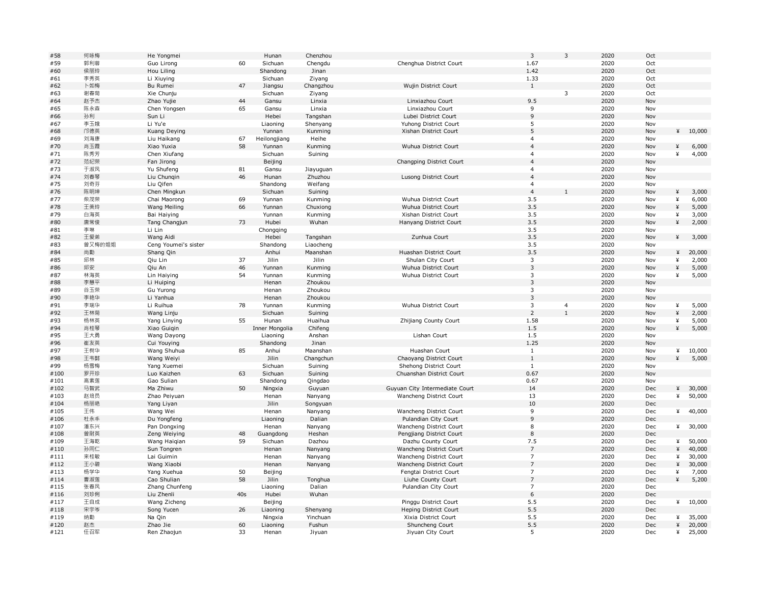| #58  | 何咏梅    | He Yongmei           |     | Hunan          | Chenzhou  |                                | $\overline{\mathbf{3}}$      | $\overline{3}$ | 2020 | Oct |        |         |
|------|--------|----------------------|-----|----------------|-----------|--------------------------------|------------------------------|----------------|------|-----|--------|---------|
| #59  | 郭利蓉    | Guo Lirong           | 60  | Sichuan        | Chengdu   | Chenghua District Court        | 1.67                         |                | 2020 | Oct |        |         |
| #60  | 侯丽玲    | Hou Liling           |     | Shandong       | Jinan     |                                | 1.42                         |                | 2020 | Oct |        |         |
| #61  | 李秀英    | Li Xiuying           |     | Sichuan        | Ziyang    |                                | 1.33                         |                | 2020 | Oct |        |         |
| #62  | 卜如梅    | Bu Rumei             | 47  | Jiangsu        | Changzhou | Wujin District Court           | $\mathbf{1}$                 |                | 2020 | Oct |        |         |
| #63  | 谢春菊    | Xie Chunju           |     | Sichuan        | Ziyang    |                                |                              | 3              | 2020 | Oct |        |         |
| #64  | 赵予杰    | Zhao Yujie           | 44  | Gansu          | Linxia    | Linxiazhou Court               | 9.5                          |                | 2020 | Nov |        |         |
| #65  | 陈永森    | Chen Yongsen         | 65  | Gansu          | Linxia    | Linxiazhou Court               | 9                            |                | 2020 | Nov |        |         |
| #66  | 孙利     | Sun Li               |     | Hebei          | Tangshan  | Lubei District Court           | $\mathsf 9$                  |                | 2020 | Nov |        |         |
| #67  | 李玉娥    | Li Yu'e              |     | Liaoning       | Shenyang  | Yuhong District Court          | 5                            |                | 2020 | Nov |        |         |
| #68  | 邝德英    | Kuang Deying         |     | Yunnan         | Kunming   | Xishan District Court          | 5                            |                | 2020 | Nov |        | 410,000 |
| #69  | 刘海康    | Liu Haikang          | 67  | Heilongjiang   | Heihe     |                                | $\overline{4}$               |                | 2020 | Nov |        |         |
| #70  | 肖玉霞    | Xiao Yuxia           | 58  | Yunnan         | Kunming   | Wuhua District Court           | $\overline{4}$               |                | 2020 | Nov | ¥      | 6,000   |
| #71  | 陈秀芳    | Chen Xiufang         |     | Sichuan        | Suining   |                                | $\overline{4}$               |                | 2020 | Nov | ¥      | 4,000   |
| #72  | 范纪荣    | Fan Jirong           |     | Beijing        |           | Changping District Court       | $\overline{4}$               |                | 2020 | Nov |        |         |
| #73  | 于淑凤    |                      |     |                |           |                                | $\overline{4}$               |                | 2020 |     |        |         |
|      |        | Yu Shufeng           | 81  | Gansu          | Jiayuquan |                                | $\overline{4}$               |                |      | Nov |        |         |
| #74  | 刘春琴    | Liu Chungin          | 46  | Hunan          | Zhuzhou   | Lusong District Court          |                              |                | 2020 | Nov |        |         |
| #75  | 刘奇芬    | Liu Qifen            |     | Shandong       | Weifang   |                                | $\overline{4}$               |                | 2020 | Nov |        |         |
| #76  | 陈明坤    | Chen Mingkun         |     | Sichuan        | Suining   |                                | $\overline{4}$               |                | 2020 | Nov | ¥      | 3,000   |
| #77  | 柴茂荣    | Chai Maorong         | 69  | Yunnan         | Kunming   | Wuhua District Court           | 3.5                          |                | 2020 | Nov | ¥      | 6,000   |
| #78  | 王美玲    | Wang Meiling         | 66  | Yunnan         | Chuxiong  | Wuhua District Court           | 3.5                          |                | 2020 | Nov | ¥      | 5,000   |
| #79  | 白海英    | Bai Haiying          |     | Yunnan         | Kunming   | Xishan District Court          | 3.5                          |                | 2020 | Nov | ¥      | 3,000   |
| #80  | 唐常俊    | Tang Changjun        | 73  | Hubei          | Wuhan     | Hanyang District Court         | 3.5                          |                | 2020 | Nov | ¥      | 2,000   |
| #81  | 李琳     | Li Lin               |     | Chongqing      |           |                                | 3.5                          |                | 2020 | Nov |        |         |
| #82  | 王爱弟    | Wang Aidi            |     | Hebei          | Tangshan  | Zunhua Court                   | 3.5                          |                | 2020 | Nov | ¥      | 3,000   |
| #83  | 曾又梅的姐姐 | Ceng Youmei's sister |     | Shandong       | Liaocheng |                                | 3.5                          |                | 2020 | Nov |        |         |
| #84  | 尚勤     | Shang Qin            |     | Anhui          | Maanshan  | Huashan District Court         | 3.5                          |                | 2020 | Nov | ¥      | 20,000  |
| #85  | 邱林     | Qiu Lin              | 37  | Jilin          | Jilin     | Shulan City Court              | $\mathsf 3$                  |                | 2020 | Nov | ¥      | 2,000   |
| #86  | 邱安     | Qiu An               | 46  | Yunnan         | Kunming   | Wuhua District Court           | $\mathbf{3}$                 |                | 2020 | Nov | ¥      | 5,000   |
| #87  | 林海英    | Lin Haiying          | 54  | Yunnan         | Kunming   | Wuhua District Court           | 3                            |                | 2020 | Nov | ¥      | 5,000   |
| #88  | 李慧平    | Li Huiping           |     | Henan          | Zhoukou   |                                | $\overline{3}$               |                | 2020 | Nov |        |         |
| #89  | 谷玉荣    | Gu Yurong            |     | Henan          | Zhoukou   |                                | $\overline{3}$               |                | 2020 | Nov |        |         |
| #90  | 李艳华    | Li Yanhua            |     | Henan          | Zhoukou   |                                | $\mathbf{3}$                 |                | 2020 | Nov |        |         |
| #91  | 李瑞华    | Li Ruihua            | 78  | Yunnan         | Kunming   | Wuhua District Court           | 3                            | $\overline{a}$ | 2020 | Nov | ¥      | 5,000   |
| #92  | 王林菊    | Wang Linju           |     | Sichuan        | Suining   |                                | $\overline{2}$               | $\mathbf{1}$   | 2020 | Nov | ¥      | 2,000   |
| #93  | 杨林英    | Yang Linying         | 55  | Hunan          | Huaihua   | Zhijiang County Court          | 1.58                         |                | 2020 | Nov | ¥      | 5,000   |
| #94  | 肖桂琴    | Xiao Guigin          |     | Inner Mongolia | Chifeng   |                                | 1.5                          |                | 2020 | Nov | ¥      | 5,000   |
| #95  | 王大勇    | Wang Dayong          |     | Liaoning       | Anshan    | Lishan Court                   | 1.5                          |                | 2020 | Nov |        |         |
| #96  | 崔友英    | Cui Youying          |     | Shandong       | Jinan     |                                | 1.25                         |                | 2020 | Nov |        |         |
|      | 王树华    |                      | 85  |                |           |                                |                              |                | 2020 |     |        | 10,000  |
| #97  |        | Wang Shuhua          |     | Anhui          | Maanshan  | Huashan Court                  | $\mathbf{1}$<br>$\mathbf{1}$ |                | 2020 | Nov | ¥<br>¥ |         |
| #98  | 王韦懿    | Wang Weiyi           |     | Jilin          | Changchun | Chaoyang District Court        |                              |                |      | Nov |        | 5,000   |
| #99  | 杨雪梅    | Yang Xuemei          |     | Sichuan        | Suining   | Shehong District Court         | $\mathbf{1}$                 |                | 2020 | Nov |        |         |
| #100 | 罗开珍    | Luo Kaizhen          | 63  | Sichuan        | Suining   | Chuanshan District Court       | 0.67                         |                | 2020 | Nov |        |         |
| #101 | 高素莲    | Gao Sulian           |     | Shandong       | Qingdao   |                                | 0.67                         |                | 2020 | Nov |        |         |
| #102 | 马智武    | Ma Zhiwu             | 50  | Ningxia        | Guyuan    | Guyuan City Intermediate Court | 14                           |                | 2020 | Dec | ¥      | 30,000  |
| #103 | 赵培员    | Zhao Peiyuan         |     | Henan          | Nanyang   | Wancheng District Court        | 13                           |                | 2020 | Dec | ¥      | 50,000  |
| #104 | 杨丽艳    | Yang Liyan           |     | Jilin          | Songyuan  |                                | 10                           |                | 2020 | Dec |        |         |
| #105 | 王伟     | Wang Wei             |     | Henan          | Nanyang   | Wancheng District Court        | 9                            |                | 2020 | Dec | ¥      | 40,000  |
| #106 | 杜永丰    | Du Yongfeng          |     | Liaoning       | Dalian    | Pulandian City Court           | 9                            |                | 2020 | Dec |        |         |
| #107 | 潘东兴    | Pan Dongxing         |     | Henan          | Nanyang   | Wancheng District Court        | 8                            |                | 2020 | Dec | ¥      | 30,000  |
| #108 | 曾尉英    | Zeng Weiying         | 48  | Guangdong      | Heshan    | Pengjiang District Court       | $\,8\,$                      |                | 2020 | Dec |        |         |
| #109 | 王海乾    | Wang Haiqian         | 59  | Sichuan        | Dazhou    | Dazhu County Court             | 7.5                          |                | 2020 | Dec | ¥      | 50,000  |
| #110 | 孙同仁    | Sun Tongren          |     | Henan          | Nanyang   | Wancheng District Court        | $\overline{7}$               |                | 2020 | Dec | ¥      | 40,000  |
| #111 | 来桂敏    | Lai Guimin           |     | Henan          | Nanyang   | Wancheng District Court        | 7                            |                | 2020 | Dec | ¥      | 30,000  |
| #112 | 王小碧    | Wang Xiaobi          |     | Henan          | Nanyang   | Wancheng District Court        | $\overline{7}$               |                | 2020 | Dec | ¥      | 30,000  |
| #113 | 杨学华    | Yang Xuehua          | 50  | Beijing        |           | Fengtai District Court         | $\overline{7}$               |                | 2020 | Dec | ¥      | 7,000   |
| #114 | 曹淑莲    | Cao Shulian          | 58  | Jilin          | Tonghua   | Liuhe County Court             | $\overline{7}$               |                | 2020 | Dec | ¥      | 5,200   |
| #115 | 张春凤    | Zhang Chunfeng       |     | Liaoning       | Dalian    | Pulandian City Court           | 7                            |                | 2020 | Dec |        |         |
| #116 | 刘珍俐    | Liu Zhenli           | 40s | Hubei          | Wuhan     |                                | $\boldsymbol{6}$             |                | 2020 | Dec |        |         |
| #117 | 王自成    | Wang Zicheng         |     | Beijing        |           | Pinggu District Court          | 5.5                          |                | 2020 | Dec | ¥      | 10,000  |
| #118 | 宋宇岑    | Song Yucen           | 26  | Liaoning       | Shenyang  | Heping District Court          | 5.5                          |                | 2020 | Dec |        |         |
| #119 | 纳勤     | Na Qin               |     | Ningxia        | Yinchuan  | Xixia District Court           | 5.5                          |                | 2020 | Dec | ¥      | 35,000  |
| #120 | 赵杰     | Zhao Jie             | 60  | Liaoning       | Fushun    | Shuncheng Court                | 5.5                          |                | 2020 | Dec | ¥      | 20,000  |
|      |        | Ren Zhaojun          | 33  | Henan          | Jiyuan    | Jiyuan City Court              | 5                            |                | 2020 | Dec | ¥      | 25,000  |
| #121 | 任召军    |                      |     |                |           |                                |                              |                |      |     |        |         |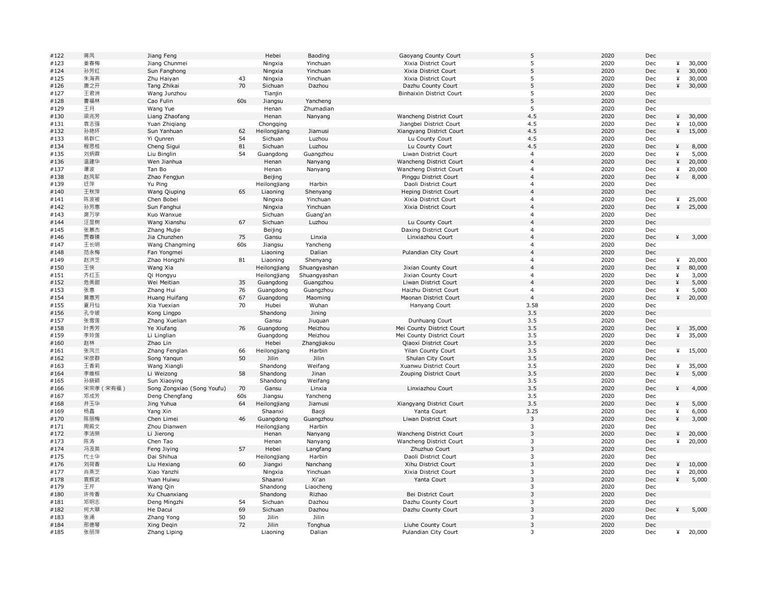| #122 | 蒋凤        | Jiang Feng                 |     | Hebei        | Baoding      | Gaoyang County Court      | 5              | 2020 | Dec |             |        |
|------|-----------|----------------------------|-----|--------------|--------------|---------------------------|----------------|------|-----|-------------|--------|
| #123 | 姜春梅       | Jiang Chunmei              |     | Ningxia      | Yinchuan     | Xixia District Court      | 5              | 2020 | Dec | ¥           | 30,000 |
| #124 | 孙芳红       | Sun Fanghong               |     | Ningxia      | Yinchuan     | Xixia District Court      | 5              | 2020 | Dec | $\mathbf x$ | 30,000 |
| #125 | 朱海燕       | Zhu Haiyan                 | 43  | Ningxia      | Yinchuan     | Xixia District Court      | 5              | 2020 | Dec | ¥           | 30,000 |
| #126 | 唐之开       | Tang Zhikai                | 70  | Sichuan      | Dazhou       | Dazhu County Court        | 5              | 2020 | Dec | ¥           | 30,000 |
| #127 | 王君洲       | Wang Junzhou               |     | Tianjin      |              | Binhaixin District Court  | 5              | 2020 | Dec |             |        |
| #128 | 曹福林       | Cao Fulin                  | 60s | Jiangsu      | Yancheng     |                           | 5              | 2020 | Dec |             |        |
| #129 | 王月        | Wang Yue                   |     | Henan        | Zhumadian    |                           | 5              | 2020 | Dec |             |        |
| #130 | 梁兆芳       | Liang Zhaofang             |     | Henan        | Nanyang      | Wancheng District Court   | 4.5            | 2020 | Dec | ¥           | 30,000 |
| #131 | 袁志强       | Yuan Zhiqiang              |     | Chongqing    |              | Jiangbei District Court   | 4.5            | 2020 | Dec | ¥           | 10,000 |
| #132 | 孙艳环       | Sun Yanhuan                | 62  | Heilongjiang | Jiamusi      | Xiangyang District Court  | 4.5            | 2020 | Dec | ¥           | 15,000 |
|      |           |                            |     |              |              |                           |                |      |     |             |        |
| #133 | 易群仁       | Yi Qunren                  | 54  | Sichuan      | Luzhou       | Lu County Court           | 4.5            | 2020 | Dec |             |        |
| #134 | 程思桂       | Cheng Sigui                | 81  | Sichuan      | Luzhou       | Lu County Court           | 4.5            | 2020 | Dec | ¥           | 8,000  |
| #135 | 刘炳霖       | Liu Binglin                | 54  | Guangdong    | Guangzhou    | Liwan District Court      | $\overline{4}$ | 2020 | Dec | ¥           | 5,000  |
| #136 | 温建华       | Wen Jianhua                |     | Henan        | Nanyang      | Wancheng District Court   | $\overline{4}$ | 2020 | Dec | ¥           | 20,000 |
| #137 | 谭波        | Tan Bo                     |     | Henan        | Nanyang      | Wancheng District Court   | $\overline{4}$ | 2020 | Dec | ¥           | 20,000 |
| #138 | 赵凤军       | Zhao Fengjun               |     | Beijing      |              | Pinggu District Court     | $\overline{4}$ | 2020 | Dec | ¥           | 8,000  |
| #139 | 迂萍        | Yu Ping                    |     | Heilongjiang | Harbin       | Daoli District Court      | $\overline{4}$ | 2020 | Dec |             |        |
| #140 | 王秋萍       | Wang Qiuping               | 65  | Liaoning     | Shenyang     | Heping District Court     | $\overline{4}$ | 2020 | Dec |             |        |
| #141 | 陈波被       | Chen Bobei                 |     | Ningxia      | Yinchuan     | Xixia District Court      | $\overline{4}$ | 2020 | Dec | ¥           | 25,000 |
| #142 | 孙芳惠       | Sun Fanghui                |     | Ningxia      | Yinchuan     | Xixia District Court      | $\overline{4}$ | 2020 | Dec | ¥           | 25,000 |
| #143 | 庹万学       | Kuo Wanxue                 |     | Sichuan      | Guang'an     |                           | $\overline{4}$ | 2020 | Dec |             |        |
| #144 | 汪显树       | Wang Xianshu               | 67  | Sichuan      | Luzhou       | Lu County Court           | $\overline{4}$ | 2020 | Dec |             |        |
| #145 | 张慕杰       | Zhang Mujie                |     | Beijing      |              | Daxing District Court     | $\overline{4}$ | 2020 | Dec |             |        |
| #146 | 贾春臻       | Jia Chunzhen               | 75  | Gansu        | Linxia       | Linxiazhou Court          | $\overline{4}$ | 2020 | Dec | ¥           | 3,000  |
| #147 | 王长明       | Wang Changming             | 60s | Jiangsu      | Yancheng     |                           | $\overline{4}$ | 2020 | Dec |             |        |
| #148 | 范永梅       | Fan Yongmei                |     | Liaoning     | Dalian       | Pulandian City Court      | $\overline{4}$ | 2020 | Dec |             |        |
|      |           |                            |     |              |              |                           | $\overline{4}$ |      |     |             |        |
| #149 | 赵洪芝       | Zhao Hongzhi               | 81  | Liaoning     | Shenyang     |                           |                | 2020 | Dec | ¥           | 20,000 |
| #150 | 王侠        | Wang Xia                   |     | Heilongjiang | Shuangyashan | Jixian County Court       | $\overline{4}$ | 2020 | Dec | ¥           | 80,000 |
| #151 | 齐红玉       | Qi Hongyu                  |     | Heilongjiang | Shuangyashan | Jixian County Court       | $\overline{4}$ | 2020 | Dec | ¥           | 3,000  |
| #152 | 危美甜       | Wei Meitian                | 35  | Guangdong    | Guangzhou    | Liwan District Court      | $\overline{4}$ | 2020 | Dec | ¥           | 5,000  |
| #153 | 张惠        | Zhang Hui                  | 76  | Guangdong    | Guangzhou    | Haizhu District Court     | $\overline{4}$ | 2020 | Dec | ¥           | 5,000  |
| #154 | 黄惠芳       | Huang Huifang              | 67  | Guangdong    | Maoming      | Maonan District Court     | $\overline{4}$ | 2020 | Dec | ¥           | 20,000 |
| #155 | 夏月仙       | Xia Yuexian                | 70  | Hubei        | Wuhan        | Hanyang Court             | 3.58           | 2020 | Dec |             |        |
| #156 | 孔令坡       | Kong Lingpo                |     | Shandong     | Jining       |                           | 3.5            | 2020 | Dec |             |        |
| #157 | 张雪莲       | Zhang Xuelian              |     | Gansu        | Jiuquan      | Dunhuang Court            | 3.5            | 2020 | Dec |             |        |
| #158 | 叶秀芳       | Ye Xiufang                 | 76  | Guangdong    | Meizhou      | Mei County District Court | 3.5            | 2020 | Dec | ¥           | 35,000 |
| #159 | 李玲莲       | Li Linglian                |     | Guangdong    | Meizhou      | Mei County District Court | 3.5            | 2020 | Dec | ¥           | 35,000 |
| #160 | 赵林        | Zhao Lin                   |     | Hebei        | Zhangjiakou  | Qiaoxi District Court     | 3.5            | 2020 | Dec |             |        |
| #161 | 张凤兰       | Zhang Fenglan              | 66  | Heilongjiang | Harbin       | Yilan County Court        | 3.5            | 2020 | Dec | ¥           | 15,000 |
| #162 | 宋彦群       | Song Yangun                | 50  | Jilin        | Jilin        | Shulan City Court         | 3.5            | 2020 | Dec |             |        |
| #163 | 王香莉       | Wang Xiangli               |     | Shandong     | Weifang      | Xuanwu District Court     | 3.5            | 2020 | Dec | ¥           | 35,000 |
|      | 李维棕       |                            | 58  | Shandong     | Jinan        |                           | 3.5            | 2020 | Dec | ¥           |        |
| #164 |           | Li Weizong                 |     |              |              | Zouping District Court    |                |      |     |             | 5,000  |
| #165 | 孙晓颖       | Sun Xiaoying               |     | Shandong     | Weifang      |                           | 3.5            | 2020 | Dec |             |        |
| #166 | 宋宗孝 (宋有福) | Song Zongxiao (Song Youfu) | 70  | Gansu        | Linxia       | Linxiazhou Court          | 3.5            | 2020 | Dec | ¥           | 4,000  |
| #167 | 邓成芳       | Deng Chengfang             | 60s | Jiangsu      | Yancheng     |                           | 3.5            | 2020 | Dec |             |        |
| #168 | 井玉华       | Jing Yuhua                 | 64  | Heilongjiang | Jiamusi      | Xiangyang District Court  | 3.5            | 2020 | Dec | ¥           | 5,000  |
| #169 | 杨鑫        | Yang Xin                   |     | Shaanxi      | Baoji        | Yanta Court               | 3.25           | 2020 | Dec | ¥           | 6,000  |
| #170 | 陈丽梅       | Chen Limei                 | 46  | Guangdong    | Guangzhou    | Liwan District Court      | $\overline{3}$ | 2020 | Dec | ¥           | 3,000  |
| #171 | 周殿文       | Zhou Dianwen               |     | Heilongjiang | Harbin       |                           | $\mathbf{3}$   | 2020 | Dec |             |        |
| #172 | 李洁荣       | Li Jierong                 |     | Henan        | Nanyang      | Wancheng District Court   | $\overline{3}$ | 2020 | Dec | ¥           | 20,000 |
| #173 | 陈涛        | Chen Tao                   |     | Henan        | Nanyang      | Wancheng District Court   | 3              | 2020 | Dec | ¥           | 20,000 |
| #174 | 冯及英       | Feng Jiying                | 57  | Hebei        | Langfang     | Zhuzhuo Court             | $\overline{3}$ | 2020 | Dec |             |        |
| #175 | 代士华       | Dai Shihua                 |     | Heilongjiang | Harbin       | Daoli District Court      | $\mathbf{3}$   | 2020 | Dec |             |        |
| #176 | 刘荷香       | Liu Hexiang                | 60  | Jiangxi      | Nanchang     | Xihu District Court       | $\overline{3}$ | 2020 | Dec | ¥           | 10,000 |
| #177 | 肖燕芝       | Xiao Yanzhi                |     | Ningxia      | Yinchuan     | Xixia District Court      | $\overline{3}$ | 2020 | Dec | ¥           | 20,000 |
| #178 | 袁辉武       | Yuan Huiwu                 |     | Shaanxi      | Xi'an        | Yanta Court               | $\overline{3}$ | 2020 | Dec | ¥           | 5,000  |
| #179 | 王芹        | Wang Qin                   |     | Shandong     | Liaocheng    |                           | 3              | 2020 | Dec |             |        |
| #180 | 许传香       | Xu Chuanxiang              |     | Shandong     | Rizhao       | Bei District Court        | $\overline{3}$ | 2020 | Dec |             |        |
|      | 邓明志       |                            |     | Sichuan      | Dazhou       |                           | 3              | 2020 |     |             |        |
| #181 |           | Deng Mingzhi               | 54  |              |              | Dazhu County Court        | $\overline{3}$ |      | Dec |             |        |
| #182 | 何大翠       | He Dacui                   | 69  | Sichuan      | Dazhou       | Dazhu County Court        |                | 2020 | Dec | ¥           | 5,000  |
| #183 | 张涌        | Zhang Yong                 | 50  | Jilin        | Jilin        |                           | 3              | 2020 | Dec |             |        |
| #184 | 邢德琴       | Xing Deqin                 | 72  | Jilin        | Tonghua      | Liuhe County Court        | $\overline{3}$ | 2020 | Dec |             |        |
| #185 | 张丽萍       | Zhang Liping               |     | Liaoning     | Dalian       | Pulandian City Court      | $\overline{3}$ | 2020 | Dec | ¥           | 20,000 |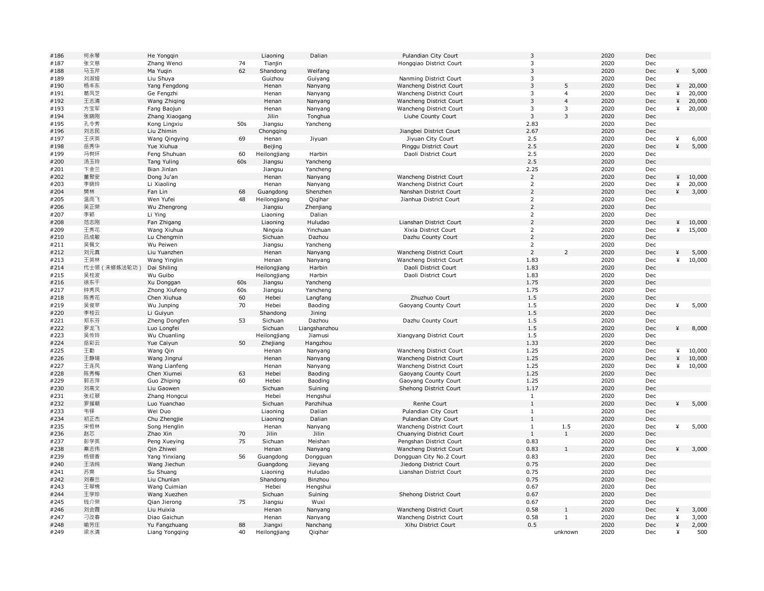| #186 | 何永琴          | He Yongqin                   |     | Liaoning         | Dalian              | Pulandian City Court                              | 3              |                          | 2020 | Dec |   |        |
|------|--------------|------------------------------|-----|------------------|---------------------|---------------------------------------------------|----------------|--------------------------|------|-----|---|--------|
| #187 | 张文慈          | Zhang Wenci                  | 74  | Tianjin          |                     | Hongqiao District Court                           | $\overline{3}$ |                          | 2020 | Dec |   |        |
| #188 | 马玉芹          | Ma Yugin                     | 62  | Shandong         | Weifang             |                                                   | $\overline{3}$ |                          | 2020 | Dec | ¥ | 5,000  |
| #189 | 刘淑娅          | Liu Shuya                    |     | Guizhou          | Guiyang             | Nanming District Court                            | $\mathbf{3}$   |                          | 2020 | Dec |   |        |
| #190 | 杨丰东          | Yang Fengdong                |     | Henan            | Nanyang             | Wancheng District Court                           | $\overline{3}$ | 5                        | 2020 | Dec | ¥ | 20,000 |
| #191 | 葛凤芝          | Ge Fengzhi                   |     | Henan            | Nanyang             | Wancheng District Court                           | $\overline{3}$ | $\overline{4}$           | 2020 | Dec | ¥ | 20,000 |
| #192 | 王志清          | Wang Zhiqing                 |     | Henan            | Nanyang             | Wancheng District Court                           | $\overline{3}$ | $\overline{4}$           | 2020 | Dec | ¥ | 20,000 |
| #193 | 方宝军          | Fang Baojun                  |     | Henan            | Nanyang             | Wancheng District Court                           | $\mathbf{3}$   | 3                        | 2020 | Dec | ¥ | 20,000 |
| #194 | 张晓刚          | Zhang Xiaogang               |     | Jilin            | Tonghua             | Liuhe County Court                                | $\overline{3}$ | $\overline{3}$           | 2020 | Dec |   |        |
| #195 | 孔令秀          | Kong Lingxiu                 | 50s | Jiangsu          | Yancheng            |                                                   | 2.83           |                          | 2020 | Dec |   |        |
| #196 | 刘志民          | Liu Zhimin                   |     | Chongqing        |                     | Jiangbei District Court                           | 2.67           |                          | 2020 | Dec |   |        |
| #197 | 王庆英          | Wang Qingying                | 69  | Henan            | Jiyuan              | Jiyuan City Court                                 | 2.5            |                          | 2020 | Dec | ¥ | 6,000  |
| #198 | 岳秀华          | Yue Xiuhua                   |     | Beijing          |                     | Pinggu District Court                             | 2.5            |                          | 2020 | Dec | ¥ | 5,000  |
| #199 | 冯树环          | Feng Shuhuan                 | 60  | Heilongjiang     | Harbin              | Daoli District Court                              | 2.5            |                          | 2020 | Dec |   |        |
| #200 | 汤玉玲          | Tang Yuling                  | 60s | Jiangsu          | Yancheng            |                                                   | 2.5            |                          | 2020 | Dec |   |        |
| #201 | 卞金兰          | Bian Jinlan                  |     | Jiangsu          | Yancheng            |                                                   | 2.25           |                          | 2020 | Dec |   |        |
| #202 | 董聚安          | Dong Ju'an                   |     | Henan            | Nanyang             | Wancheng District Court                           | $\overline{2}$ |                          | 2020 | Dec | ¥ | 10,000 |
| #203 | 李晓玲          | Li Xiaoling                  |     | Henan            | Nanyang             | Wancheng District Court                           | $\overline{2}$ |                          | 2020 | Dec | ¥ | 20,000 |
| #204 | 樊林           | Fan Lin                      | 68  | Guangdong        | Shenzhen            | Nanshan District Court                            | $\overline{2}$ |                          | 2020 | Dec | ¥ | 3,000  |
| #205 | 温雨飞          | Wen Yufei                    | 48  | Heilongjiang     | Qiqihar             | Jianhua District Court                            | $\overline{2}$ |                          | 2020 | Dec |   |        |
| #206 | 吴正荣          | Wu Zhengrong                 |     | Jiangsu          | Zhenjiang           |                                                   | $\overline{2}$ |                          | 2020 | Dec |   |        |
| #207 | 李颖           | Li Ying                      |     | Liaoning         | Dalian              |                                                   | $\overline{2}$ |                          | 2020 | Dec |   |        |
| #208 | 范志刚          | Fan Zhigang                  |     | Liaoning         | Huludao             | Lianshan District Court                           | $\overline{2}$ |                          | 2020 | Dec | ¥ | 10,000 |
| #209 | 王秀花          | Wang Xiuhua                  |     | Ningxia          | Yinchuan            | Xixia District Court                              | $\overline{2}$ |                          | 2020 | Dec | ¥ | 15,000 |
| #210 | 吕成敏          | Lu Chengmin                  |     | Sichuan          | Dazhou              | Dazhu County Court                                | $\overline{2}$ |                          | 2020 | Dec |   |        |
| #211 | 吴佩文          | Wu Peiwen                    |     | Jiangsu          | Yancheng            |                                                   | $\overline{2}$ |                          | 2020 | Dec |   |        |
| #212 | 刘元真          | Liu Yuanzhen                 |     | Henan            | Nanyang             | Wancheng District Court                           | $\overline{2}$ | $\overline{\phantom{0}}$ | 2020 | Dec | ¥ | 5,000  |
| #213 | 王英林          | Wang Yinglin                 |     | Henan            | Nanyang             | Wancheng District Court                           | 1.83           |                          | 2020 | Dec | ¥ | 10,000 |
| #214 | 代士领 (未修炼法轮功) | Dai Shiling                  |     | Heilongjiang     | Harbin              | Daoli District Court                              | 1.83           |                          | 2020 | Dec |   |        |
| #215 | 吴桂波          | Wu Guibo                     |     | Heilongjiang     | Harbin              | Daoli District Court                              | 1.83           |                          | 2020 | Dec |   |        |
| #216 | 徐东干          | Xu Donggan                   | 60s | Jiangsu          | Yancheng            |                                                   | 1.75           |                          | 2020 | Dec |   |        |
| #217 | 钟秀凤          | Zhong Xiufeng                | 60s | Jiangsu          | Yancheng            |                                                   | 1.75           |                          | 2020 | Dec |   |        |
| #218 | 陈秀花          | Chen Xiuhua                  | 60  | Hebei            | Langfang            | Zhuzhuo Court                                     | 1.5            |                          | 2020 | Dec |   |        |
| #219 | 吴俊苹          | Wu Junping                   | 70  | Hebei            | Baoding             | Gaoyang County Court                              | 1.5            |                          | 2020 | Dec | ¥ | 5,000  |
| #220 | 李桂云          | Li Guiyun                    |     | Shandong         | Jining              |                                                   | 1.5            |                          | 2020 | Dec |   |        |
| #221 | 郑东芬          | Zheng Dongfen                | 53  | Sichuan          | Dazhou              | Dazhu County Court                                | 1.5            |                          | 2020 | Dec |   |        |
| #222 | 罗龙飞          | Luo Longfei                  |     | Sichuan          | Liangshanzhou       |                                                   | 1.5            |                          | 2020 | Dec | ¥ | 8,000  |
| #223 | 吴传玲          | Wu Chuanling                 |     | Heilongjiang     | Jiamusi             | Xiangyang District Court                          | 1.5            |                          | 2020 | Dec |   |        |
| #224 | 岳彩云          | Yue Caiyun                   | 50  | Zhejiang         | Hangzhou            |                                                   | 1.33           |                          | 2020 | Dec |   |        |
| #225 | 王勤           | Wang Qin                     |     | Henan            | Nanyang             | Wancheng District Court                           | 1.25           |                          | 2020 | Dec | ¥ | 10,000 |
| #226 | 王静瑞          | Wang Jingrui                 |     | Henan            | Nanyang             | Wancheng District Court                           | 1.25           |                          | 2020 | Dec | ¥ | 10,000 |
| #227 | 王连凤          | Wang Lianfeng                |     | Henan            | Nanyang             | Wancheng District Court                           | 1.25           |                          | 2020 | Dec | ¥ | 10,000 |
| #228 | 陈秀梅          | Chen Xiumei                  | 63  | Hebei            | Baoding             | Gaoyang County Court                              | 1.25           |                          | 2020 | Dec |   |        |
| #229 | 郭志萍          | Guo Zhiping                  | 60  | Hebei            | Baoding             | Gaoyang County Court                              | 1.25           |                          | 2020 | Dec |   |        |
| #230 | 刘高文          | Liu Gaowen                   |     | Sichuan          | Suining             | Shehong District Court                            | 1.17           |                          | 2020 | Dec |   |        |
| #231 | 张红翠          | Zhang Hongcui                |     | Hebei            | Hengshui            |                                                   | $\mathbf{1}$   |                          | 2020 | Dec |   |        |
| #232 | 罗援朝          | Luo Yuanchao                 |     | Sichuan          | Panzhihua           | Renhe Court                                       | $\mathbf{1}$   |                          | 2020 | Dec | ¥ | 5,000  |
| #233 | 韦铎           | Wei Duo                      |     | Liaoning         | Dalian              | Pulandian City Court                              | $\mathbf{1}$   |                          | 2020 | Dec |   |        |
| #234 | 初正杰          | Chu Zhengjie                 |     | Liaoning         | Dalian              | Pulandian City Court                              | $\mathbf{1}$   |                          | 2020 | Dec |   |        |
| #235 | 宋恒林          | Song Henglin                 |     | Henan            | Nanyang             | Wancheng District Court                           | $\mathbf{1}$   | 1.5                      | 2020 | Dec | ¥ | 5,000  |
| #236 | 赵芯           | Zhao Xin                     | 70  | Jilin            | Jilin               | Chuanying District Court                          | $\mathbf{1}$   | $\mathbf{1}$             | 2020 | Dec |   |        |
| #237 | 彭学英          | Peng Xueying                 | 75  | Sichuan          | Meishan             | Pengshan District Court                           | 0.83           |                          | 2020 | Dec |   |        |
| #238 | 秦志伟          | Qin Zhiwei                   |     | Henan            | Nanyang             | Wancheng District Court                           | 0.83           | $\overline{1}$           | 2020 | Dec |   | 43,000 |
| #239 | 杨银香          | Yang Yinxiang                | 56  | Guangdong        | Dongguan            | Dongguan City No.2 Court                          | 0.83           |                          | 2020 | Dec |   |        |
| #240 | 王洁纯          |                              |     | Guangdong        |                     |                                                   | 0.75           |                          | 2020 | Dec |   |        |
| #241 | 苏爽           | Wang Jiechun<br>Su Shuang    |     | Liaoning         | Jieyang<br>Huludao  | Jiedong District Court<br>Lianshan District Court | 0.75           |                          | 2020 | Dec |   |        |
| #242 | 刘春兰          | Liu Chunlan                  |     | Shandong         | Binzhou             |                                                   | 0.75           |                          | 2020 | Dec |   |        |
| #243 | 王翠棉          | Wang Cuimian                 |     | Hebei            | Hengshui            |                                                   | 0.67           |                          | 2020 | Dec |   |        |
| #244 | 王学珍          |                              |     | Sichuan          |                     | Shehong District Court                            | 0.67           |                          | 2020 | Dec |   |        |
| #245 | 钱介荣          | Wang Xuezhen<br>Qian Jierong | 75  |                  | Suining<br>Wuxi     |                                                   | 0.67           |                          | 2020 | Dec |   |        |
| #246 | 刘会霞          | Liu Huixia                   |     | Jiangsu<br>Henan |                     | Wancheng District Court                           | 0.58           | $\mathbf{1}$             | 2020 | Dec | ¥ | 3,000  |
| #247 | 刁改春          |                              |     |                  | Nanyang             |                                                   |                | $\mathbf{1}$             | 2020 | Dec | ¥ | 3,000  |
| #248 | 喻芳庄          | Diao Gaichun                 | 88  | Henan<br>Jiangxi | Nanyang<br>Nanchang | Wancheng District Court<br>Xihu District Court    | 0.58<br>0.5    |                          | 2020 | Dec | ¥ |        |
|      |              | Yu Fangzhuang                |     |                  |                     |                                                   |                |                          |      |     | ¥ | 2,000  |
| #249 | 梁水清          | Liang Yongqing               | 40  | Heilongjiang     | Qiqihar             |                                                   |                | unknown                  | 2020 | Dec |   | 500    |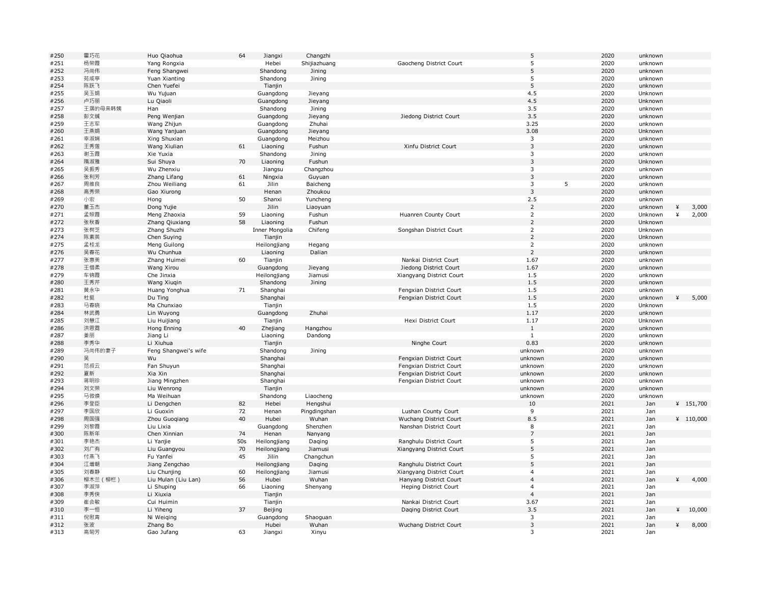| #250         | 霍巧花      | Huo Qiaohua          | 64  | Jiangxi        | Changzhi     |                          | 5                       | 2020 | unknown |   |            |
|--------------|----------|----------------------|-----|----------------|--------------|--------------------------|-------------------------|------|---------|---|------------|
| #251         | 杨荣霞      | Yang Rongxia         |     | Hebei          | Shijiazhuang | Gaocheng District Court  | 5                       | 2020 | unknown |   |            |
| #252         | 冯尚伟      | Feng Shangwei        |     | Shandong       | Jining       |                          | 5                       | 2020 | unknown |   |            |
| #253         | 苑咸亭      | Yuan Xianting        |     | Shandong       | Jining       |                          | 5                       | 2020 | unknown |   |            |
| #254         | 陈跃飞      | Chen Yuefei          |     | Tianjin        |              |                          | 5                       | 2020 | unknown |   |            |
| #255         | 吴玉娟      | Wu Yujuan            |     | Guangdong      | Jieyang      |                          | 4.5                     | 2020 | Unknown |   |            |
| #256         | 卢巧丽      | Lu Qiaoli            |     | Guangdong      | Jieyang      |                          | 4.5                     | 2020 | Unknown |   |            |
| #257         | 王潺的母亲韩姨  | Han                  |     | Shandong       | Jining       |                          | 3.5                     | 2020 | unknown |   |            |
| #258         | 彭文缄      | Peng Wenjian         |     | Guangdong      | Jieyang      | Jiedong District Court   | 3.5                     | 2020 | unknown |   |            |
| #259         | 王志军      | Wang Zhijun          |     | Guangdong      | Zhuhai       |                          | 3.25                    | 2020 | unknown |   |            |
| #260         | 王燕娟      | Wang Yanjuan         |     | Guangdong      | Jieyang      |                          | 3.08                    | 2020 | Unknown |   |            |
| #261         | 幸淑娴      | Xing Shuxian         |     | Guangdong      | Meizhou      |                          | 3                       | 2020 | unknown |   |            |
| #262         | 王秀莲      | Wang Xiulian         | 61  | Liaoning       | Fushun       | Xinfu District Court     | $\overline{3}$          | 2020 | unknown |   |            |
|              |          |                      |     |                |              |                          | 3                       | 2020 |         |   |            |
| #263<br>#264 | 谢玉霞      | Xie Yuxia            | 70  | Shandong       | Jining       |                          | $\overline{3}$          | 2020 | unknown |   |            |
|              | 隋淑雅      | Sui Shuya            |     | Liaoning       | Fushun       |                          |                         |      | Unknown |   |            |
| #265         | 吴振秀      | Wu Zhenxiu           |     | Jiangsu        | Changzhou    |                          | $\overline{\mathbf{3}}$ | 2020 | unknown |   |            |
| #266         | 张利芳      | Zhang Lifang         | 61  | Ningxia        | Guyuan       |                          | $\overline{3}$          | 2020 | unknown |   |            |
| #267         | 周维良      | Zhou Weiliang        | 61  | Jilin          | Baicheng     |                          | 3<br>5                  | 2020 | unknown |   |            |
| #268         | 高秀荣      | Gao Xiurong          |     | Henan          | Zhoukou      |                          | $\overline{\mathbf{3}}$ | 2020 | unknown |   |            |
| #269         | 小宏       | Hong                 | 50  | Shanxi         | Yuncheng     |                          | 2.5                     | 2020 | unknown |   |            |
| #270         | 董玉杰      | Dong Yujie           |     | Jilin          | Liaoyuan     |                          | $\overline{2}$          | 2020 | unknown | ¥ | 3,000      |
| #271         | 孟照霞      | Meng Zhaoxia         | 59  | Liaoning       | Fushun       | Huanren County Court     | $\overline{2}$          | 2020 | Unknown | ¥ | 2,000      |
| #272         | 张秋香      | Zhang Qiuxiang       | 58  | Liaoning       | Fushun       |                          | $\overline{2}$          | 2020 | Unknown |   |            |
| #273         | 张树芝      | Zhang Shuzhi         |     | Inner Mongolia | Chifeng      | Songshan District Court  | $\overline{2}$          | 2020 | Unknown |   |            |
| #274         | 陈素英      | Chen Suying          |     | Tianjin        |              |                          | $\overline{2}$          | 2020 | Unknown |   |            |
| #275         | 孟桂龙      | Meng Guilong         |     | Heilongjiang   | Hegang       |                          | $\overline{2}$          | 2020 | unknown |   |            |
| #276         | 吴春花      | Wu Chunhua           |     | Liaoning       | Dalian       |                          | $\overline{2}$          | 2020 | unknown |   |            |
| #277         | 张惠美      | Zhang Huimei         | 60  | Tianjin        |              | Nankai District Court    | 1.67                    | 2020 | unknown |   |            |
| #278         | 王惜柔      | Wang Xirou           |     | Guangdong      | Jieyang      | Jiedong District Court   | 1.67                    | 2020 | unknown |   |            |
| #279         | 车锦霞      | Che Jinxia           |     | Heilongjiang   | Jiamusi      | Xiangyang District Court | 1.5                     | 2020 | unknown |   |            |
| #280         | 王秀芹      | Wang Xiugin          |     | Shandong       | Jining       |                          | 1.5                     | 2020 | unknown |   |            |
| #281         | 黄永华      | Huang Yonghua        | 71  | Shanghai       |              | Fengxian District Court  | 1.5                     | 2020 | unknown |   |            |
| #282         | 杜挺       | Du Ting              |     | Shanghai       |              | Fengxian District Court  | 1.5                     | 2020 | unknown | ¥ | 5,000      |
| #283         | 马春晓      | Ma Chunxiao          |     | Tianjin        |              |                          | 1.5                     | 2020 | Unknown |   |            |
| #284         | 林武勇      | Lin Wuyong           |     | Guangdong      | Zhuhai       |                          | 1.17                    | 2020 | unknown |   |            |
| #285         | 刘慧江      | Liu Huijiang         |     | Tianjin        |              | Hexi District Court      | 1.17                    | 2020 | Unknown |   |            |
| #286         | 洪恩霓      | Hong Enning          | 40  | Zhejiang       | Hangzhou     |                          | 1                       | 2020 | unknown |   |            |
| #287         | 姜丽       | Jiang Li             |     | Liaoning       | Dandong      |                          | $\mathbf{1}$            | 2020 | unknown |   |            |
|              | 李秀华      | Li Xiuhua            |     | Tianjin        |              |                          | 0.83                    | 2020 |         |   |            |
| #288         |          |                      |     |                |              | Ninghe Court             |                         |      | unknown |   |            |
| #289         | 冯尚伟的妻子   | Feng Shangwei's wife |     | Shandong       | Jining       |                          | unknown                 | 2020 | unknown |   |            |
| #290         | 룾        | Wu                   |     | Shanghai       |              | Fengxian District Court  | unknown                 | 2020 | unknown |   |            |
| #291         | 范叔云      | Fan Shuyun           |     | Shanghai       |              | Fengxian District Court  | unknown                 | 2020 | unknown |   |            |
| #292         | 夏新       | Xia Xin              |     | Shanghai       |              | Fengxian District Court  | unknown                 | 2020 | unknown |   |            |
| #293         | 蒋明珍      | Jiang Mingzhen       |     | Shanghai       |              | Fengxian District Court  | unknown                 | 2020 | unknown |   |            |
| #294         | 刘文荣      | Liu Wenrong          |     | Tianjin        |              |                          | unknown                 | 2020 | unknown |   |            |
| #295         | 马微焕      | Ma Weihuan           |     | Shandong       | Liaocheng    |                          | unknown                 | 2020 | unknown |   |            |
| #296         | 李登臣      | Li Dengchen          | 82  | Hebei          | Hengshui     |                          | $10\,$                  | 2021 | Jan     |   | ¥ 151,700  |
| #297         | 李国欣      | Li Guoxin            | 72  | Henan          | Pingdingshan | Lushan County Court      | 9                       | 2021 | Jan     |   |            |
| #298         | 周国强      | Zhou Guogiang        | 40  | Hubei          | Wuhan        | Wuchang District Court   | 8.5                     | 2021 | Jan     |   | 4110,000   |
| #299         | 刘黎霞      | Liu Lixia            |     | Guangdong      | Shenzhen     | Nanshan District Court   | 8                       | 2021 | Jan     |   |            |
| #300         | 陈新年      | Chen Xinnian         | 74  | Henan          | Nanyang      |                          | $\overline{7}$          | 2021 | Jan     |   |            |
| #301         | 李艳杰      | Li Yanjie            | 50s | Heilongjiang   | Daging       | Ranghulu District Court  | 5                       | 2021 | Jan     |   |            |
| #302         | 刘广有      | Liu Guangyou         | 70  | Heilongjiang   | Jiamusi      | Xiangyang District Court | 5                       | 2021 | Jan     |   |            |
| #303         | 付燕飞      | Fu Yanfei            | 45  | Jilin          | Changchun    |                          | 5                       | 2021 | Jan     |   |            |
| #304         | 江增朝      | Jiang Zengchao       |     | Heilongjiang   | Daging       | Ranghulu District Court  | 5                       | 2021 | Jan     |   |            |
| #305         | 刘春静      | Liu Chunjing         | 60  | Heilongjiang   | Jiamusi      | Xiangyang District Court | $\overline{4}$          | 2021 | Jan     |   |            |
| #306         | 柳木兰 (柳栏) | Liu Mulan (Liu Lan)  | 56  | Hubei          | Wuhan        | Hanyang District Court   | $\overline{4}$          | 2021 | Jan     | ¥ | 4,000      |
| #307         | 李淑萍      | Li Shuping           | 66  | Liaoning       | Shenyang     | Heping District Court    | $\overline{4}$          | 2021 | Jan     |   |            |
| #308         | 李秀侠      | Li Xiuxia            |     | Tianjin        |              |                          | $\overline{4}$          | 2021 | Jan     |   |            |
| #309         | 崔会敏      | Cui Huimin           |     | Tianjin        |              | Nankai District Court    | 3.67                    | 2021 | Jan     |   |            |
| #310         | 李一恒      | Li Yiheng            | 37  | Beijing        |              | Daging District Court    | 3.5                     | 2021 | Jan     |   | $*$ 10,000 |
| #311         | 倪慰青      | Ni Weiging           |     | Guangdong      | Shaoguan     |                          | $\overline{\mathbf{3}}$ | 2021 | Jan     |   |            |
| #312         | 张波       | Zhang Bo             |     | Hubei          | Wuhan        | Wuchang District Court   | $\overline{3}$          | 2021 | Jan     | ¥ | 8,000      |
| #313         | 高菊芳      | Gao Jufang           | 63  | Jiangxi        | Xinyu        |                          | 3                       | 2021 | Jan     |   |            |
|              |          |                      |     |                |              |                          |                         |      |         |   |            |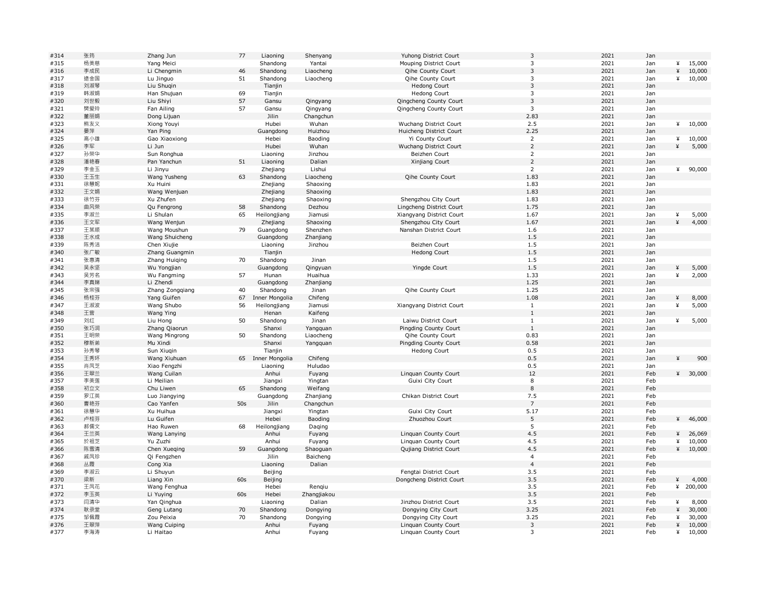| #314 | 张筠  | Zhang Jun                | 77              | Liaoning          | Shenyang              | Yuhong District Court    | 3                       | 2021 | Jan |   |         |
|------|-----|--------------------------|-----------------|-------------------|-----------------------|--------------------------|-------------------------|------|-----|---|---------|
| #315 | 杨美慈 | Yang Meici               |                 | Shandong          | Yantai                | Mouping District Court   | $\overline{\mathbf{3}}$ | 2021 | Jan | ¥ | 15,000  |
| #316 | 李成民 | Li Chengmin              | 46              | Shandong          | Liaocheng             | Qihe County Court        | $\overline{3}$          | 2021 | Jan | ¥ | 10,000  |
| #317 | 逯金国 | Lu Jinguo                | 51              | Shandong          | Liaocheng             | Qihe County Court        | $\mathbf{3}$            | 2021 | Jan | ¥ | 10,000  |
| #318 | 刘淑琴 | Liu Shuqin               |                 | Tianjin           |                       | Hedong Court             | $\overline{3}$          | 2021 | Jan |   |         |
| #319 | 韩淑娟 | Han Shujuan              | 69              | Tianjin           |                       | <b>Hedong Court</b>      | 3                       | 2021 | Jan |   |         |
| #320 | 刘世毅 | Liu Shiyi                | 57              | Gansu             | Qingyang              | Qingcheng County Court   | $\mathbf{3}$            | 2021 | Jan |   |         |
| #321 | 樊爱玲 | Fan Ailing               | 57              | Gansu             | Qingyang              | Qingcheng County Court   | $\mathbf{3}$            | 2021 | Jan |   |         |
| #322 | 董丽娟 | Dong Lijuan              |                 | Jilin             | Changchun             |                          | 2.83                    | 2021 | Jan |   |         |
| #323 | 熊友义 | Xiong Youyi              |                 | Hubei             | Wuhan                 | Wuchang District Court   | 2.5                     | 2021 | Jan | ¥ | 10,000  |
| #324 | 晏萍  | Yan Ping                 |                 | Guangdong         | Huizhou               | Huicheng District Court  | 2.25                    | 2021 | Jan |   |         |
| #325 | 高小雄 | Gao Xiaoxiong            |                 | Hebei             | Baoding               | Yi County Court          | $\overline{2}$          | 2021 | Jan | ¥ | 10,000  |
| #326 | 李军  | Li Jun                   |                 | Hubei             | Wuhan                 | Wuchang District Court   | $\overline{2}$          | 2021 | Jan | ¥ | 5,000   |
| #327 | 孙荣华 | Sun Ronghua              |                 | Liaoning          | Jinzhou               | Beizhen Court            | $\overline{2}$          | 2021 | Jan |   |         |
| #328 | 潘艳春 | Pan Yanchun              | 51              | Liaoning          | Dalian                | Xinjiang Court           | $\overline{2}$          | 2021 | Jan |   |         |
| #329 | 李金玉 | Li Jinyu                 |                 | Zhejiang          | Lishui                |                          | $\overline{2}$          | 2021 | Jan | ¥ | 90,000  |
| #330 | 王玉生 | Wang Yusheng             | 63              | Shandong          | Liaocheng             | Qihe County Court        | 1.83                    | 2021 | Jan |   |         |
| #331 | 徐慧妮 | Xu Huini                 |                 | Zhejiang          |                       |                          | 1.83                    | 2021 | Jan |   |         |
|      |     |                          |                 |                   | Shaoxing              |                          |                         |      |     |   |         |
| #332 | 王文娟 | Wang Wenjuan             |                 | Zhejiang          | Shaoxing              |                          | 1.83                    | 2021 | Jan |   |         |
| #333 | 徐竹芬 | Xu Zhufen                |                 | Zhejiang          | Shaoxing              | Shengzhou City Court     | 1.83                    | 2021 | Jan |   |         |
| #334 | 曲风荣 | Qu Fengrong              | 58              | Shandong          | Dezhou                | Lingcheng District Court | 1.75                    | 2021 | Jan |   |         |
| #335 | 李淑兰 | Li Shulan                | 65              | Heilongjiang      | Jiamusi               | Xiangyang District Court | 1.67                    | 2021 | Jan | ¥ | 5,000   |
| #336 | 王文军 | Wang Wenjun              |                 | Zhejiang          | Shaoxing              | Shengzhou City Court     | 1.67                    | 2021 | Jan | ¥ | 4,000   |
| #337 | 王某顺 | Wang Moushun             | 79              | Guangdong         | Shenzhen              | Nanshan District Court   | 1.6                     | 2021 | Jan |   |         |
| #338 | 王水成 | Wang Shuicheng           |                 | Guangdong         | Zhanjiang             |                          | 1.5                     | 2021 | Jan |   |         |
| #339 | 陈秀洁 | Chen Xiujie              |                 | Liaoning          | Jinzhou               | Beizhen Court            | 1.5                     | 2021 | Jan |   |         |
| #340 | 张广敏 | Zhang Guangmin           |                 | Tianjin           |                       | <b>Hedong Court</b>      | 1.5                     | 2021 | Jan |   |         |
| #341 | 张惠清 | Zhang Huiging            | 70              | Shandong          | Jinan                 |                          | 1.5                     | 2021 | Jan |   |         |
| #342 | 吴永坚 | Wu Yongjian              |                 | Guangdong         | Qingyuan              | Yingde Court             | 1.5                     | 2021 | Jan | ¥ | 5,000   |
| #343 | 吴芳名 | Wu Fangming              | 57              | Hunan             | Huaihua               |                          | 1.33                    | 2021 | Jan | ¥ | 2,000   |
| #344 | 李真娣 | Li Zhendi                |                 | Guangdong         | Zhanjiang             |                          | 1.25                    | 2021 | Jan |   |         |
| #345 | 张宗强 | Zhang Zongqiang          | 40              | Shandong          | Jinan                 | Qihe County Court        | 1.25                    | 2021 | Jan |   |         |
| #346 | 杨桂芬 | Yang Guifen              | 67              | Inner Mongolia    | Chifeng               |                          | 1.08                    | 2021 | Jan | ¥ | 8,000   |
| #347 | 王淑波 | Wang Shubo               | 56              | Heilongjiang      | Jiamusi               | Xiangyang District Court | 1                       | 2021 | Jan | ¥ | 5,000   |
| #348 | 王营  | Wang Ying                |                 | Henan             | Kaifeng               |                          | $\mathbf{1}$            | 2021 | Jan |   |         |
| #349 | 刘红  | Liu Hong                 | 50              | Shandong          | Jinan                 | Laiwu District Court     | $1\,$                   | 2021 | Jan | ¥ | 5,000   |
| #350 | 张巧润 | Zhang Qiaorun            |                 | Shanxi            | Yangquan              | Pingding County Court    | $\mathbf{1}$            | 2021 | Jan |   |         |
| #351 | 王明荣 | Wang Mingrong            | 50              | Shandong          | Liaocheng             | Qihe County Court        | 0.83                    | 2021 | Jan |   |         |
| #352 | 穆新弟 | Mu Xindi                 |                 | Shanxi            | Yangquan              | Pingding County Court    | 0.58                    | 2021 | Jan |   |         |
| #353 | 孙秀琴 | Sun Xiuqin               |                 | Tianjin           |                       | <b>Hedong Court</b>      | 0.5                     | 2021 | Jan |   |         |
| #354 | 王秀环 | Wang Xiuhuan             |                 | 65 Inner Mongolia | Chifeng               |                          | 0.5                     | 2021 | Jan | ¥ | 900     |
| #355 | 肖凤芝 | Xiao Fengzhi             |                 | Liaoning          | Huludao               |                          | 0.5                     | 2021 | Jan |   |         |
| #356 | 王翠兰 | Wang Cuilan              |                 | Anhui             | Fuyang                | Linguan County Court     | 12                      | 2021 | Feb | ¥ | 30,000  |
| #357 | 李美莲 | Li Meilian               |                 | Jiangxi           | Yingtan               | Guixi City Court         | 8                       | 2021 | Feb |   |         |
| #358 | 初立文 | Chu Liwen                | 65              | Shandong          | Weifang               |                          | 8                       | 2021 | Feb |   |         |
| #359 | 罗江英 | Luo Jiangying            |                 | Guangdong         | Zhanjiang             | Chikan District Court    | 7.5                     | 2021 | Feb |   |         |
| #360 | 曹艳芬 | Cao Yanfen               | 50 <sub>s</sub> | Jilin             | Changchun             |                          | $\overline{7}$          | 2021 | Feb |   |         |
| #361 | 徐慧华 | Xu Huihua                |                 | Jiangxi           | Yingtan               | Guixi City Court         | 5.17                    | 2021 | Feb |   |         |
| #362 | 卢桂芬 | Lu Guifen                |                 | Hebei             | Baoding               | Zhuozhou Court           | 5                       | 2021 | Feb | ¥ | 46,000  |
| #363 | 郝儒文 | Hao Ruwen                | 68              | Heilongjiang      | Daging                |                          | 5                       | 2021 | Feb |   |         |
| #364 | 王兰英 | Wang Lanying             |                 | Anhui             | Fuyang                | Linguan County Court     | 4.5                     | 2021 | Feb | ¥ | 26,069  |
| #365 | 於祖芝 | Yu Zuzhi                 |                 | Anhui             | Fuyang                | Linguan County Court     | 4.5                     | 2021 | Feb | ¥ | 10,000  |
| #366 | 陈雪清 | Chen Xueqing             | 59              | Guangdong         | Shaoguan              | Qujiang District Court   | 4.5                     | 2021 | Feb |   | 410,000 |
| #367 | 戚凤珍 | Qi Fengzhen              |                 | Jilin             | Baicheng              |                          | $\overline{4}$          | 2021 | Feb |   |         |
| #368 | 丛霞  | Cong Xia                 |                 | Liaoning          | Dalian                |                          | $\overline{4}$          | 2021 | Feb |   |         |
| #369 | 李淑云 | Li Shuyun                |                 | Beijing           |                       | Fengtai District Court   | 3.5                     | 2021 | Feb |   |         |
| #370 | 梁新  | Liang Xin                | 60s             | Beijing           |                       | Dongcheng District Court | 3.5                     | 2021 | Feb | ¥ | 4,000   |
| #371 | 王凤花 | Wang Fenghua             |                 | Hebei             | Rengiu                |                          | 3.5                     | 2021 | Feb | ¥ | 200,000 |
| #372 | 李玉英 |                          | 60s             | Hebei             |                       |                          | 3.5                     | 2021 | Feb |   |         |
| #373 | 闫清华 | Li Yuying<br>Yan Qinghua |                 | Liaoning          | Zhangjiakou<br>Dalian | Jinzhou District Court   | 3.5                     | 2021 | Feb | ¥ | 8,000   |
| #374 | 耿录堂 |                          |                 |                   |                       |                          | 3.25                    | 2021 | Feb | ¥ |         |
|      |     | Geng Lutang              | 70              | Shandong          | Dongying              | Dongying City Court      |                         |      |     |   | 30,000  |
| #375 | 邹佩霞 | Zou Peixia               | 70              | Shandong          | Dongying              | Dongying City Court      | 3.25                    | 2021 | Feb | ¥ | 30,000  |
| #376 | 王翠萍 | Wang Cuiping             |                 | Anhui             | Fuyang                | Linguan County Court     | $\overline{3}$          | 2021 | Feb | ¥ | 10,000  |
| #377 | 李海涛 | Li Haitao                |                 | Anhui             | Fuyang                | Linguan County Court     | 3                       | 2021 | Feb | ¥ | 10,000  |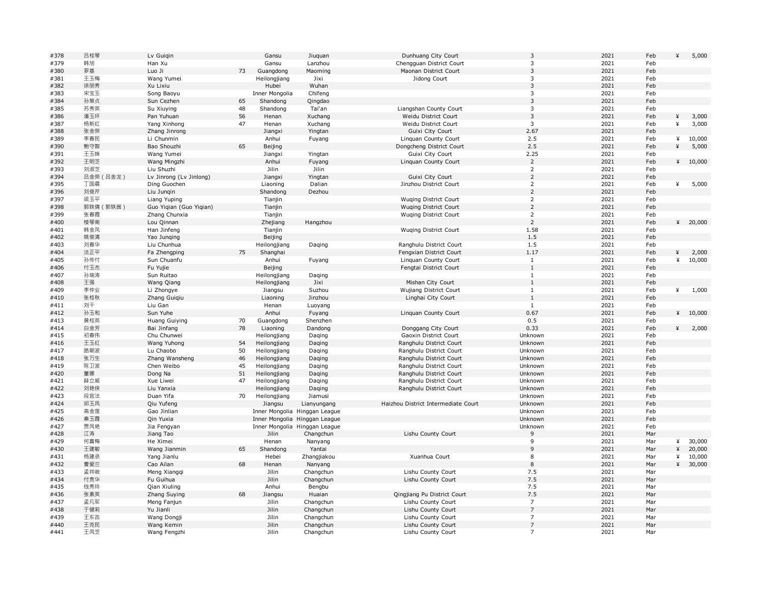| #378 | 吕桂琴       | Lv Guiqin               |    | Gansu                         | Jiuquan                       | Dunhuang City Court                 | 3              | 2021 | Feb | ¥ | 5,000            |
|------|-----------|-------------------------|----|-------------------------------|-------------------------------|-------------------------------------|----------------|------|-----|---|------------------|
| #379 | 韩旭        | Han Xu                  |    | Gansu                         | Lanzhou                       | Chengguan District Court            | 3              | 2021 | Feb |   |                  |
| #380 | 罗基        | Luo Ji                  | 73 | Guangdong                     | Maoming                       | Maonan District Court               | $\overline{3}$ | 2021 | Feb |   |                  |
| #381 | 王玉梅       | Wang Yumei              |    | Heilongjiang                  | Jixi                          | Jidong Court                        | 3              | 2021 | Feb |   |                  |
| #382 | 徐丽秀       | Xu Lixiu                |    | Hubei                         | Wuhan                         |                                     | $\mathsf 3$    | 2021 | Feb |   |                  |
| #383 | 宋宝玉       | Song Baoyu              |    | Inner Mongolia                | Chifeng                       |                                     | 3              | 2021 | Feb |   |                  |
| #384 | 孙策贞       | Sun Cezhen              | 65 | Shandong                      | Qingdao                       |                                     | $\overline{3}$ | 2021 | Feb |   |                  |
| #385 | 苏秀英       | Su Xiuying              | 48 | Shandong                      | Tai'an                        | Liangshan County Court              | 3              | 2021 | Feb |   |                  |
| #386 | 潘玉环       | Pan Yuhuan              | 56 | Henan                         | Xuchang                       | Weidu District Court                | $\mathbf{3}$   | 2021 | Feb | ¥ | 3,000            |
| #387 | 杨新红       | Yang Xinhong            | 47 | Henan                         | Xuchang                       | Weidu District Court                | 3              | 2021 | Feb | ¥ | 3,000            |
| #388 | 张金荣       | Zhang Jinrong           |    | Jiangxi                       | Yingtan                       | Guixi City Court                    | 2.67           | 2021 | Feb |   |                  |
| #389 | 李春民       | Li Chunmin              |    | Anhui                         | Fuyang                        | Linquan County Court                | 2.5            | 2021 | Feb | ¥ | 10,000           |
| #390 | 鲍守智       | Bao Shouzhi             | 65 | Beijing                       |                               | Dongcheng District Court            | 2.5            | 2021 | Feb | ¥ | 5,000            |
| #391 | 王玉妹       | Wang Yumei              |    | Jiangxi                       | Yingtan                       | Guixi City Court                    | 2.25           | 2021 | Feb |   |                  |
| #392 | 王明芝       | Wang Mingzhi            |    | Anhui                         | Fuyang                        | Linquan County Court                | $\overline{2}$ | 2021 | Feb | ¥ | 10,000           |
| #393 | 刘淑芝       | Liu Shuzhi              |    | Jilin                         | Jilin                         |                                     | $\overline{2}$ | 2021 | Feb |   |                  |
| #394 | 吕金荣 (吕金龙) | Lv Jinrong (Lv Jinlong) |    | Jiangxi                       | Yingtan                       | Guixi City Court                    | $\overline{2}$ | 2021 | Feb |   |                  |
| #395 | 丁国晨       | Ding Guochen            |    | Liaoning                      | Dalian                        | Jinzhou District Court              | $\overline{2}$ | 2021 | Feb | ¥ | 5,000            |
|      | 刘俊芹       |                         |    |                               |                               |                                     | $\overline{2}$ | 2021 | Feb |   |                  |
| #396 |           | Liu Jungin              |    | Shandong                      | Dezhou                        |                                     |                |      |     |   |                  |
| #397 | 梁玉平       | Liang Yuping            |    | Tianjin                       |                               | <b>Wuging District Court</b>        | $\overline{2}$ | 2021 | Feb |   |                  |
| #398 | 郭轶倩 (郭轶茜) | Guo Yiqian (Guo Yiqian) |    | Tianjin                       |                               | <b>Wuqing District Court</b>        | $\sqrt{2}$     | 2021 | Feb |   |                  |
| #399 | 张春霞       | Zhang Chunxia           |    | Tianjin                       |                               | <b>Wuging District Court</b>        | $\overline{2}$ | 2021 | Feb |   |                  |
| #400 | 楼琴南       | Lou Qinnan              |    | Zhejiang                      | Hangzhou                      |                                     | $\overline{2}$ | 2021 | Feb |   | ¥ 20,000         |
| #401 | 韩金凤       | Han Jinfeng             |    | Tianjin                       |                               | Wuqing District Court               | 1.58           | 2021 | Feb |   |                  |
| #402 | 姚俊清       | Yao Junging             |    | Beijing                       |                               |                                     | 1.5            | 2021 | Feb |   |                  |
| #403 | 刘春华       | Liu Chunhua             |    | Heilongjiang                  | Daging                        | Ranghulu District Court             | 1.5            | 2021 | Feb |   |                  |
| #404 | 法正平       | Fa Zhengping            | 75 | Shanghai                      |                               | Fengxian District Court             | 1.17           | 2021 | Feb | ¥ | 2,000            |
| #405 | 孙传付       | Sun Chuanfu             |    | Anhui                         | Fuyang                        | Linguan County Court                | $\mathbf{1}$   | 2021 | Feb | ¥ | 10,000           |
| #406 | 付玉杰       | Fu Yujie                |    | Beijing                       |                               | Fengtai District Court              | $1\,$          | 2021 | Feb |   |                  |
| #407 | 孙瑞涛       | Sun Ruitao              |    | Heilongjiang                  | Daqing                        |                                     | $\mathbf{1}$   | 2021 | Feb |   |                  |
| #408 | 王强        | Wang Qiang              |    | Heilongjiang                  | Jixi                          | Mishan City Court                   | $1\,$          | 2021 | Feb |   |                  |
| #409 | 李仲业       | Li Zhongye              |    | Jiangsu                       | Suzhou                        | Wujiang District Court              | $\mathbf{1}$   | 2021 | Feb | ¥ | 1,000            |
| #410 | 张桂秋       | Zhang Guiqiu            |    | Liaoning                      | Jinzhou                       | Linghai City Court                  | $\mathbf{1}$   | 2021 | Feb |   |                  |
| #411 | 刘干        | Liu Gan                 |    | Henan                         | Luoyang                       |                                     | $\mathbf{1}$   | 2021 | Feb |   |                  |
| #412 | 孙玉和       | Sun Yuhe                |    | Anhui                         | Fuyang                        | Linquan County Court                | 0.67           | 2021 | Feb |   | 410,000          |
| #413 | 黄桂英       | Huang Guiying           | 70 | Guangdong                     | Shenzhen                      |                                     | 0.5            | 2021 | Feb |   |                  |
| #414 | 白金芳       | Bai Jinfang             | 78 | Liaoning                      | Dandong                       | Donggang City Court                 | 0.33           | 2021 | Feb | ¥ | 2,000            |
| #415 | 初春伟       | Chu Chunwei             |    | Heilongjiang                  | Daqing                        | Gaoxin District Court               | Unknown        | 2021 | Feb |   |                  |
| #416 | 王玉红       | Wang Yuhong             | 54 | Heilongjiang                  | Daqing                        | Ranghulu District Court             | Unknown        | 2021 | Feb |   |                  |
| #417 | 路朝波       | Lu Chaobo               | 50 | Heilongjiang                  | Daging                        | Ranghulu District Court             | Unknown        | 2021 | Feb |   |                  |
| #418 | 张万生       | Zhang Wansheng          | 46 | Heilongjiang                  | Daging                        | Ranghulu District Court             | Unknown        | 2021 | Feb |   |                  |
| #419 | 陈卫波       | Chen Weibo              | 45 | Heilongjiang                  | Daqing                        | Ranghulu District Court             | Unknown        | 2021 | Feb |   |                  |
| #420 | 董娜        | Dong Na                 | 51 | Heilongjiang                  | Daging                        | Ranghulu District Court             | Unknown        | 2021 | Feb |   |                  |
| #421 | 薛立威       | Xue Liwei               | 47 | Heilongjiang                  | Daging                        | Ranghulu District Court             | Unknown        | 2021 | Feb |   |                  |
| #422 | 刘艳侠       | Liu Yanxia              |    | Heilongjiang                  | Daging                        | Ranghulu District Court             | Unknown        | 2021 | Feb |   |                  |
| #423 | 段宜法       | Duan Yifa               | 70 | Heilongjiang                  | Jiamusi                       |                                     | Unknown        | 2021 | Feb |   |                  |
| #424 | 邱玉凤       | Qiu Yufeng              |    | Jiangsu                       | Lianyungang                   | Haizhou District Intermediate Court | Unknown        | 2021 | Feb |   |                  |
| #425 | 高金莲       | Gao Jinlian             |    |                               | Inner Mongolia Hinggan League |                                     | Unknown        | 2021 | Feb |   |                  |
| #426 | 秦玉霞       | Qin Yuxia               |    |                               | Inner Mongolia Hinggan League |                                     | Unknown        | 2021 | Feb |   |                  |
| #427 | 贾凤艳       | Jia Fengyan             |    | Inner Mongolia Hinggan League |                               |                                     | Unknown        | 2021 | Feb |   |                  |
| #428 | 江涛        | Jiang Tao               |    | Jilin                         | Changchun                     | Lishu County Court                  | 9              | 2021 | Mar |   |                  |
| #429 | 何喜梅       | He Ximei                |    | Henan                         | Nanyang                       |                                     | 9              | 2021 | Mar | ¥ | 30,000           |
| #430 | 王建敏       | Wang Jianmin            | 65 | Shandong                      | Yantai                        |                                     | 9              | 2021 | Mar | ¥ | 20,000           |
| #431 | 杨建录       |                         |    | Hebei                         |                               | Xuanhua Court                       | 8              | 2021 | Mar | ¥ |                  |
|      | 曹爱兰       | Yang Jianlu             | 68 |                               | Zhangjiakou                   |                                     | 8              | 2021 | Mar | ¥ | 10,000<br>30,000 |
| #432 |           | Cao Ailan               |    | Henan                         | Nanyang                       |                                     |                |      |     |   |                  |
| #433 | 孟祥岐       | Meng Xiangqi            |    | Jilin                         | Changchun                     | Lishu County Court                  | 7.5            | 2021 | Mar |   |                  |
| #434 | 付贵华       | Fu Guihua               |    | Jilin                         | Changchun                     | Lishu County Court                  | 7.5            | 2021 | Mar |   |                  |
| #435 | 钱秀玲       | Qian Xiuling            |    | Anhui                         | Bengbu                        |                                     | 7.5            | 2021 | Mar |   |                  |
| #436 | 张素英       | Zhang Suying            | 68 | Jiangsu                       | Huaian                        | Qingjiang Pu District Court         | 7.5            | 2021 | Mar |   |                  |
| #437 | 孟凡军       | Meng Fanjun             |    | Jilin                         | Changchun                     | Lishu County Court                  | $\overline{7}$ | 2021 | Mar |   |                  |
| #438 | 于健莉       | Yu Jianli               |    | Jilin                         | Changchun                     | Lishu County Court                  | $\overline{7}$ | 2021 | Mar |   |                  |
| #439 | 王东吉       | Wang Dongji             |    | Jilin                         | Changchun                     | Lishu County Court                  | $\overline{7}$ | 2021 | Mar |   |                  |
| #440 | 王克民       | Wang Kemin              |    | Jilin                         | Changchun                     | Lishu County Court                  | $\overline{7}$ | 2021 | Mar |   |                  |
| #441 | 王凤芝       | Wang Fengzhi            |    | Jilin                         | Changchun                     | Lishu County Court                  | $\overline{7}$ | 2021 | Mar |   |                  |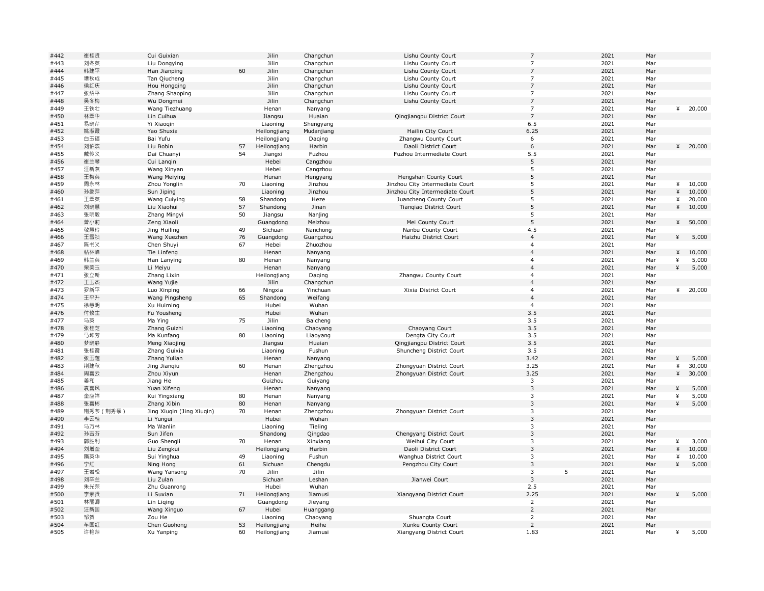| #442 | 崔桂贤        | Cui Guixian                |    | Jilin        | Changchun        | Lishu County Court              | $\overline{7}$ |   | 2021 | Mar        |   |                  |
|------|------------|----------------------------|----|--------------|------------------|---------------------------------|----------------|---|------|------------|---|------------------|
| #443 | 刘冬英        | Liu Dongying               |    | Jilin        | Changchun        | Lishu County Court              | $\overline{7}$ |   | 2021 | Mar        |   |                  |
| #444 | 韩建平        | Han Jianping               | 60 | Jilin        | Changchun        | Lishu County Court              | $\overline{7}$ |   | 2021 | Mar        |   |                  |
| #445 | 谭秋成        | Tan Qiucheng               |    | Jilin        | Changchun        | Lishu County Court              | $\overline{7}$ |   | 2021 | Mar        |   |                  |
| #446 | 侯红庆        | Hou Hongqing               |    | Jilin        | Changchun        | Lishu County Court              | $\overline{7}$ |   | 2021 | Mar        |   |                  |
| #447 | 张绍平        | Zhang Shaoping             |    | Jilin        | Changchun        | Lishu County Court              | $\overline{7}$ |   | 2021 | Mar        |   |                  |
| #448 | 吴冬梅        | Wu Dongmei                 |    | Jilin        | Changchun        | Lishu County Court              | $\overline{7}$ |   | 2021 | Mar        |   |                  |
| #449 | 王铁壮        | Wang Tiezhuang             |    | Henan        | Nanyang          |                                 | $\overline{7}$ |   | 2021 | Mar        | ¥ | 20,000           |
| #450 | 林翠华        | Lin Cuihua                 |    | Jiangsu      | Huaian           | Qingjiangpu District Court      | $\overline{7}$ |   | 2021 | Mar        |   |                  |
| #451 | 易晓芹        | Yi Xiaogin                 |    | Liaoning     | Shengyang        |                                 | 6.5            |   | 2021 | Mar        |   |                  |
| #452 | 姚淑霞        | Yao Shuxia                 |    | Heilongjiang | Mudanjiang       | Hailin City Court               | 6.25           |   | 2021 | Mar        |   |                  |
| #453 | 白玉福        | Bai Yufu                   |    | Heilongjiang | Daqing           | Zhangwu County Court            | 6              |   | 2021 | Mar        |   |                  |
| #454 | 刘伯滨        | Liu Bobin                  | 57 | Heilongjiang | Harbin           | Daoli District Court            | 6              |   | 2021 | Mar        | ¥ | 20,000           |
|      |            |                            |    |              |                  |                                 |                |   | 2021 |            |   |                  |
| #455 | 戴传义        | Dai Chuanyi                | 54 | Jiangxi      | Fuzhou           | Fuzhou Intermediate Court       | 5.5<br>5       |   | 2021 | Mar        |   |                  |
| #456 | 崔兰琴        | Cui Langin                 |    | Hebei        | Cangzhou         |                                 |                |   |      | Mar        |   |                  |
| #457 | 汪新燕        | Wang Xinyan                |    | Hebei        | Cangzhou         |                                 | 5              |   | 2021 | Mar        |   |                  |
| #458 | 王梅英        | Wang Meiying               |    | Hunan        | Hengyang         | Hengshan County Court           | 5              |   | 2021 | Mar        |   |                  |
| #459 | 周永林        | Zhou Yonglin               | 70 | Liaoning     | Jinzhou          | Jinzhou City Intermediate Court | 5              |   | 2021 | Mar        | ¥ | 10,000           |
| #460 | 孙继萍        | Sun Jiping                 |    | Liaoning     | Jinzhou          | Jinzhou City Intermediate Court | 5              |   | 2021 | Mar        | ¥ | 10,000           |
| #461 | 王翠英        | Wang Cuiying               | 58 | Shandong     | Heze             | Juancheng County Court          | 5              |   | 2021 | Mar        | ¥ | 20,000           |
| #462 | 刘晓慧        | Liu Xiaohui                | 57 | Shandong     | Jinan            | Tiangiao District Court         | 5              |   | 2021 | Mar        | ¥ | 10,000           |
| #463 | 张明毅        | Zhang Mingyi               | 50 | Jiangsu      | Nanjing          |                                 | 5              |   | 2021 | Mar        |   |                  |
| #464 | 曾小莉        | Zeng Xiaoli                |    | Guangdong    | Meizhou          | Mei County Court                | 5              |   | 2021 | Mar        | ¥ | 50,000           |
| #465 | 敬慧玲        | Jing Huiling               | 49 | Sichuan      | Nanchong         | Nanbu County Court              | 4.5            |   | 2021 | Mar        |   |                  |
| #466 | 王雪祯        | Wang Xuezhen               | 76 | Guangdong    | Guangzhou        | Haizhu District Court           | $\overline{4}$ |   | 2021 | Mar        | ¥ | 5,000            |
| #467 | 陈书义        | Chen Shuyi                 | 67 | Hebei        | Zhuozhou         |                                 | $\overline{4}$ |   | 2021 | Mar        |   |                  |
| #468 | 帖林峰        | Tie Linfeng                |    | Henan        | Nanyang          |                                 | $\overline{4}$ |   | 2021 | Mar        | ¥ | 10,000           |
| #469 | 韩兰英        | Han Lanying                | 80 | Henan        | Nanyang          |                                 | $\overline{4}$ |   | 2021 | Mar        | ¥ | 5,000            |
| #470 | 栗美玉        | Li Meiyu                   |    | Henan        | Nanyang          |                                 | $\overline{4}$ |   | 2021 | Mar        | ¥ | 5,000            |
| #471 | 张立新        | Zhang Lixin                |    | Heilongjiang | Daging           | Zhangwu County Court            | $\overline{4}$ |   | 2021 | Mar        |   |                  |
| #472 | 王玉杰        | Wang Yujie                 |    | Jilin        | Changchun        |                                 | $\overline{4}$ |   | 2021 | Mar        |   |                  |
| #473 | 罗新平        |                            |    |              |                  |                                 | $\overline{4}$ |   | 2021 | Mar        | ¥ | 20,000           |
|      |            | Luo Xinping                | 66 | Ningxia      | Yinchuan         | Xixia District Court            | $\overline{4}$ |   | 2021 |            |   |                  |
| #474 | 王平升        | Wang Pingsheng             | 65 | Shandong     | Weifang          |                                 |                |   |      | Mar        |   |                  |
| #475 | 徐慧明        | Xu Huiming                 |    | Hubei        | Wuhan            |                                 | $\overline{4}$ |   | 2021 | Mar        |   |                  |
| #476 | 付攸生        | Fu Yousheng                |    | Hubei        | Wuhan            |                                 | 3.5            |   | 2021 | Mar        |   |                  |
| #477 | 马英         | Ma Ying                    | 75 | Jilin        | Baicheng         |                                 | 3.5            |   | 2021 | Mar        |   |                  |
| #478 | 张桂芝        | Zhang Guizhi               |    | Liaoning     | Chaoyang         | Chaoyang Court                  | 3.5            |   | 2021 | Mar        |   |                  |
| #479 | 马坤芳        | Ma Kunfang                 | 80 | Liaoning     | Liaoyang         | Dengta City Court               | 3.5            |   | 2021 | Mar        |   |                  |
| #480 | 梦晓静        | Meng Xiaojing              |    | Jiangsu      | Huaian           | Qingjiangpu District Court      | 3.5            |   | 2021 | Mar        |   |                  |
| #481 | 张桂霞        | Zhang Guixia               |    | Liaoning     | Fushun           | Shuncheng District Court        | 3.5            |   | 2021 | Mar        |   |                  |
| #482 | 张玉莲        | Zhang Yulian               |    | Henan        | Nanyang          |                                 | 3.42           |   | 2021 | Mar        | ¥ | 5,000            |
| #483 | 荆建秋        | Jing Jianqiu               | 60 | Henan        | Zhengzhou        | Zhongyuan District Court        | 3.25           |   | 2021 | Mar        | ¥ | 30,000           |
| #484 | 周喜云        | Zhou Xiyun                 |    | Henan        | Zhengzhou        | Zhongyuan District Court        | 3.25           |   | 2021 | Mar        | ¥ | 30,000           |
| #485 | 姜和         | Jiang He                   |    | Guizhou      | Guiyang          |                                 | 3              |   | 2021 | Mar        |   |                  |
| #486 | 袁喜风        | Yuan Xifeng                |    | Henan        | Nanyang          |                                 | $\overline{3}$ |   | 2021 | Mar        | ¥ | 5,000            |
| #487 | 奎应祥        | Kui Yingxiang              | 80 | Henan        | Nanyang          |                                 | 3              |   | 2021 | Mar        | ¥ | 5,000            |
| #488 | 张喜彬        | Zhang Xibin                | 80 | Henan        | Nanyang          |                                 | $\overline{3}$ |   | 2021 | Mar        | ¥ | 5,000            |
| #489 | 荆秀芩(荆秀琴)   | Jing Xiuqin (Jing Xiuqin)  | 70 | Henan        | Zhengzhou        | Zhongyuan District Court        | 3              |   | 2021 | Mar        |   |                  |
| #490 | 李云桂        | Li Yungui                  |    | Hubei        | Wuhan            |                                 | $\mathbf{3}$   |   | 2021 | Mar        |   |                  |
| #491 | 马万林        | Ma Wanlin                  |    | Liaoning     | Tieling          |                                 | 3              |   | 2021 | Mar        |   |                  |
| #492 | 孙吉芬        | Sun Jifen                  |    | Shandong     | Qingdao          | Chengyang District Court        | $\mathbf{3}$   |   | 2021 | Mar        |   |                  |
| #493 | 郭胜利        | Guo Shengli                | 70 | Henan        | Xinxiang         | Weihui City Court               | 3              |   | 2021 | Mar        | ¥ | 3,000            |
| #494 |            |                            |    |              |                  |                                 | $\overline{3}$ |   | 2021 |            | ¥ |                  |
| #495 | 刘增奎<br>隋英华 | Liu Zengkui<br>Sui Yinghua | 49 | Heilongjiang | Harbin<br>Fushun | Daoli District Court            | 3              |   | 2021 | Mar<br>Mar | ¥ | 10,000<br>10,000 |
|      |            |                            |    | Liaoning     |                  | Wanghua District Court          |                |   |      |            |   |                  |
| #496 | 宁红         | Ning Hong                  | 61 | Sichuan      | Chengdu          | Pengzhou City Court             | 3              |   | 2021 | Mar        | ¥ | 5,000            |
| #497 | 王岩松        | Wang Yansong               | 70 | Jilin        | Jilin            |                                 | 3              | 5 | 2021 | Mar        |   |                  |
| #498 | 刘卒兰        | Liu Zulan                  |    | Sichuan      | Leshan           | Jianwei Court                   | $\mathbf{3}$   |   | 2021 | Mar        |   |                  |
| #499 | 朱光荣        | Zhu Guanrong               |    | Hubei        | Wuhan            |                                 | 2.5            |   | 2021 | Mar        |   |                  |
| #500 | 李素贤        | Li Suxian                  | 71 | Heilongjiang | Jiamusi          | Xiangyang District Court        | 2.25           |   | 2021 | Mar        | ¥ | 5,000            |
| #501 | 林丽卿        | Lin Liqing                 |    | Guangdong    | Jieyang          |                                 | $\overline{2}$ |   | 2021 | Mar        |   |                  |
| #502 | 汪新国        | Wang Xinguo                | 67 | Hubei        | Huanggang        |                                 | $\overline{2}$ |   | 2021 | Mar        |   |                  |
| #503 | 邹贺         | Zou He                     |    | Liaoning     | Chaoyang         | Shuangta Court                  | $\overline{2}$ |   | 2021 | Mar        |   |                  |
| #504 | 车国红        | Chen Guohong               | 53 | Heilongjiang | Heihe            | Xunke County Court              | $\overline{2}$ |   | 2021 | Mar        |   |                  |
| #505 | 许艳萍        | Xu Yanping                 | 60 | Heilongjiang | Jiamusi          | Xiangyang District Court        | 1.83           |   | 2021 | Mar        | ¥ | 5,000            |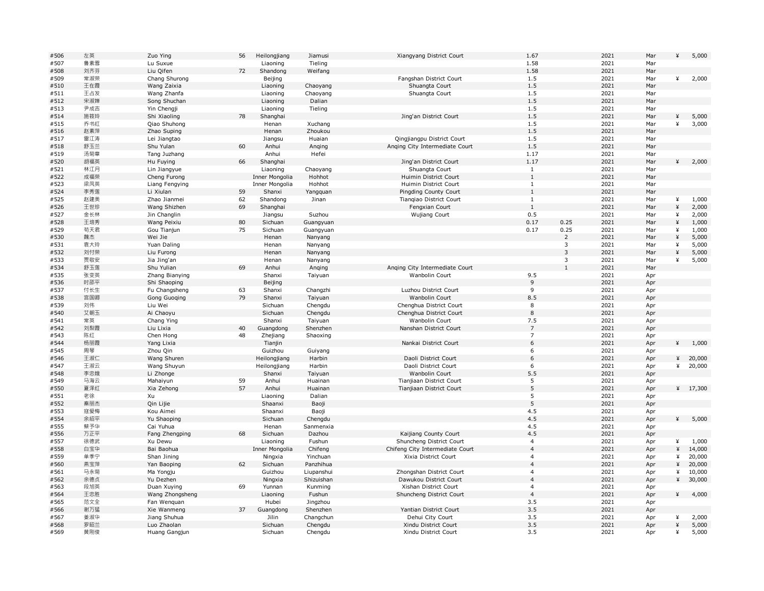| #506 | 左英  | Zuo Ying        | 56 | Heilongjiang   | Jiamusi    | Xiangyang District Court        | 1.67           |                | 2021 | Mar | ¥      | 5,000      |
|------|-----|-----------------|----|----------------|------------|---------------------------------|----------------|----------------|------|-----|--------|------------|
| #507 | 鲁素雪 | Lu Suxue        |    | Liaoning       | Tieling    |                                 | 1.58           |                | 2021 | Mar |        |            |
| #508 | 刘齐芬 | Liu Qifen       | 72 | Shandong       | Weifang    |                                 | 1.58           |                | 2021 | Mar |        |            |
| #509 | 常淑荣 | Chang Shurong   |    | Beijing        |            | Fangshan District Court         | 1.5            |                | 2021 | Mar | ¥      | 2,000      |
| #510 | 王在霞 | Wang Zaixia     |    | Liaoning       | Chaoyang   | Shuangta Court                  | 1.5            |                | 2021 | Mar |        |            |
| #511 | 王占发 | Wang Zhanfa     |    | Liaoning       | Chaoyang   | Shuangta Court                  | 1.5            |                | 2021 | Mar |        |            |
| #512 | 宋淑婵 | Song Shuchan    |    | Liaoning       | Dalian     |                                 | 1.5            |                | 2021 | Mar |        |            |
| #513 | 尹成吉 | Yin Chengji     |    | Liaoning       | Tieling    |                                 | 1.5            |                | 2021 | Mar |        |            |
| #514 | 施筱玲 |                 | 78 |                |            | Jing'an District Court          | 1.5            |                | 2021 | Mar |        |            |
|      |     | Shi Xiaoling    |    | Shanghai       |            |                                 |                |                |      |     | ¥<br>¥ | 5,000      |
| #515 | 乔书红 | Qiao Shuhong    |    | Henan          | Xuchang    |                                 | 1.5            |                | 2021 | Mar |        | 3,000      |
| #516 | 赵素萍 | Zhao Suping     |    | Henan          | Zhoukou    |                                 | 1.5            |                | 2021 | Mar |        |            |
| #517 | 雷江涛 | Lei Jiangtao    |    | Jiangsu        | Huaian     | Qingjiangpu District Court      | 1.5            |                | 2021 | Mar |        |            |
| #518 | 舒玉兰 | Shu Yulan       | 60 | Anhui          | Anging     | Anging City Intermediate Court  | 1.5            |                | 2021 | Mar |        |            |
| #519 | 汤菊章 | Tang Juzhang    |    | Anhui          | Hefei      |                                 | 1.17           |                | 2021 | Mar |        |            |
| #520 | 胡福英 | Hu Fuying       | 66 | Shanghai       |            | Jing'an District Court          | 1.17           |                | 2021 | Mar | ¥      | 2,000      |
| #521 | 林江月 | Lin Jiangyue    |    | Liaoning       | Chaoyang   | Shuangta Court                  | 1              |                | 2021 | Mar |        |            |
| #522 | 成福荣 | Cheng Furong    |    | Inner Mongolia | Hohhot     | Huimin District Court           | $\mathbf{1}$   |                | 2021 | Mar |        |            |
| #523 | 梁凤英 | Liang Fengying  |    | Inner Mongolia | Hohhot     | Huimin District Court           | $\mathbf{1}$   |                | 2021 | Mar |        |            |
| #524 | 李秀莲 | Li Xiulan       | 59 | Shanxi         | Yangquan   | Pingding County Court           | $1\,$          |                | 2021 | Mar |        |            |
| #525 | 赵建美 | Zhao Jianmei    | 62 | Shandong       | Jinan      | Tiangiao District Court         | $\mathbf{1}$   |                | 2021 | Mar | ¥      | 1,000      |
| #526 | 王世珍 | Wang Shizhen    | 69 | Shanghai       |            | Fengxian Court                  | $\mathbf{1}$   |                | 2021 | Mar | ¥      | 2,000      |
| #527 | 金长林 | Jin Changlin    |    | Jiangsu        | Suzhou     | <b>Wujiang Court</b>            | 0.5            |                | 2021 | Mar | ¥      | 2,000      |
| #528 | 王培秀 | Wang Peixiu     | 80 | Sichuan        | Guangyuan  |                                 | 0.17           | 0.25           | 2021 | Mar | ¥      | 1,000      |
| #529 | 苟天君 |                 | 75 |                |            |                                 | 0.17           | 0.25           | 2021 | Mar | ¥      |            |
|      |     | Gou Tianjun     |    | Sichuan        | Guangyuan  |                                 |                | 2              |      |     |        | 1,000      |
| #530 | 魏杰  | Wei Jie         |    | Henan          | Nanyang    |                                 |                |                | 2021 | Mar | ¥      | 5,000      |
| #531 | 袁大玲 | Yuan Daling     |    | Henan          | Nanyang    |                                 |                | 3              | 2021 | Mar | ¥      | 5,000      |
| #532 | 刘付荣 | Liu Furong      |    | Henan          | Nanyang    |                                 |                | $\overline{3}$ | 2021 | Mar | ¥      | 5,000      |
| #533 | 贾敬安 | Jia Jing'an     |    | Henan          | Nanyang    |                                 |                | 3              | 2021 | Mar | ¥      | 5,000      |
| #534 | 舒玉莲 | Shu Yulian      | 69 | Anhui          | Anging     | Anging City Intermediate Court  |                | $\mathbf{1}$   | 2021 | Mar |        |            |
| #535 | 张变英 | Zhang Bianying  |    | Shanxi         | Taiyuan    | Wanbolin Court                  | 9.5            |                | 2021 | Apr |        |            |
| #536 | 时邵平 | Shi Shaoping    |    | Beijing        |            |                                 | $\overline{9}$ |                | 2021 | Apr |        |            |
| #537 | 付长生 | Fu Changsheng   | 63 | Shanxi         | Changzhi   | Luzhou District Court           | 9              |                | 2021 | Apr |        |            |
| #538 | 宫国卿 | Gong Guoqing    | 79 | Shanxi         | Taiyuan    | Wanbolin Court                  | 8.5            |                | 2021 | Apr |        |            |
| #539 | 刘伟  | Liu Wei         |    | Sichuan        | Chengdu    | Chenghua District Court         | 8              |                | 2021 | Apr |        |            |
| #540 | 艾朝玉 | Ai Chaoyu       |    | Sichuan        | Chengdu    | Chenghua District Court         | 8              |                | 2021 | Apr |        |            |
| #541 | 常英  | Chang Ying      |    | Shanxi         | Taiyuan    | Wanbolin Court                  | 7.5            |                | 2021 | Apr |        |            |
| #542 | 刘梨霞 | Liu Lixia       | 40 | Guangdong      | Shenzhen   | Nanshan District Court          | $\overline{7}$ |                | 2021 | Apr |        |            |
| #543 | 陈红  | Chen Hong       | 48 | Zhejiang       | Shaoxing   |                                 | $\overline{7}$ |                | 2021 | Apr |        |            |
| #544 | 杨丽霞 | Yang Lixia      |    | Tianjin        |            | Nankai District Court           | 6              |                | 2021 | Apr | ¥      | 1,000      |
| #545 | 周琴  | Zhou Qin        |    | Guizhou        |            |                                 | 6              |                | 2021 |     |        |            |
|      |     |                 |    |                | Guiyang    |                                 |                |                |      | Apr |        |            |
| #546 | 王淑仁 | Wang Shuren     |    | Heilongjiang   | Harbin     | Daoli District Court            | 6              |                | 2021 | Apr | ¥      | 20,000     |
| #547 | 王淑云 | Wang Shuyun     |    | Heilongjiang   | Harbin     | Daoli District Court            | 6              |                | 2021 | Apr | ¥      | 20,000     |
| #548 | 李忠娥 | Li Zhonge       |    | Shanxi         | Taiyuan    | Wanbolin Court                  | 5.5            |                | 2021 | Apr |        |            |
| #549 | 马海云 | Mahaiyun        | 59 | Anhui          | Huainan    | Tianjiaan District Court        | $\sqrt{5}$     |                | 2021 | Apr |        |            |
| #550 | 夏泽红 | Xia Zehong      | 57 | Anhui          | Huainan    | Tianjiaan District Court        | 5              |                | 2021 | Apr |        | ¥ $17,300$ |
| #551 | 老徐  | Xu              |    | Liaoning       | Dalian     |                                 | 5              |                | 2021 | Apr |        |            |
| #552 | 秦丽杰 | Qin Lijie       |    | Shaanxi        | Baoji      |                                 | 5              |                | 2021 | Apr |        |            |
| #553 | 寇爱梅 | Kou Aimei       |    | Shaanxi        | Baoji      |                                 | 4.5            |                | 2021 | Apr |        |            |
| #554 | 余绍平 | Yu Shaoping     |    | Sichuan        | Chengdu    |                                 | 4.5            |                | 2021 | Apr | ¥      | 5,000      |
| #555 | 蔡予华 | Cai Yuhua       |    | Henan          | Sanmenxia  |                                 | 4.5            |                | 2021 | Apr |        |            |
| #556 | 万正平 | Fang Zhengping  | 68 | Sichuan        | Dazhou     | Kaijiang County Court           | 4.5            |                | 2021 | Apr |        |            |
| #557 | 徐德武 | Xu Dewu         |    | Liaoning       | Fushun     | Shuncheng District Court        | $\overline{4}$ |                | 2021 | Apr | ¥      | 1,000      |
| #558 | 白宝华 | Bai Baohua      |    | Inner Mongolia | Chifeng    | Chifeng City Intermediate Court | $\overline{4}$ |                | 2021 | Apr | ¥      | 14,000     |
| #559 | 单季宁 | Shan Jining     |    | Ningxia        | Yinchuan   | Xixia District Court            | $\overline{4}$ |                | 2021 | Apr | ¥      | 20,000     |
| #560 | 燕宝萍 | Yan Baoping     | 62 | Sichuan        | Panzhihua  |                                 | $\overline{4}$ |                | 2021 | Apr | ¥      | 20,000     |
| #561 | 马永菊 | Ma Yongju       |    | Guizhou        | Liupanshui | Zhongshan District Court        | $\overline{4}$ |                | 2021 |     | ¥      | 10,000     |
| #562 | 余德贞 | Yu Dezhen       |    |                |            | Dawukou District Court          | $\overline{4}$ |                | 2021 | Apr | ¥      | 30,000     |
|      |     |                 |    | Ningxia        | Shizuishan |                                 |                |                |      | Apr |        |            |
| #563 | 段旭英 | Duan Xuying     | 69 | Yunnan         | Kunming    | Xishan District Court           | $\overline{4}$ |                | 2021 | Apr |        |            |
| #564 | 王忠胜 | Wang Zhongsheng |    | Liaoning       | Fushun     | Shuncheng District Court        | $\overline{4}$ |                | 2021 | Apr | ¥      | 4,000      |
| #565 | 范文全 | Fan Wenquan     |    | Hubei          | Jingzhou   |                                 | 3.5            |                | 2021 | Apr |        |            |
| #566 | 谢万猛 | Xie Wanmeng     | 37 | Guangdong      | Shenzhen   | Yantian District Court          | 3.5            |                | 2021 | Apr |        |            |
| #567 | 姜淑华 | Jiang Shuhua    |    | Jilin          | Changchun  | Dehui City Court                | 3.5            |                | 2021 | Apr | ¥      | 2,000      |
| #568 | 罗昭兰 | Luo Zhaolan     |    | Sichuan        | Chengdu    | Xindu District Court            | 3.5            |                | 2021 | Apr | ¥      | 5,000      |
| #569 | 黄刚俊 | Huang Gangjun   |    | Sichuan        | Chengdu    | Xindu District Court            | 3.5            |                | 2021 | Apr | ¥      | 5,000      |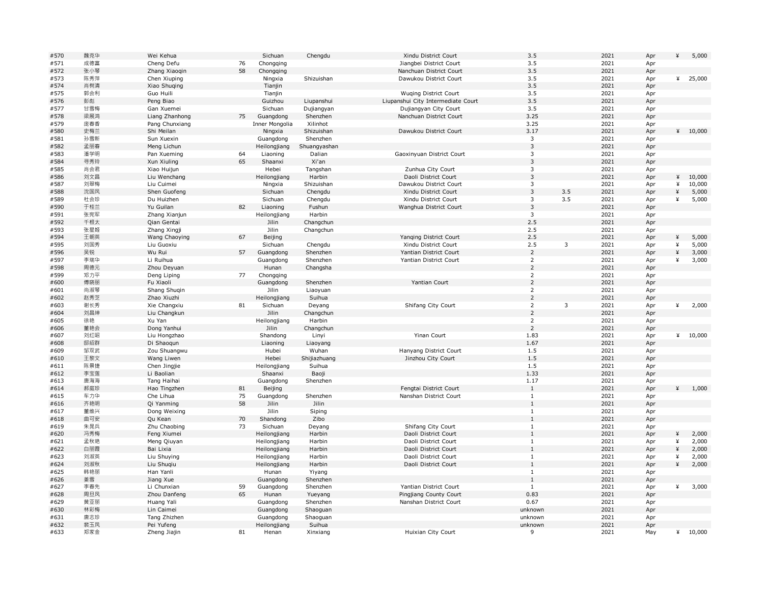| #570 | 魏克华 | Wei Kehua      |    | Sichuan        | Chengdu      | Xindu District Court               | 3.5            |              | 2021 | Apr | ¥ | 5,000   |
|------|-----|----------------|----|----------------|--------------|------------------------------------|----------------|--------------|------|-----|---|---------|
| #571 | 成德富 | Cheng Defu     | 76 | Chongqing      |              | Jiangbei District Court            | 3.5            |              | 2021 | Apr |   |         |
| #572 | 张小琴 | Zhang Xiaoqin  | 58 | Chongqing      |              | Nanchuan District Court            | 3.5            |              | 2021 | Apr |   |         |
| #573 | 陈秀萍 | Chen Xiuping   |    | Ningxia        | Shizuishan   | Dawukou District Court             | 3.5            |              | 2021 | Apr | ¥ | 25,000  |
| #574 | 肖树清 | Xiao Shuqing   |    | Tianjin        |              |                                    | 3.5            |              | 2021 | Apr |   |         |
| #575 | 郭会利 | Guo Huili      |    | Tianjin        |              | <b>Wuging District Court</b>       | 3.5            |              | 2021 | Apr |   |         |
| #576 | 彭彪  | Peng Biao      |    | Guizhou        | Liupanshui   | Liupanshui City Intermediate Court | 3.5            |              | 2021 | Apr |   |         |
| #577 | 甘雪梅 | Gan Xuemei     |    | Sichuan        | Dujiangyan   | Dujiangyan City Court              | 3.5            |              | 2021 | Apr |   |         |
| #578 | 梁展鸿 | Liang Zhanhong | 75 | Guangdong      | Shenzhen     | Nanchuan District Court            | 3.25           |              | 2021 | Apr |   |         |
| #579 | 庞春香 | Pang Chunxiang |    | Inner Mongolia | Xilinhot     |                                    | 3.25           |              | 2021 | Apr |   |         |
| #580 | 史梅兰 | Shi Meilan     |    | Ningxia        | Shizuishan   | Dawukou District Court             | 3.17           |              | 2021 | Apr |   | 410,000 |
| #581 | 孙雪新 |                |    |                |              |                                    | 3              |              | 2021 |     |   |         |
|      |     | Sun Xuexin     |    | Guangdong      | Shenzhen     |                                    |                |              |      | Apr |   |         |
| #582 | 孟丽春 | Meng Lichun    |    | Heilongjiang   | Shuangyashan |                                    | 3              |              | 2021 | Apr |   |         |
| #583 | 潘学明 | Pan Xueming    | 64 | Liaoning       | Dalian       | Gaoxinyuan District Court          | 3              |              | 2021 | Apr |   |         |
| #584 | 寻秀玲 | Xun Xiuling    | 65 | Shaanxi        | Xi'an        |                                    | $\mathsf 3$    |              | 2021 | Apr |   |         |
| #585 | 肖会君 | Xiao Huijun    |    | Hebei          | Tangshan     | Zunhua City Court                  | 3              |              | 2021 | Apr |   |         |
| #586 | 刘文昌 | Liu Wenchang   |    | Heilongjiang   | Harbin       | Daoli District Court               | 3              |              | 2021 | Apr | ¥ | 10,000  |
| #587 | 刘翠梅 | Liu Cuimei     |    | Ningxia        | Shizuishan   | Dawukou District Court             | 3              |              | 2021 | Apr | ¥ | 10,000  |
| #588 | 沈国凤 | Shen Guofeng   |    | Sichuan        | Chengdu      | Xindu District Court               | $\mathsf 3$    | 3.5          | 2021 | Apr | ¥ | 5,000   |
| #589 | 杜会珍 | Du Huizhen     |    | Sichuan        | Chengdu      | Xindu District Court               | 3              | 3.5          | 2021 | Apr | ¥ | 5,000   |
| #590 | 于桂兰 | Yu Guilan      | 82 | Liaoning       | Fushun       | Wanghua District Court             | 3              |              | 2021 | Apr |   |         |
| #591 | 张宪军 | Zhang Xianjun  |    | Heilongjiang   | Harbin       |                                    | 3              |              | 2021 | Apr |   |         |
| #592 | 千根太 | Qian Gentai    |    | Jilin          | Changchun    |                                    | 2.5            |              | 2021 | Apr |   |         |
| #593 | 张星姬 | Zhang Xingji   |    | Jilin          | Changchun    |                                    | 2.5            |              | 2021 | Apr |   |         |
| #594 | 王朝英 | Wang Chaoying  | 67 | Beijing        |              | Yanging District Court             | 2.5            |              | 2021 | Apr | ¥ | 5,000   |
| #595 | 刘国秀 | Liu Guoxiu     |    | Sichuan        | Chengdu      | Xindu District Court               | 2.5            | 3            | 2021 | Apr | ¥ | 5,000   |
| #596 | 吴锐  | Wu Rui         | 57 | Guangdong      | Shenzhen     | Yantian District Court             | $\overline{2}$ |              | 2021 | Apr | ¥ | 3,000   |
|      |     |                |    |                |              |                                    | $\overline{2}$ |              | 2021 |     | ¥ | 3,000   |
| #597 | 李瑞华 | Li Ruihua      |    | Guangdong      | Shenzhen     | Yantian District Court             |                |              |      | Apr |   |         |
| #598 | 周德元 | Zhou Deyuan    |    | Hunan          | Changsha     |                                    | $\overline{2}$ |              | 2021 | Apr |   |         |
| #599 | 邓力平 | Deng Liping    | 77 | Chongqing      |              |                                    | $\overline{2}$ |              | 2021 | Apr |   |         |
| #600 | 傅晓丽 | Fu Xiaoli      |    | Guangdong      | Shenzhen     | Yantian Court                      | $\overline{2}$ |              | 2021 | Apr |   |         |
| #601 | 尚淑琴 | Shang Shuqin   |    | Jilin          | Liaoyuan     |                                    | $\mathsf{2}$   |              | 2021 | Apr |   |         |
| #602 | 赵秀芝 | Zhao Xiuzhi    |    | Heilongjiang   | Suihua       |                                    | $\overline{2}$ |              | 2021 | Apr |   |         |
| #603 | 谢长秀 | Xie Changxiu   | 81 | Sichuan        | Deyang       | Shifang City Court                 | $\overline{2}$ | $\mathbf{3}$ | 2021 | Apr | ¥ | 2,000   |
| #604 | 刘昌坤 | Liu Changkun   |    | Jilin          | Changchun    |                                    | $\overline{2}$ |              | 2021 | Apr |   |         |
| #605 | 徐艳  | Xu Yan         |    | Heilongjiang   | Harbin       |                                    | $\overline{2}$ |              | 2021 | Apr |   |         |
| #606 | 董艳会 | Dong Yanhui    |    | Jilin          | Changchun    |                                    | $\overline{2}$ |              | 2021 | Apr |   |         |
| #607 | 刘红昭 | Liu Hongzhao   |    | Shandong       | Linyi        | Yinan Court                        | 1.83           |              | 2021 | Apr |   | 410,000 |
| #608 | 邸绍群 | Di Shaoqun     |    | Liaoning       | Liaoyang     |                                    | 1.67           |              | 2021 | Apr |   |         |
| #609 | 邹双武 | Zou Shuangwu   |    | Hubei          | Wuhan        | Hanyang District Court             | 1.5            |              | 2021 | Apr |   |         |
| #610 | 王黎文 | Wang Liwen     |    | Hebei          | Shijiazhuang | Jinzhou City Court                 | 1.5            |              | 2021 | Apr |   |         |
| #611 | 陈景捷 | Chen Jingjie   |    | Heilongjiang   | Suihua       |                                    | 1.5            |              | 2021 | Apr |   |         |
| #612 | 李宝莲 | Li Baolian     |    | Shaanxi        | Baoji        |                                    | 1.33           |              | 2021 | Apr |   |         |
| #613 | 唐海海 |                |    |                | Shenzhen     |                                    | 1.17           |              | 2021 |     |   |         |
|      |     | Tang Haihai    |    | Guangdong      |              |                                    | $\mathbf{1}$   |              | 2021 | Apr | ¥ |         |
| #614 | 郝庭珍 | Hao Tingzhen   | 81 | Beijing        |              | Fengtai District Court             |                |              |      | Apr |   | 1,000   |
| #615 | 车力华 | Che Lihua      | 75 | Guangdong      | Shenzhen     | Nanshan District Court             | $\mathbf{1}$   |              | 2021 | Apr |   |         |
| #616 | 齐艳明 | Qi Yanming     | 58 | Jilin          | Jilin        |                                    | $1\,$          |              | 2021 | Apr |   |         |
| #617 | 董维兴 | Dong Weixing   |    | Jilin          | Siping       |                                    | $\mathbf{1}$   |              | 2021 | Apr |   |         |
| #618 | 曲可安 | Qu Kean        | 70 | Shandong       | Zibo         |                                    | $\mathbf{1}$   |              | 2021 | Apr |   |         |
| #619 | 朱晁兵 | Zhu Chaobing   | 73 | Sichuan        | Deyang       | Shifang City Court                 | $1\,$          |              | 2021 | Apr |   |         |
| #620 | 冯秀梅 | Feng Xiumei    |    | Heilongjiang   | Harbin       | Daoli District Court               | $1\,$          |              | 2021 | Apr | ¥ | 2,000   |
| #621 | 孟秋艳 | Meng Qiuyan    |    | Heilongjiang   | Harbin       | Daoli District Court               | $\mathbf{1}$   |              | 2021 | Apr | ¥ | 2,000   |
| #622 | 白丽霞 | Bai Lixia      |    | Heilongjiang   | Harbin       | Daoli District Court               | $\mathbf{1}$   |              | 2021 | Apr | ¥ | 2,000   |
| #623 | 刘淑英 | Liu Shuying    |    | Heilongjiang   | Harbin       | Daoli District Court               | $\mathbf{1}$   |              | 2021 | Apr | ¥ | 2,000   |
| #624 | 刘淑秋 | Liu Shuqiu     |    | Heilongjiang   | Harbin       | Daoli District Court               | $1\,$          |              | 2021 | Apr | ¥ | 2,000   |
| #625 | 韩艳丽 | Han Yanli      |    | Hunan          | Yiyang       |                                    | $1\,$          |              | 2021 | Apr |   |         |
| #626 | 姜雪  | Jiang Xue      |    | Guangdong      | Shenzhen     |                                    | $\mathbf{1}$   |              | 2021 | Apr |   |         |
| #627 | 李春先 | Li Chunxian    | 59 | Guangdong      | Shenzhen     | Yantian District Court             | $\mathbf{1}$   |              | 2021 | Apr | ¥ | 3,000   |
| #628 | 周旦凤 | Zhou Danfeng   | 65 | Hunan          |              | Pingjiang County Court             | 0.83           |              | 2021 | Apr |   |         |
|      | 黄亚丽 |                |    |                | Yueyang      | Nanshan District Court             | 0.67           |              | 2021 |     |   |         |
| #629 |     | Huang Yali     |    | Guangdong      | Shenzhen     |                                    |                |              |      | Apr |   |         |
| #630 | 林彩梅 | Lin Caimei     |    | Guangdong      | Shaoguan     |                                    | unknown        |              | 2021 | Apr |   |         |
| #631 | 唐志珍 | Tang Zhizhen   |    | Guangdong      | Shaoguan     |                                    | unknown        |              | 2021 | Apr |   |         |
| #632 | 裴玉凤 | Pei Yufeng     |    | Heilongjiang   | Suihua       |                                    | unknown        |              | 2021 | Apr |   |         |
| #633 | 郑家金 | Zheng Jiajin   | 81 | Henan          | Xinxiang     | Huixian City Court                 | 9              |              | 2021 | May | ¥ | 10,000  |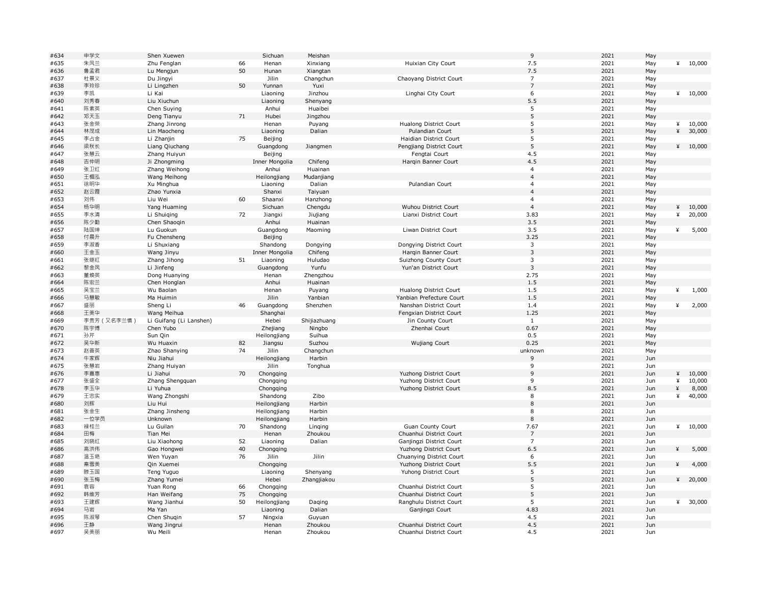| #634         | 申学文         | Shen Xuewen              |    | Sichuan        | Meishan            |                                                    | $\,9$                                     | 2021         | May        |   |         |
|--------------|-------------|--------------------------|----|----------------|--------------------|----------------------------------------------------|-------------------------------------------|--------------|------------|---|---------|
| #635         | 朱凤兰         | Zhu Fenglan              | 66 | Henan          | Xinxiang           | Huixian City Court                                 | 7.5                                       | 2021         | May        | ¥ | 10,000  |
| #636         | 鲁孟君         | Lu Mengjun               | 50 | Hunan          | Xiangtan           |                                                    | 7.5                                       | 2021         | May        |   |         |
| #637         | 杜景义         | Du Jingyi                |    | Jilin          | Changchun          | Chaoyang District Court                            | $\overline{7}$                            | 2021         | May        |   |         |
| #638         | 李玲珍         | Li Lingzhen              | 50 | Yunnan         | Yuxi               |                                                    | $\overline{7}$                            | 2021         | May        |   |         |
| #639         | 李凯          | Li Kai                   |    | Liaoning       | Jinzhou            | Linghai City Court                                 | 6                                         | 2021         | May        |   | 410,000 |
| #640         | 刘秀春         | Liu Xiuchun              |    | Liaoning       | Shenyang           |                                                    | 5.5                                       | 2021         | May        |   |         |
| #641         | 陈素英         | Chen Suying              |    | Anhui          | Huaibei            |                                                    | 5                                         | 2021         | May        |   |         |
| #642         | 邓天玉         | Deng Tianyu              | 71 | Hubei          | Jingzhou           |                                                    | 5                                         | 2021         | May        |   |         |
| #643         | 张金荣         | Zhang Jinrong            |    | Henan          |                    | <b>Hualong District Court</b>                      | 5                                         | 2021         |            | ¥ | 10,000  |
|              |             |                          |    |                | Puyang             | Pulandian Court                                    | 5                                         | 2021         | May        | ¥ |         |
| #644         | 林茂成         | Lin Maocheng             |    | Liaoning       | Dalian             |                                                    |                                           |              | May        |   | 30,000  |
| #645         | 李占金         | Li Zhanjin               | 75 | Beijing        |                    | Haidian District Court                             | 5                                         | 2021         | May        |   |         |
| #646         | 梁秋长         | Liang Qiuchang           |    | Guangdong      | Jiangmen           | Pengjiang District Court                           | 5                                         | 2021         | May        |   | 410,000 |
| #647         | 张慧云         | Zhang Huiyun             |    | Beijing        |                    | Fengtai Court                                      | 4.5                                       | 2021         | May        |   |         |
| #648         | 吉仲明         | Ji Zhongming             |    | Inner Mongolia | Chifeng            | Harqin Banner Court                                | 4.5                                       | 2021         | May        |   |         |
| #649         | 张卫红         | Zhang Weihong            |    | Anhui          | Huainan            |                                                    | $\overline{4}$                            | 2021         | May        |   |         |
| #650         | 王楣泓         | Wang Meihong             |    | Heilongjiang   | Mudanjiang         |                                                    | $\overline{4}$                            | 2021         | May        |   |         |
| #651         | 徐明华         | Xu Minghua               |    | Liaoning       | Dalian             | Pulandian Court                                    | $\overline{4}$                            | 2021         | May        |   |         |
| #652         | 赵云霞         | Zhao Yunxia              |    | Shanxi         | Taiyuan            |                                                    | $\overline{4}$                            | 2021         | May        |   |         |
| #653         | 刘伟          | Liu Wei                  | 60 | Shaanxi        | Hanzhong           |                                                    | $\overline{4}$                            | 2021         | May        |   |         |
| #654         | 杨华明         | Yang Huaming             |    | Sichuan        | Chengdu            | Wuhou District Court                               | $\overline{4}$                            | 2021         | May        | ¥ | 10,000  |
| #655         | 李水清         | Li Shuiqing              | 72 | Jiangxi        | Jiujiang           | Lianxi District Court                              | 3.83                                      | 2021         | May        | ¥ | 20,000  |
| #656         | 陈少勤         | Chen Shaoqin             |    | Anhui          | Huainan            |                                                    | 3.5                                       | 2021         | May        |   |         |
| #657         | 陆国坤         | Lu Guokun                |    | Guangdong      | Maoming            | Liwan District Court                               | 3.5                                       | 2021         | May        | ¥ | 5,000   |
| #658         | 付晨升         | Fu Chensheng             |    | Beijing        |                    |                                                    | 3.25                                      | 2021         | May        |   |         |
| #659         | 李淑香         | Li Shuxiang              |    | Shandong       | Dongying           | Dongying District Court                            | 3                                         | 2021         | May        |   |         |
|              | 王金玉         |                          |    | Inner Mongolia |                    |                                                    | $\mathbf{3}$                              | 2021         |            |   |         |
| #660         |             | Wang Jinyu               |    |                | Chifeng            | Harqin Banner Court                                |                                           |              | May        |   |         |
| #661         | 张继红         | Zhang Jihong             | 51 | Liaoning       | Huludao            | Suizhong County Court                              | $\overline{\mathbf{3}}$<br>$\overline{3}$ | 2021         | May        |   |         |
| #662         | 黎金凤         | Li Jinfeng               |    | Guangdong      | Yunfu              | Yun'an District Court                              |                                           | 2021         | May        |   |         |
| #663         | 董焕英         | Dong Huanying            |    | Henan          | Zhengzhou          |                                                    | 2.75                                      | 2021         | May        |   |         |
| #664         | 陈宏兰         | Chen Honglan             |    | Anhui          | Huainan            |                                                    | 1.5                                       | 2021         | May        |   |         |
| #665         | 吴宝兰         | Wu Baolan                |    | Henan          | Puyang             | Hualong District Court                             | 1.5                                       | 2021         | May        | ¥ | 1,000   |
| #666         | 马慧敏         | Ma Huimin                |    | Jilin          | Yanbian            | Yanbian Prefecture Court                           | 1.5                                       | 2021         | May        |   |         |
| #667         | 盛丽          | Sheng Li                 | 46 | Guangdong      | Shenzhen           | Nanshan District Court                             | 1.4                                       | 2021         | May        | ¥ | 2,000   |
| #668         | 王美华         | Wang Meihua              |    | Shanghai       |                    | Fengxian District Court                            | 1.25                                      | 2021         | May        |   |         |
| #669         | 李贵芳 (又名李兰慎) | Li Guifang (Li Lanshen)  |    | Hebei          | Shijiazhuang       | Jin County Court                                   | $\mathbf{1}$                              | 2021         | May        |   |         |
| #670         | 陈宇博         | Chen Yubo                |    | Zhejiang       | Ningbo             | Zhenhai Court                                      | 0.67                                      | 2021         | May        |   |         |
| #671         | 孙芹          |                          |    | Heilongjiang   | Suihua             |                                                    | 0.5                                       | 2021         | May        |   |         |
| #672         | 吴华新         |                          |    |                |                    |                                                    |                                           |              | May        |   |         |
| #673         |             | Sun Qin                  |    |                |                    |                                                    |                                           |              |            |   |         |
|              |             | Wu Huaxin                | 82 | Jiangsu        | Suzhou             | <b>Wujiang Court</b>                               | 0.25                                      | 2021         |            |   |         |
|              | 赵善英         | Zhao Shanying            | 74 | Jilin          | Changchun          |                                                    | unknown                                   | 2021         | May        |   |         |
| #674         | 牛家辉         | Niu Jiahui               |    | Heilongjiang   | Harbin             |                                                    | 9                                         | 2021         | Jun        |   |         |
| #675         | 张慧岩         | Zhang Huiyan             |    | Jilin          | Tonghua            |                                                    | 9                                         | 2021         | Jun        |   |         |
| #676         | 李嘉惠         | Li Jiahui                | 70 | Chongqing      |                    | Yuzhong District Court                             | $\overline{9}$                            | 2021         | Jun        | ¥ | 10,000  |
| #677         | 张盛全         | Zhang Shengquan          |    | Chongqing      |                    | Yuzhong District Court                             | 9                                         | 2021         | Jun        | ¥ | 10,000  |
| #678         | 李玉华         | Li Yuhua                 |    | Chongqing      |                    | Yuzhong District Court                             | 8.5                                       | 2021         | Jun        | ¥ | 8,000   |
| #679         | 王忠实         | Wang Zhongshi            |    | Shandong       | Zibo               |                                                    | 8                                         | 2021         | Jun        | ¥ | 40,000  |
| #680         | 刘辉          | Liu Hui                  |    | Heilongjiang   | Harbin             |                                                    | 8                                         | 2021         | Jun        |   |         |
| #681         | 张金生         | Zhang Jinsheng           |    | Heilongjiang   | Harbin             |                                                    | 8                                         | 2021         | Jun        |   |         |
| #682         | 一位学员        | Unknown                  |    | Heilongjiang   | Harbin             |                                                    | 8                                         | 2021         | Jun        |   |         |
| #683         | 禄桂兰         | Lu Guilan                | 70 | Shandong       | Linging            | Guan County Court                                  | 7.67                                      | 2021         | Jun        | ¥ | 10,000  |
| #684         | 田梅          | Tian Mei                 |    | Henan          | Zhoukou            | Chuanhui District Court                            | $\overline{7}$                            | 2021         | Jun        |   |         |
| #685         | 刘晓红         | Liu Xiaohong             | 52 | Liaoning       | Dalian             | Ganjingzi District Court                           | $\overline{7}$                            | 2021         | Jun        |   |         |
| #686         | 高洪伟         | Gao Hongwei              | 40 | Chongqing      |                    | Yuzhong District Court                             | 6.5                                       | 2021         | Jun        | ¥ | 5,000   |
| #687         | 温玉艳         | Wen Yuyan                | 76 | Jilin          | Jilin              | Chuanying District Court                           | 6                                         | 2021         | Jun        |   |         |
| #688         | 秦雪美         | Qin Xuemei               |    | Chongqing      |                    | Yuzhong District Court                             | 5.5                                       | 2021         | Jun        | ¥ | 4,000   |
| #689         | 滕玉国         |                          |    |                |                    |                                                    | 5                                         | 2021         |            |   |         |
|              |             | Teng Yuguo               |    | Liaoning       | Shenyang           | Yuhong District Court                              |                                           |              | Jun        | ¥ |         |
| #690         | 张玉梅         | Zhang Yumei              |    | Hebei          | Zhangjiakou        |                                                    | 5                                         | 2021         | Jun        |   | 20,000  |
| #691         | 袁容          | Yuan Rong                | 66 | Chongqing      |                    | Chuanhui District Court                            | 5                                         | 2021         | Jun        |   |         |
| #692         | 韩维芳         | Han Weifang              | 75 | Chongqing      |                    | Chuanhui District Court                            | 5                                         | 2021         | Jun        |   |         |
| #693         | 王建辉         | Wang Jianhui             | 50 | Heilongjiang   | Daging             | Ranghulu District Court                            | 5                                         | 2021         | Jun        | ¥ | 30,000  |
| #694         | 马岩          | Ma Yan                   |    | Liaoning       | Dalian             | Ganjingzi Court                                    | 4.83                                      | 2021         | Jun        |   |         |
| #695         | 陈淑琴         | Chen Shuqin              | 57 | Ningxia        | Guyuan             |                                                    | 4.5                                       | 2021         | Jun        |   |         |
| #696<br>#697 | 王静<br>吴美丽   | Wang Jingrui<br>Wu Meili |    | Henan<br>Henan | Zhoukou<br>Zhoukou | Chuanhui District Court<br>Chuanhui District Court | 4.5<br>4.5                                | 2021<br>2021 | Jun<br>Jun |   |         |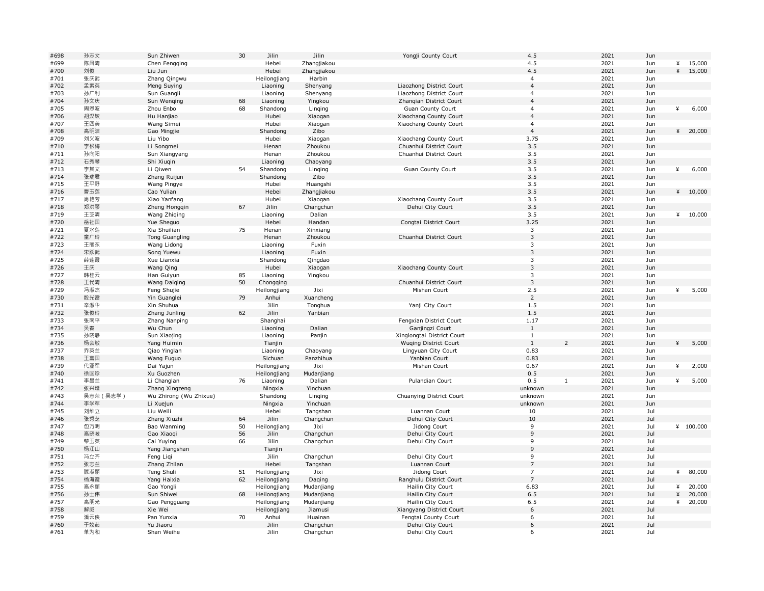| #698 | 孙志文       | Sun Zhiwen             | 30 | Jilin        | Jilin       | Yongji County Court          | 4.5            |                | 2021 | Jun |   |          |
|------|-----------|------------------------|----|--------------|-------------|------------------------------|----------------|----------------|------|-----|---|----------|
| #699 | 陈凤清       | Chen Fengqing          |    | Hebei        | Zhangjiakou |                              | 4.5            |                | 2021 | Jun | ¥ | 15,000   |
| #700 | 刘俊        | Liu Jun                |    | Hebei        | Zhangjiakou |                              | 4.5            |                | 2021 | Jun | ¥ | 15,000   |
| #701 | 张庆武       | Zhang Qingwu           |    | Heilongjiang | Harbin      |                              | $\overline{4}$ |                | 2021 | Jun |   |          |
| #702 | 孟素英       | Meng Suying            |    | Liaoning     | Shenyang    | Liaozhong District Court     | $\overline{4}$ |                | 2021 | Jun |   |          |
| #703 | 孙广利       | Sun Guangli            |    | Liaoning     | Shenyang    | Liaozhong District Court     | $\overline{4}$ |                | 2021 | Jun |   |          |
| #704 | 孙文庆       | Sun Wenging            | 68 | Liaoning     | Yingkou     | Zhangian District Court      | $\overline{4}$ |                | 2021 | Jun |   |          |
| #705 | 周恩波       | Zhou Enbo              | 68 | Shandong     | Linging     | Guan County Court            | $\overline{4}$ |                | 2021 | Jun | ¥ | 6,000    |
| #706 | 胡汉姣       | Hu Hanjiao             |    | Hubei        | Xiaogan     | Xiaochang County Court       | $\overline{4}$ |                | 2021 | Jun |   |          |
| #707 | 王四美       | Wang Simei             |    | Hubei        | Xiaogan     | Xiaochang County Court       | $\overline{4}$ |                | 2021 | Jun |   |          |
| #708 | 高明洁       | Gao Mingjie            |    | Shandong     | Zibo        |                              | $\overline{4}$ |                | 2021 | Jun |   | 420,000  |
| #709 | 刘义波       | Liu Yibo               |    | Hubei        | Xiaogan     | Xiaochang County Court       | 3.75           |                | 2021 | Jun |   |          |
| #710 | 李松梅       | Li Songmei             |    | Henan        | Zhoukou     | Chuanhui District Court      | 3.5            |                | 2021 | Jun |   |          |
| #711 | 孙向阳       | Sun Xiangyang          |    | Henan        | Zhoukou     | Chuanhui District Court      | 3.5            |                | 2021 | Jun |   |          |
| #712 | 石秀琴       | Shi Xiuqin             |    | Liaoning     | Chaoyang    |                              | 3.5            |                | 2021 | Jun |   |          |
| #713 |           | Li Qiwen               | 54 | Shandong     |             | Guan County Court            | 3.5            |                | 2021 | Jun | ¥ |          |
|      | 李其文       |                        |    |              | Linging     |                              |                |                |      |     |   | 6,000    |
| #714 | 张瑞君       | Zhang Ruijun           |    | Shandong     | Zibo        |                              | 3.5            |                | 2021 | Jun |   |          |
| #715 | 王平野       | Wang Pingye            |    | Hubei        | Huangshi    |                              | 3.5            |                | 2021 | Jun |   |          |
| #716 | 曹玉莲       | Cao Yulian             |    | Hebei        | Zhangjiakou |                              | 3.5            |                | 2021 | Jun | ¥ | 10,000   |
| #717 | 肖艳芳       | Xiao Yanfang           |    | Hubei        | Xiaogan     | Xiaochang County Court       | 3.5            |                | 2021 | Jun |   |          |
| #718 | 郑洪琴       | Zheng Hongqin          | 67 | Jilin        | Changchun   | Dehui City Court             | 3.5            |                | 2021 | Jun |   |          |
| #719 | 王芝清       | Wang Zhiqing           |    | Liaoning     | Dalian      |                              | 3.5            |                | 2021 | Jun | ¥ | 10,000   |
| #720 | 岳社国       | Yue Sheguo             |    | Hebei        | Handan      | Congtai District Court       | 3.25           |                | 2021 | Jun |   |          |
| #721 | 夏水莲       | Xia Shuilian           | 75 | Henan        | Xinxiang    |                              | $\mathbf{3}$   |                | 2021 | Jun |   |          |
| #722 | 童广玲       | <b>Tong Guangling</b>  |    | Henan        | Zhoukou     | Chuanhui District Court      | $\overline{3}$ |                | 2021 | Jun |   |          |
| #723 | 王丽东       | Wang Lidong            |    | Liaoning     | Fuxin       |                              | 3              |                | 2021 | Jun |   |          |
| #724 | 宋跃武       | Song Yuewu             |    | Liaoning     | Fuxin       |                              | $\mathsf 3$    |                | 2021 | Jun |   |          |
| #725 | 薛莲霞       | Xue Lianxia            |    | Shandong     | Qingdao     |                              | 3              |                | 2021 | Jun |   |          |
| #726 | 王庆        | Wang Qing              |    | Hubei        | Xiaogan     | Xiaochang County Court       | $\overline{3}$ |                | 2021 | Jun |   |          |
| #727 | 韩桂云       | Han Guiyun             | 85 | Liaoning     | Yingkou     |                              | 3              |                | 2021 | Jun |   |          |
| #728 | 王代清       | Wang Daiging           | 50 | Chongqing    |             | Chuanhui District Court      | $\overline{3}$ |                | 2021 | Jun |   |          |
| #729 | 冯淑杰       | Feng Shujie            |    | Heilongjiang | Jixi        | Mishan Court                 | 2.5            |                | 2021 | Jun | ¥ | 5,000    |
| #730 | 殷光雷       | Yin Guanglei           | 79 | Anhui        | Xuancheng   |                              | $\overline{2}$ |                | 2021 | Jun |   |          |
| #731 | 辛淑华       | Xin Shuhua             |    | Jilin        | Tonghua     | Yanji City Court             | 1.5            |                | 2021 | Jun |   |          |
| #732 | 张俊玲       | Zhang Junling          | 62 | Jilin        | Yanbian     |                              | 1.5            |                | 2021 | Jun |   |          |
| #733 | 张南平       | Zhang Nanping          |    | Shanghai     |             | Fengxian District Court      | 1.17           |                | 2021 | Jun |   |          |
| #734 | 吴春        | Wu Chun                |    | Liaoning     | Dalian      | Ganjingzi Court              | 1              |                | 2021 | Jun |   |          |
| #735 | 孙晓静       | Sun Xiaojing           |    | Liaoning     | Panjin      | Xinglongtai District Court   | $\mathbf{1}$   |                | 2021 | Jun |   |          |
| #736 | 杨会敏       | Yang Huimin            |    | Tianjin      |             | <b>Wuging District Court</b> | $\mathbf{1}$   | $\overline{z}$ | 2021 | Jun | ¥ | 5,000    |
| #737 | 乔英兰       | Qiao Yinglan           |    | Liaoning     | Chaoyang    | Lingyuan City Court          | 0.83           |                | 2021 | Jun |   |          |
| #738 | 王富国       | Wang Fuguo             |    | Sichuan      | Panzhihua   | Yanbian Court                | 0.83           |                | 2021 | Jun |   |          |
|      | 代亚军       |                        |    |              | Jixi        | Mishan Court                 | 0.67           |                | 2021 |     |   |          |
| #739 | 徐国珍       | Dai Yajun              |    | Heilongjiang |             |                              | 0.5            |                | 2021 | Jun | ¥ | 2,000    |
| #740 |           | Xu Guozhen             |    | Heilongjiang | Mudanjiang  |                              | 0.5            | $1\,$          |      | Jun |   |          |
| #741 | 李昌兰       | Li Changlan            | 76 | Liaoning     | Dalian      | Pulandian Court              |                |                | 2021 | Jun | ¥ | 5,000    |
| #742 | 张兴增       | Zhang Xingzeng         |    | Ningxia      | Yinchuan    |                              | unknown        |                | 2021 | Jun |   |          |
| #743 | 吴志荣 (吴志学) | Wu Zhirong (Wu Zhixue) |    | Shandong     | Linging     | Chuanying District Court     | unknown        |                | 2021 | Jun |   |          |
| #744 | 李学军       | Li Xuejun              |    | Ningxia      | Yinchuan    |                              | unknown        |                | 2021 | Jun |   |          |
| #745 | 刘维立       | Liu Weili              |    | Hebei        | Tangshan    | Luannan Court                | 10             |                | 2021 | Jul |   |          |
| #746 | 张秀芝       | Zhang Xiuzhi           | 64 | Jilin        | Changchun   | Dehui City Court             | 10             |                | 2021 | Jul |   |          |
| #747 | 包万明       | Bao Wanming            | 50 | Heilongjiang | Jixi        | Jidong Court                 | 9              |                | 2021 | Jul |   | 4100,000 |
| #748 | 高晓岐       | Gao Xiaoqi             | 56 | Jilin        | Changchun   | Dehui City Court             | 9              |                | 2021 | Jul |   |          |
| #749 | 蔡玉英       | Cai Yuying             | 66 | Jilin        | Changchun   | Dehui City Court             | 9              |                | 2021 | Jul |   |          |
| #750 | 杨江山       | Yang Jiangshan         |    | Tianjin      |             |                              | $\overline{9}$ |                | 2021 | Jul |   |          |
| #751 | 冯立齐       | Feng Ligi              |    | Jilin        | Changchun   | Dehui City Court             | 9              |                | 2021 | Jul |   |          |
| #752 | 张志兰       | Zhang Zhilan           |    | Hebei        | Tangshan    | Luannan Court                | $\overline{7}$ |                | 2021 | Jul |   |          |
| #753 | 滕淑丽       | Teng Shuli             | 51 | Heilongjiang | Jixi        | Jidong Court                 | $\overline{7}$ |                | 2021 | Jul | ¥ | 80,000   |
| #754 | 杨海霞       | Yang Haixia            | 62 | Heilongjiang | Daging      | Ranghulu District Court      | $\overline{7}$ |                | 2021 | Jul |   |          |
| #755 | 高永丽       | Gao Yongli             |    | Heilongjiang | Mudanjiang  | Hailin City Court            | 6.83           |                | 2021 | Jul | ¥ | 20,000   |
| #756 | 孙士伟       | Sun Shiwei             | 68 | Heilongjiang | Mudanjiang  | Hailin City Court            | 6.5            |                | 2021 | Jul | ¥ | 20,000   |
| #757 | 高朋光       | Gao Pengguang          |    | Heilongjiang | Mudanjiang  | Hailin City Court            | 6.5            |                | 2021 | Jul | ¥ | 20,000   |
| #758 | 解威        | Xie Wei                |    | Heilongjiang | Jiamusi     | Xiangyang District Court     | 6              |                | 2021 | Jul |   |          |
| #759 | 潘云侠       | Pan Yunxia             | 70 | Anhui        | Huainan     | Fengtai County Court         | 6              |                | 2021 | Jul |   |          |
| #760 | 于姣茹       | Yu Jiaoru              |    | Jilin        | Changchun   | Dehui City Court             | 6              |                | 2021 | Jul |   |          |
| #761 | 单为和       | Shan Weihe             |    | Jilin        | Changchun   | Dehui City Court             | 6              |                | 2021 | Jul |   |          |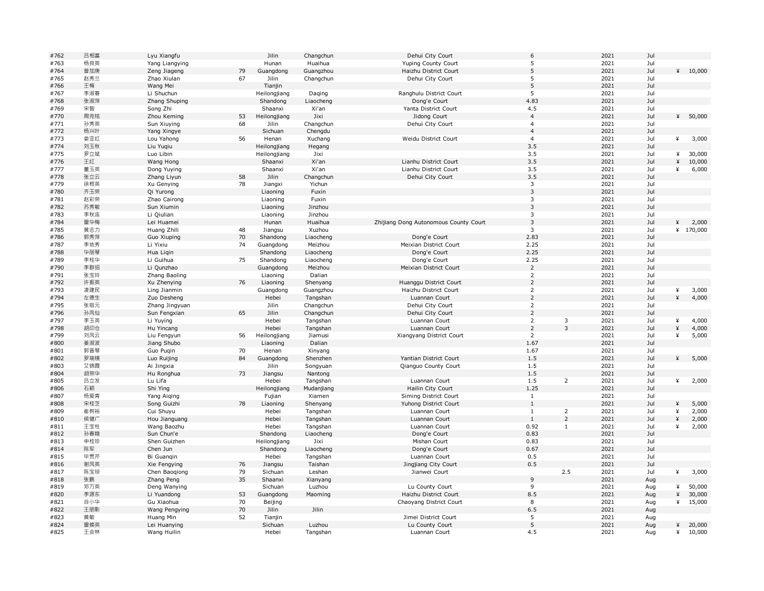| #762         | 吕相富       | Lyu Xiangfu                  |    | Jilin             | Changchun             | Dehui City Court                      | 6              |                | 2021         | Jul        |        |           |
|--------------|-----------|------------------------------|----|-------------------|-----------------------|---------------------------------------|----------------|----------------|--------------|------------|--------|-----------|
| #763         | 杨良英       | Yang Liangying               |    | Hunan             | Huaihua               | Yuping County Court                   | 5              |                | 2021         | Jul        |        |           |
| #764         | 曾加庚       | Zeng Jiageng                 | 79 | Guangdong         | Guangzhou             | Haizhu District Court                 | 5              |                | 2021         | Jul        |        | 410,000   |
| #765         | 赵秀兰       | Zhao Xiulan                  | 67 | Jilin             | Changchun             | Dehui City Court                      | 5              |                | 2021         | Jul        |        |           |
| #766         | 王梅        | Wang Mei                     |    | Tianjin           |                       |                                       | 5              |                | 2021         | Jul        |        |           |
| #767         | 李淑春       | Li Shuchun                   |    | Heilongjiang      | Daging                | Ranghulu District Court               | 5              |                | 2021         | Jul        |        |           |
| #768         | 张淑萍       | Zhang Shuping                |    | Shandong          | Liaocheng             | Dong'e Court                          | 4.83           |                | 2021         | Jul        |        |           |
| #769         | 宋智        | Song Zhi                     |    | Shaanxi           | Xi'an                 | Yanta District Court                  | 4.5            |                | 2021         | Jul        |        |           |
| #770         | 周克铭       | Zhou Keming                  | 53 | Heilongjiang      | Jixi                  | Jidong Court                          | $\overline{4}$ |                | 2021         | Jul        | ¥      | 50,000    |
| #771         | 孙秀英       | Sun Xiuying                  | 68 | Jilin             | Changchun             | Dehui City Court                      | $\overline{4}$ |                | 2021         | Jul        |        |           |
| #772         | 杨兴叶       | Yang Xingye                  |    | Sichuan           | Chengdu               |                                       | $\overline{4}$ |                | 2021         | Jul        |        |           |
| #773         | 娄亚红       | Lou Yahong                   | 56 | Henan             | Xuchang               | Weidu District Court                  | $\overline{4}$ |                | 2021         | Jul        | ¥      | 3,000     |
| #774         | 刘玉秋       | Liu Yuqiu                    |    | Heilongjiang      | Hegang                |                                       | 3.5            |                | 2021         | Jul        |        |           |
| #775         | 罗立斌       | Luo Libin                    |    | Heilongjiang      | Jixi                  |                                       | 3.5            |                | 2021         | Jul        | ¥      | 30,000    |
| #776         | 王红        | Wang Hong                    |    | Shaanxi           | Xi'an                 | Lianhu District Court                 | 3.5            |                | 2021         | Jul        | ¥      | 10,000    |
| #777         | 董玉英       | Dong Yuying                  |    | Shaanxi           | Xi'an                 | Lianhu District Court                 | 3.5            |                | 2021         | Jul        | ¥      | 6,000     |
| #778         | 张立云       | Zhang Liyun                  | 58 | Jilin             | Changchun             | Dehui City Court                      | 3.5            |                | 2021         | Jul        |        |           |
| #779         | 徐根英       | Xu Genying                   | 78 | Jiangxi           | Yichun                |                                       | 3              |                | 2021         | Jul        |        |           |
| #780         | 齐玉荣       | Qi Yurong                    |    | Liaoning          | Fuxin                 |                                       | $\mathbf{3}$   |                | 2021         | Jul        |        |           |
| #781         | 赵彩荣       | Zhao Cairong                 |    | Liaoning          | Fuxin                 |                                       | 3              |                | 2021         | Jul        |        |           |
| #782         | 苏秀敏       | Sun Xiumin                   |    | Liaoning          | Jinzhou               |                                       | $\overline{3}$ |                | 2021         | Jul        |        |           |
| #783         | 李秋连       | Li Qiulian                   |    | Liaoning          | Jinzhou               |                                       | 3              |                | 2021         | Jul        |        |           |
| #784         | 雷华梅       | Lei Huamei                   |    | Hunan             | Huaihua               | Zhijiang Dong Autonomous County Court | $\mathbf{3}$   |                | 2021         | Jul        | ¥      | 2,000     |
| #785         | 黄志力       | Huang Zhili                  | 48 | Jiangsu           | Xuzhou                |                                       | 3              |                | 2021         | Jul        |        | ¥ 170,000 |
| #786         | 郭秀萍       | Guo Xiuping                  | 70 | Shandong          | Liaocheng             | Dong'e Court                          | 2.83           |                | 2021         | Jul        |        |           |
| #787         | 李依秀       | Li Yixiu                     | 74 | Guangdong         | Meizhou               | Meixian District Court                | 2.25           |                | 2021         | Jul        |        |           |
| #788         | 华丽琴       | Hua Ligin                    |    | Shandong          | Liaocheng             | Dong'e Court                          | 2.25           |                | 2021         | Jul        |        |           |
| #789         | 李桂华       | Li Guihua                    | 75 | Shandong          | Liaocheng             | Dong'e Court                          | 2.25           |                | 2021         | Jul        |        |           |
| #790         | 李群招       | Li Qunzhao                   |    | Guangdong         | Meizhou               | Meixian District Court                | $\overline{2}$ |                | 2021         | Jul        |        |           |
| #791         | 张宝玲       | Zhang Baoling                |    | Liaoning          | Dalian                |                                       | $\overline{2}$ |                | 2021         | Jul        |        |           |
| #792         | 许振英       | Xu Zhenying                  | 76 | Liaoning          | Shenyang              | Huanggu District Court                | $\overline{2}$ |                | 2021         | Jul        |        |           |
| #793         | 凌建民       | Ling Jianmin                 |    | Guangdong         | Guangzhou             | Haizhu District Court                 | $\mathsf{2}$   |                | 2021         | Jul        | ¥      | 3,000     |
| #794         | 左德生       | Zuo Desheng                  |    | Hebei             | Tangshan              | Luannan Court                         | $\overline{2}$ |                | 2021         | Jul        | ¥      | 4,000     |
| #795         | 张敬元       | Zhang Jingyuan               |    | Jilin             | Changchun             | Dehui City Court                      | $\overline{2}$ |                | 2021         | Jul        |        |           |
| #796         | 孙凤仙       | Sun Fengxian                 | 65 | Jilin             | Changchun             | Dehui City Court                      | $\overline{2}$ |                | 2021         | Jul        |        |           |
| #797         | 李玉英       | Li Yuying                    |    | Hebei             | Tangshan              | Luannan Court                         | $\overline{2}$ | $\mathsf 3$    | 2021         | Jul        | ¥      | 4,000     |
| #798         | 胡印仓       | Hu Yincang                   |    | Hebei             | Tangshan              | Luannan Court                         | $\overline{2}$ | $\overline{3}$ | 2021         | Jul        | ¥      | 4,000     |
| #799         | 刘凤云       | Liu Fengyun                  | 56 | Heilongjiang      | Jiamusi               | Xiangyang District Court              | $\overline{2}$ |                | 2021         | Jul        | ¥      | 5,000     |
| #800         | 姜淑波       | Jiang Shubo                  |    | Liaoning          | Dalian                |                                       | 1.67           |                | 2021         | Jul        |        |           |
| #801         | 郭普琴       | Guo Pugin                    | 70 | Henan             | Xinyang               |                                       | 1.67           |                | 2021         | Jul        |        |           |
| #802         | 罗瑞镜       | Luo Ruijing                  | 84 | Guangdong         | Shenzhen              | Yantian District Court                | 1.5            |                | 2021         | Jul        | ¥      | 5,000     |
| #803         | 艾锦霞       | Ai Jingxia                   |    | Jilin             | Songyuan              | Qianguo County Court                  | 1.5            |                | 2021         | Jul        |        |           |
| #804         | 胡荣华       | Hu Ronghua                   | 73 | Jiangsu           | Nantong               |                                       | 1.5            |                | 2021         | Jul        |        |           |
| #805         | 吕立发       | Lu Lifa                      |    | Hebei             | Tangshan              | Luannan Court                         | 1.5            | $\overline{2}$ | 2021         | Jul        | ¥      | 2,000     |
| #806         | 石颖        |                              |    | Heilongjiang      | Mudanjiang            | Hailin City Court                     | 1.25           |                | 2021         | Jul        |        |           |
| #807         | 杨爱青       | Shi Ying<br>Yang Aiging      |    | Fujian            | Xiamen                | Siming District Court                 | $\mathbf{1}$   |                | 2021         | Jul        |        |           |
| #808         | 宋桂芝       | Song Guizhi                  | 78 | Liaoning          | Shenyang              | Yuhong District Court                 | $\mathbf{1}$   |                | 2021         | Jul        | ¥      | 5,000     |
| #809         | 崔树裕       | Cui Shuyu                    |    | Hebei             | Tangshan              | Luannan Court                         | $\mathbf{1}$   | $\overline{2}$ | 2021         | Jul        | ¥      | 2,000     |
| #810         | 侯健广       |                              |    | Hebei             | Tangshan              | Luannan Court                         | $\mathbf{1}$   | $\overline{2}$ | 2021         | Jul        | ¥      | 2,000     |
| #811         | 王宝柱       | Hou Jianguang<br>Wang Baozhu |    | Hebei             |                       | Luannan Court                         | 0.92           | $\mathbf{1}$   | 2021         | Jul        | ¥      | 2,000     |
| #812         | 孙春娥       | Sun Chun'e                   |    | Shandong          | Tangshan<br>Liaocheng |                                       | 0.83           |                | 2021         | Jul        |        |           |
| #813         | 申桂珍       | Shen Guizhen                 |    |                   | Jixi                  | Dong'e Court<br>Mishan Court          |                |                | 2021         | Jul        |        |           |
|              |           |                              |    | Heilongjiang      |                       |                                       | 0.83           |                |              |            |        |           |
| #814<br>#815 | 陈军<br>毕贯芹 | Chen Jun                     |    | Shandong<br>Hebei | Liaocheng             | Dong'e Court                          | 0.67<br>0.5    |                | 2021<br>2021 | Jul<br>Jul |        |           |
|              |           | Bi Guangin                   |    |                   | Tangshan              | Luannan Court                         |                |                |              |            |        |           |
| #816         | 谢凤英       | Xie Fengying                 | 76 | Jiangsu           | Taishan               | Jingjiang City Court                  | 0.5            |                | 2021         | Jul        |        |           |
| #817         | 陈宝琼       | Chen Baoqiong                | 79 | Sichuan           | Leshan                | Jianwei Court                         |                | 2.5            | 2021         | Jul        | ¥      | 3,000     |
| #818         | 张鹏        | Zhang Peng                   | 35 | Shaanxi           | Xianyang              |                                       | 9              |                | 2021         | Aug        |        |           |
| #819         | 邓万英       | Deng Wanying                 |    | Sichuan           | Luzhou                | Lu County Court                       | 9              |                | 2021         | Aug        | ¥<br>¥ | 50,000    |
| #820         | 李源东       | Li Yuandong                  | 53 | Guangdong         | Maoming               | Haizhu District Court                 | 8.5            |                | 2021         | Aug        |        | 30,000    |
| #821         | 谷小华       | Gu Xiaohua                   | 70 | Beijing           |                       | Chaoyang District Court               | 8              |                | 2021         | Aug        | ¥      | 15,000    |
| #822         | 王朋影       | Wang Pengying                | 70 | Jilin             | Jilin                 |                                       | 6.5<br>5       |                | 2021         | Aug        |        |           |
| #823         | 黄敏        | Huang Min                    | 52 | Tianjin           |                       | Jimei District Court                  | 5              |                | 2021         | Aug        |        |           |
| #824         | 雷焕英       | Lei Huanying                 |    | Sichuan           | Luzhou                | Lu County Court                       |                |                | 2021         | Aug        | ¥      | 20,000    |
| #825         | 王会林       | Wang Huilin                  |    | Hebei             | Tangshan              | Luannan Court                         | 4.5            |                | 2021         | Aug        | ¥      | 10,000    |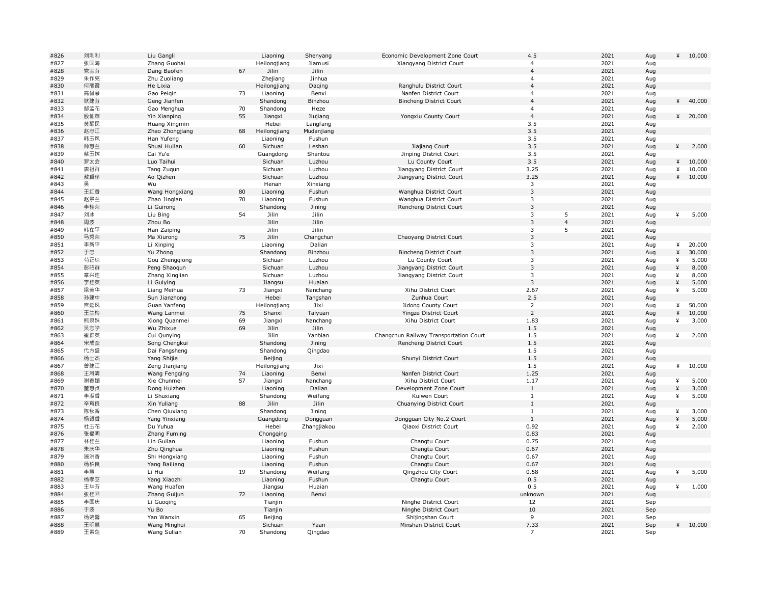| #826         | 刘刚利 | Liu Gangli      |    | Liaoning             | Shenyang          | Economic Development Zone Court        | 4.5            |                | 2021 | Aug | ¥ | 10,000  |
|--------------|-----|-----------------|----|----------------------|-------------------|----------------------------------------|----------------|----------------|------|-----|---|---------|
| #827         | 张国海 | Zhang Guohai    |    | Heilongjiang         | Jiamusi           | Xiangyang District Court               | $\overline{4}$ |                | 2021 | Aug |   |         |
| #828         | 党宝芬 | Dang Baofen     | 67 | Jilin                | Jilin             |                                        | $\overline{4}$ |                | 2021 | Aug |   |         |
| #829         | 朱作亮 | Zhu Zuoliang    |    | Zhejiang             | Jinhua            |                                        | 4              |                | 2021 | Aug |   |         |
| #830         | 何丽霞 | He Lixia        |    | Heilongjiang         | Daqing            | Ranghulu District Court                | $\overline{4}$ |                | 2021 | Aug |   |         |
| #831         | 高佩琴 | Gao Peigin      | 73 | Liaoning             | Benxi             | Nanfen District Court                  | $\overline{4}$ |                | 2021 | Aug |   |         |
| #832         | 耿建芬 | Geng Jianfen    |    | Shandong             | Binzhou           | <b>Bincheng District Court</b>         | $\overline{4}$ |                | 2021 | Aug | ¥ | 40,000  |
| #833         | 郜孟花 | Gao Menghua     | 70 | Shandong             | Heze              |                                        | $\overline{4}$ |                | 2021 | Aug |   |         |
| #834         | 殷仙萍 | Yin Xianping    | 55 | Jiangxi              | Jiujiang          | Yongxiu County Court                   | $\overline{4}$ |                | 2021 | Aug |   | 420,000 |
| #835         | 黄醒民 | Huang Xingmin   |    | Hebei                | Langfang          |                                        | 3.5            |                | 2021 | Aug |   |         |
| #836         | 赵忠江 | Zhao Zhongjiang | 68 | Heilongjiang         | Mudanjiang        |                                        | 3.5            |                | 2021 | Aug |   |         |
| #837         | 韩玉凤 | Han Yufeng      |    | Liaoning             | Fushun            |                                        | 3.5            |                | 2021 | Aug |   |         |
| #838         | 帅惠兰 | Shuai Huilan    | 60 | Sichuan              | Leshan            | Jiajiang Court                         | 3.5            |                | 2021 |     | ¥ | 2,000   |
|              | 蔡玉嫦 | Cai Yu'e        |    |                      |                   | Jinping District Court                 | 3.5            |                | 2021 | Aug |   |         |
| #839<br>#840 | 罗太会 | Luo Taihui      |    | Guangdong<br>Sichuan | Shantou<br>Luzhou |                                        | 3.5            |                | 2021 | Aug | ¥ |         |
|              |     |                 |    |                      |                   | Lu County Court                        |                |                |      | Aug |   | 10,000  |
| #841         | 唐祖群 | Tang Zuqun      |    | Sichuan              | Luzhou            | Jiangyang District Court               | 3.25           |                | 2021 | Aug | ¥ | 10,000  |
| #842         | 敖启珍 | Ao Qizhen       |    | Sichuan              | Luzhou            | Jiangyang District Court               | 3.25           |                | 2021 | Aug | ¥ | 10,000  |
| #843         | 룾   | Wu              |    | Henan                | Xinxiang          |                                        | 3              |                | 2021 | Aug |   |         |
| #844         | 王红香 | Wang Hongxiang  | 80 | Liaoning             | Fushun            | Wanghua District Court                 | 3              |                | 2021 | Aug |   |         |
| #845         | 赵景兰 | Zhao Jinglan    | 70 | Liaoning             | Fushun            | Wanghua District Court                 | 3              |                | 2021 | Aug |   |         |
| #846         | 李桂荣 | Li Guirong      |    | Shandong             | Jining            | Rencheng District Court                | $\overline{3}$ |                | 2021 | Aug |   |         |
| #847         | 刘冰  | Liu Bing        | 54 | Jilin                | Jilin             |                                        | 3              | 5              | 2021 | Aug | ¥ | 5,000   |
| #848         | 周波  | Zhou Bo         |    | Jilin                | Jilin             |                                        | $\mathbf{3}$   | $\overline{4}$ | 2021 | Aug |   |         |
| #849         | 韩在平 | Han Zaiping     |    | Jilin                | Jilin             |                                        | 3              | 5              | 2021 | Aug |   |         |
| #850         | 马秀荣 | Ma Xiurong      | 75 | Jilin                | Changchun         | Chaoyang District Court                | 3              |                | 2021 | Aug |   |         |
| #851         | 李新平 | Li Xinping      |    | Liaoning             | Dalian            |                                        | 3              |                | 2021 | Aug | ¥ | 20,000  |
| #852         | 于忠  | Yu Zhong        |    | Shandong             | Binzhou           | <b>Bincheng District Court</b>         | $\mathsf 3$    |                | 2021 | Aug | ¥ | 30,000  |
| #853         | 苟正琼 | Gou Zhengqiong  |    | Sichuan              | Luzhou            | Lu County Court                        | 3              |                | 2021 | Aug | ¥ | 5,000   |
| #854         | 彭昭群 | Peng Shaoqun    |    | Sichuan              | Luzhou            | Jiangyang District Court               | 3              |                | 2021 | Aug | ¥ | 8,000   |
| #855         | 章兴连 | Zhang Xinglian  |    | Sichuan              | Luzhou            | Jiangyang District Court               | 3              |                | 2021 | Aug | ¥ | 8,000   |
| #856         | 李桂英 | Li Guiying      |    | Jiangsu              | Huaian            |                                        | $\overline{3}$ |                | 2021 | Aug | ¥ | 5,000   |
| #857         | 梁美华 | Liang Meihua    | 73 | Jiangxi              | Nanchang          | Xihu District Court                    | 2.67           |                | 2021 | Aug | ¥ | 5,000   |
| #858         | 孙建中 | Sun Jianzhong   |    | Hebei                | Tangshan          | Zunhua Court                           | 2.5            |                | 2021 | Aug |   |         |
| #859         | 官延凤 | Guan Yanfeng    |    | Heilongjiang         | Jixi              | Jidong County Court                    | $\overline{2}$ |                | 2021 | Aug | ¥ | 50,000  |
| #860         | 王兰梅 | Wang Lanmei     | 75 | Shanxi               | Taiyuan           | Yingze District Court                  | $\overline{2}$ |                | 2021 | Aug | ¥ | 10,000  |
| #861         | 熊泉妹 | Xiong Quanmei   | 69 | Jiangxi              | Nanchang          | Xihu District Court                    | 1.83           |                | 2021 | Aug | ¥ | 3,000   |
| #862         | 吴志学 | Wu Zhixue       | 69 | Jilin                | Jilin             |                                        | 1.5            |                | 2021 | Aug |   |         |
| #863         | 崔群英 | Cui Qunying     |    | Jilin                | Yanbian           | Changchun Railway Transportation Court | 1.5            |                | 2021 | Aug | ¥ | 2,000   |
| #864         | 宋成奎 | Song Chengkui   |    | Shandong             | Jining            | Rencheng District Court                | 1.5            |                | 2021 | Aug |   |         |
| #865         | 代方盛 |                 |    | Shandong             |                   |                                        |                |                | 2021 |     |   |         |
|              |     | Dai Fangsheng   |    |                      | Qingdao           |                                        | 1.5<br>1.5     |                | 2021 | Aug |   |         |
| #866         | 杨士杰 | Yang Shijie     |    | Beijing              |                   | Shunyi District Court                  |                |                |      | Aug |   |         |
| #867         | 曾建江 | Zeng Jianjiang  |    | Heilongjiang         | Jixi              |                                        | 1.5            |                | 2021 | Aug | ¥ | 10,000  |
| #868         | 王风清 | Wang Fengqing   | 74 | Liaoning             | Benxi             | Nanfen District Court                  | 1.25           |                | 2021 | Aug |   |         |
| #869         | 谢春媚 | Xie Chunmei     | 57 | Jiangxi              | Nanchang          | Xihu District Court                    | 1.17           |                | 2021 | Aug | ¥ | 5,000   |
| #870         | 董惠贞 | Dong Huizhen    |    | Liaoning             | Dalian            | Development Zone Court                 | $\mathbf{1}$   |                | 2021 | Aug | ¥ | 3,000   |
| #871         | 李淑香 | Li Shuxiang     |    | Shandong             | Weifang           | Kuiwen Court                           | $1\,$          |                | 2021 | Aug | ¥ | 5,000   |
| #872         | 辛育良 | Xin Yuliang     | 88 | Jilin                | Jilin             | Chuanying District Court               | $\mathbf{1}$   |                | 2021 | Aug |   |         |
| #873         | 陈秋香 | Chen Qiuxiang   |    | Shandong             | Jining            |                                        | $\mathbf{1}$   |                | 2021 | Aug | ¥ | 3,000   |
| #874         | 杨银香 | Yang Yinxiang   |    | Guangdong            | Dongguan          | Dongguan City No.2 Court               | $\mathbf{1}$   |                | 2021 | Aug | ¥ | 5,000   |
| #875         | 杜玉花 | Du Yuhua        |    | Hebei                | Zhangjiakou       | Qiaoxi District Court                  | 0.92           |                | 2021 | Aug | ¥ | 2,000   |
| #876         | 张福明 | Zhang Fuming    |    | Chongqing            |                   |                                        | 0.83           |                | 2021 | Aug |   |         |
| #877         | 林桂兰 | Lin Guilan      |    | Liaoning             | Fushun            | Changtu Court                          | 0.75           |                | 2021 | Aug |   |         |
| #878         | 朱庆华 | Zhu Qinghua     |    | Liaoning             | Fushun            | Changtu Court                          | 0.67           |                | 2021 | Aug |   |         |
| #879         | 施洪香 | Shi Hongxiang   |    | Liaoning             | Fushun            | Changtu Court                          | 0.67           |                | 2021 | Aug |   |         |
| #880         | 杨柏良 | Yang Bailiang   |    | Liaoning             | Fushun            | Changtu Court                          | 0.67           |                | 2021 | Aug |   |         |
| #881         | 李慧  | Li Hui          | 19 | Shandong             | Weifang           | Qingzhou City Court                    | 0.58           |                | 2021 | Aug | ¥ | 5,000   |
| #882         | 杨孝芝 | Yang Xiaozhi    |    | Liaoning             | Fushun            | Changtu Court                          | 0.5            |                | 2021 | Aug |   |         |
| #883         | 王华芬 | Wang Huafen     |    | Jiangsu              | Huaian            |                                        | 0.5            |                | 2021 | Aug | ¥ | 1,000   |
| #884         | 张桂君 | Zhang Guijun    | 72 | Liaoning             | Benxi             |                                        | unknown        |                | 2021 | Aug |   |         |
| #885         | 李国庆 | Li Guoqing      |    | Tianjin              |                   | Ninghe District Court                  | 12             |                | 2021 | Sep |   |         |
| #886         | 于波  | Yu Bo           |    | Tianjin              |                   | Ninghe District Court                  | 10             |                | 2021 | Sep |   |         |
| #887         | 杨婉馨 | Yan Wanxin      | 65 | Beijing              |                   | Shijingshan Court                      | 9              |                | 2021 | Sep |   |         |
| #888         | 王明慧 | Wang Minghui    |    | Sichuan              | Yaan              | Minshan District Court                 | 7.33           |                | 2021 | Sep |   | 410,000 |
| #889         | 王素莲 | Wang Sulian     | 70 | Shandong             | Qingdao           |                                        | 7              |                | 2021 | Sep |   |         |
|              |     |                 |    |                      |                   |                                        |                |                |      |     |   |         |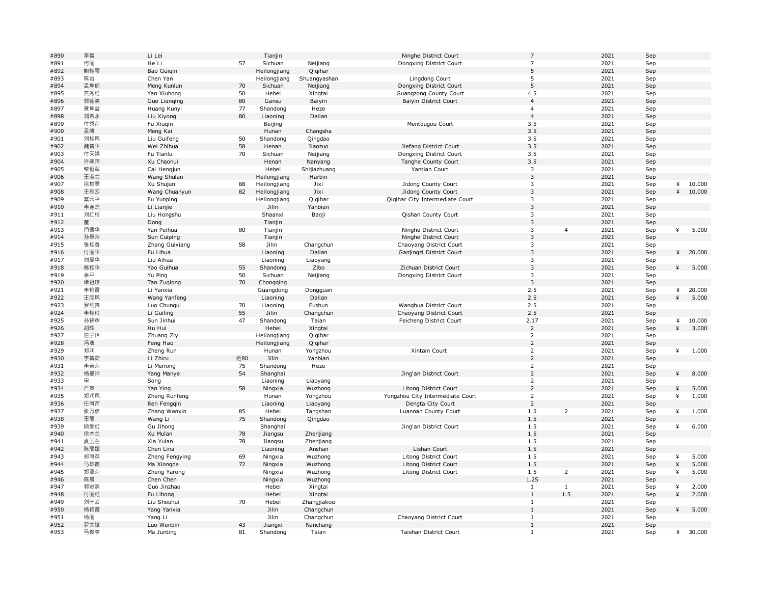| #890         | 李蕾         | Li Lei         |     | Tianjin      |                    | Ninghe District Court            | $\overline{7}$                   |                | 2021         | Sep |        |                 |
|--------------|------------|----------------|-----|--------------|--------------------|----------------------------------|----------------------------------|----------------|--------------|-----|--------|-----------------|
| #891         | 何丽         | He Li          | 57  | Sichuan      | Neijiang           | Dongxing District Court          | $\overline{7}$                   |                | 2021         | Sep |        |                 |
| #892         | 鲍桂琴        | Bao Guigin     |     | Heilongjiang | Qiqihar            |                                  | 5                                |                | 2021         | Sep |        |                 |
| #893         | 陈岩         | Chen Yan       |     | Heilongjiang | Shuanqyashan       | Lingdong Court                   | 5                                |                | 2021         | Sep |        |                 |
| #894         | 孟坤伦        | Meng Kunlun    | 70  | Sichuan      | Neijiang           | Dongxing District Court          | 5                                |                | 2021         | Sep |        |                 |
| #895         | 燕秀红        | Yan Xiuhong    | 50  | Hebei        | Xingtai            | Guangzong County Court           | 4.5                              |                | 2021         | Sep |        |                 |
| #896         | 郭莲清        | Guo Lianging   | 80  | Gansu        | Baiyin             | Baiyin District Court            | $\overline{4}$                   |                | 2021         | Sep |        |                 |
| #897         | 黄坤益        | Huang Kunyi    | 77  | Shandong     | Heze               |                                  | $\overline{4}$                   |                | 2021         | Sep |        |                 |
| #898         | 刘希永        | Liu Xiyong     | 80  | Liaoning     | Dalian             |                                  | $\overline{4}$                   |                | 2021         | Sep |        |                 |
| #899         | 付秀芹        | Fu Xiuqin      |     | Beijing      |                    | Mentougou Court                  | 3.5                              |                | 2021         | Sep |        |                 |
| #900         | 孟凯         | Meng Kai       |     | Hunan        | Changsha           |                                  | 3.5                              |                | 2021         | Sep |        |                 |
| #901         | 刘桂凤        | Liu Guifeng    | 50  | Shandong     | Qingdao            |                                  | 3.5                              |                | 2021         | Sep |        |                 |
| #902         | 魏智华        | Wei Zhihua     | 58  | Henan        | Jiaozuo            | Jiefang District Court           | 3.5                              |                | 2021         | Sep |        |                 |
| #903         | 付天禄        | Fu Tianlu      | 70  | Sichuan      | Neijiang           | Dongxing District Court          | 3.5                              |                | 2021         | Sep |        |                 |
| #904         | 许朝晖        | Xu Chaohui     |     | Henan        | Nanyang            | Tanghe County Court              | 3.5                              |                | 2021         | Sep |        |                 |
| #905         | 蔡恒军        | Cai Hengjun    |     | Hebei        | Shijiazhuang       | Yantian Court                    | 3                                |                | 2021         | Sep |        |                 |
| #906         | 王淑兰        | Wang Shulan    |     | Heilongjiang | Harbin             |                                  | 3                                |                | 2021         | Sep |        |                 |
| #907         | 徐树君        | Xu Shujun      | 88  | Heilongjiang | Jixi               | Jidong County Court              | 3                                |                | 2021         | Sep | ¥      | 10,000          |
| #908         | 王传云        | Wang Chuanyun  | 82  | Heilongjiang | Jixi               | Jidong County Court              | 3                                |                | 2021         | Sep | ¥      | 10,000          |
| #909         | 富云平        | Fu Yunping     |     | Heilongjiang | Qiqihar            | Qiqihar City Intermediate Court  | $\mathsf 3$                      |                | 2021         | Sep |        |                 |
| #910         | 李连杰        | Li Lianjie     |     | Jilin        | Yanbian            |                                  | $\overline{3}$                   |                | 2021         | Sep |        |                 |
| #911         | 刘红枢        | Liu Hongshu    |     | Shaanxi      | Baoji              | <b>Qishan County Court</b>       | 3                                |                | 2021         | Sep |        |                 |
| #912         | 董          | Dong           |     | Tianjin      |                    |                                  | $\overline{3}$                   |                | 2021         | Sep |        |                 |
| #913         | 闫佩华        | Yan Peihua     | 80  | Tianjin      |                    | Ninghe District Court            | 3                                | $\overline{4}$ | 2021         | Sep | ¥      | 5,000           |
| #914         | 孙翠萍        | Sun Cuiping    |     | Tianjin      |                    | Ninghe District Court            | 3                                |                | 2021         | Sep |        |                 |
| #915         | 张桂香        | Zhang Guixiang | 58  | Jilin        | Changchun          | Chaoyang District Court          | 3                                |                | 2021         | Sep |        |                 |
| #916         | 付丽华        | Fu Lihua       |     | Liaoning     | Dalian             | Ganjingzi District Court         | $\mathsf 3$                      |                | 2021         | Sep | ¥      | 20,000          |
| #917         | 刘爱华        | Liu Aihua      |     | Liaoning     | Liaoyang           |                                  | 3                                |                | 2021         | Sep |        |                 |
| #918         | 姚桂华        | Yao Guihua     | 55  | Shandong     | Zibo               | Zichuan District Court           | $\overline{3}$                   |                | 2021         | Sep | ¥      | 5,000           |
| #919         | 余平         | Yu Ping        | 50  | Sichuan      | Neijiang           | Dongxing District Court          | 3                                |                | 2021         | Sep |        |                 |
| #920         | 谭祖琼        | Tan Zugiong    | 70  | Chongqing    |                    |                                  | $\overline{3}$                   |                | 2021         | Sep |        |                 |
| #921         | 李艳霞        | Li Yanxia      |     | Guangdong    | Dongguan           |                                  | 2.5                              |                | 2021         | Sep | ¥      | 20,000          |
| #922         | 王彦风        | Wang Yanfeng   |     | Liaoning     | Dalian             |                                  | 2.5                              |                | 2021         | Sep | ¥      | 5,000           |
|              | 罗纯贵        | Luo Chungui    | 70  |              | Fushun             | Wanghua District Court           |                                  |                | 2021         |     |        |                 |
| #923         |            |                |     | Liaoning     |                    |                                  | 2.5                              |                |              | Sep |        |                 |
| #924         | 李桂玲        | Li Guiling     | 55  | Jilin        | Changchun          | Chaoyang District Court          | 2.5                              |                | 2021         | Sep |        |                 |
| #925<br>#926 | 孙锦辉        | Sun Jinhui     | 47  | Shandong     | Taian              | Feicheng District Court          | 2.17<br>$\overline{2}$           |                | 2021<br>2021 | Sep | ¥<br>¥ | 10,000<br>3,000 |
| #927         | 胡辉<br>庄子怡  | Hu Hui         |     | Hebei        | Xingtai<br>Qiqihar |                                  | $\overline{2}$                   |                | 2021         | Sep |        |                 |
| #928         |            | Zhuang Ziyi    |     | Heilongjiang |                    |                                  | $\overline{2}$                   |                | 2021         | Sep |        |                 |
| #929         | 冯浩<br>郑润   | Feng Hao       |     | Heilongjiang | Qiqihar            | Xintain Court                    |                                  |                |              | Sep | ¥      |                 |
|              |            | Zheng Run      |     | Hunan        | Yongzhou           |                                  | $\overline{2}$                   |                | 2021         | Sep |        | 1,000           |
| #930         | 李智茹        | Li Zhiru       | 近80 | Jilin        | Yanbian            |                                  | $\overline{2}$                   |                | 2021         | Sep |        |                 |
| #931         | 李美荣        | Li Meirong     | 75  | Shandong     | Heze               |                                  | $\overline{2}$<br>$\overline{2}$ |                | 2021         | Sep |        |                 |
| #932         | 杨曼晔        | Yang Manye     | 54  | Shanghai     |                    | Jing'an District Court           |                                  |                | 2021         | Sep | ¥      | 8,000           |
| #933         | 宋          | Song           |     | Liaoning     | Liaoyang           |                                  | $\overline{2}$                   |                | 2021         | Sep |        |                 |
| #934         | 严英         | Yan Ying       | 58  | Ningxia      | Wuzhong            | Litong District Court            | $\overline{2}$                   |                | 2021         | Sep | ¥      | 5,000           |
| #935         | 郑润凤<br>任凤芹 | Zheng Runfeng  |     | Hunan        | Yongzhou           | Yongzhou City Intermediate Court | $\overline{2}$<br>$\overline{2}$ |                | 2021<br>2021 | Sep | ¥      | 1,000           |
| #936         |            | Ren Fenggin    |     | Liaoning     | Liaoyang           | Dengta City Court                |                                  |                |              | Sep |        |                 |
| #937         | 张万信        | Zhang Wanxin   | 85  | Hebei        | Tangshan           | Luannan County Court             | 1.5                              | $\overline{2}$ | 2021         | Sep | ¥      | 1,000           |
| #938         | 王丽         | Wang Li        | 75  | Shandong     | Qingdao            |                                  | 1.5                              |                | 2021         | Sep |        |                 |
| #939         | 顾继红        | Gu Jihong      |     | Shanghai     |                    | Jing'an District Court           | 1.5                              |                | 2021         | Sep | ¥      | 6,000           |
| #940         | 徐木兰        | Xu Mulan       | 78  | Jiangsu      | Zhenjiang          |                                  | 1.5                              |                | 2021         | Sep |        |                 |
| #941         | 夏玉兰        | Xia Yulan      | 78  | Jiangsu      | Zhenjiang          |                                  | 1.5                              |                | 2021         | Sep |        |                 |
| #942         | 陈丽娜        | Chen Lina      |     | Liaoning     | Anshan             | Lishan Court                     | 1.5                              |                | 2021         | Sep |        |                 |
| #943         | 郑凤英        | Zheng Fengying | 69  | Ningxia      | Wuzhong            | Litong District Court            | 1.5                              |                | 2021         | Sep | ¥      | 5,000           |
| #944         | 马雄德        | Ma Xiongde     | 72  | Ningxia      | Wuzhong            | Litong District Court            | 1.5                              |                | 2021         | Sep | ¥      | 5,000           |
| #945         | 郑亚荣        | Zheng Yarong   |     | Ningxia      | Wuzhong            | Litong District Court            | 1.5                              | $\overline{2}$ | 2021         | Sep | ¥      | 5,000           |
| #946         | 陈晨         | Chen Chen      |     | Ningxia      | Wuzhong            |                                  | 1.25                             |                | 2021         | Sep |        |                 |
| #947         | 郭进照        | Guo Jinzhao    |     | Hebei        | Xingtai            |                                  | $\mathbf{1}$                     | $\mathbf{1}$   | 2021         | Sep | ¥      | 2,000           |
| #948         | 付丽红        | Fu Lihong      |     | Hebei        | Xingtai            |                                  | $\,1\,$                          | $1.5\,$        | 2021         | Sep | ¥      | 2,000           |
| #949         | 刘守会        | Liu Shouhui    | 70  | Hebei        | Zhangjiakou        |                                  | 1                                |                | 2021         | Sep |        |                 |
| #950         | 杨艳霞        | Yang Yanxia    |     | Jilin        | Changchun          |                                  | $\mathbf{1}$                     |                | 2021         | Sep | ¥      | 5,000           |
| #951         | 杨丽         | Yang Li        |     | Jilin        | Changchun          | Chaoyang District Court          | $\mathbf{1}$                     |                | 2021         | Sep |        |                 |
| #952         | 罗文斌        | Luo Wenbin     | 43  | Jiangxi      | Nanchang           |                                  | $\,1\,$                          |                | 2021         | Sep |        |                 |
| #953         | 马俊亭        | Ma Junting     | 81  | Shandong     | Taian              | Taishan District Court           | $\mathbf{1}$                     |                | 2021         | Sep | ¥      | 30,000          |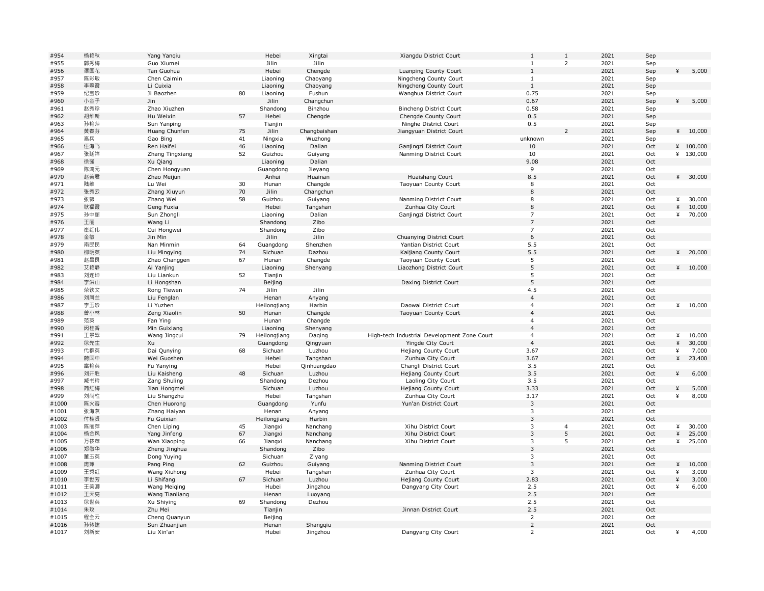| #954  | 杨艳秋 | Yang Yanqiu     |    | Hebei        | Xingtai      | Xiangdu District Court                      | 1                | $\mathbf{1}$   | 2021 | Sep |   |           |
|-------|-----|-----------------|----|--------------|--------------|---------------------------------------------|------------------|----------------|------|-----|---|-----------|
| #955  | 郭秀梅 | Guo Xiumei      |    | Jilin        | Jilin        |                                             | 1                | $\overline{2}$ | 2021 | Sep |   |           |
| #956  | 谭国花 | Tan Guohua      |    | Hebei        | Chengde      | Luanping County Court                       | $\mathbf{1}$     |                | 2021 | Sep | ¥ | 5,000     |
| #957  | 陈彩敏 | Chen Caimin     |    | Liaoning     | Chaoyang     | Ningcheng County Court                      | $\mathbf{1}$     |                | 2021 | Sep |   |           |
| #958  | 李翠霞 | Li Cuixia       |    | Liaoning     | Chaoyang     | Ningcheng County Court                      | $\mathbf{1}$     |                | 2021 | Sep |   |           |
| #959  | 纪宝珍 | Ji Baozhen      | 80 | Liaoning     | Fushun       | Wanghua District Court                      | 0.75             |                | 2021 | Sep |   |           |
| #960  | 小金子 | Jin             |    | Jilin        | Changchun    |                                             | 0.67             |                | 2021 | Sep | ¥ | 5,000     |
| #961  | 赵秀珍 | Zhao Xiuzhen    |    | Shandong     | Binzhou      | Bincheng District Court                     | 0.58             |                | 2021 | Sep |   |           |
| #962  | 胡维新 | Hu Weixin       | 57 | Hebei        | Chengde      | Chengde County Court                        | 0.5              |                | 2021 | Sep |   |           |
| #963  | 孙艳萍 | Sun Yanping     |    | Tianjin      |              | Ninghe District Court                       | 0.5              |                | 2021 | Sep |   |           |
| #964  | 黄春芬 | Huang Chunfen   | 75 | Jilin        | Changbaishan | Jiangyuan District Court                    |                  | $\overline{2}$ | 2021 | Sep |   | 410,000   |
| #965  | 高兵  | Gao Bing        | 41 |              | Wuzhong      |                                             |                  |                | 2021 |     |   |           |
|       |     |                 |    | Ningxia      |              |                                             | unknown          |                |      | Sep |   |           |
| #966  | 任海飞 | Ren Haifei      | 46 | Liaoning     | Dalian       | Ganjingzi District Court                    | 10               |                | 2021 | Oct |   | 4 100,000 |
| #967  | 张廷祥 | Zhang Tingxiang | 52 | Guizhou      | Guiyang      | Nanming District Court                      | 10               |                | 2021 | Oct |   | ¥ 130,000 |
| #968  | 徐强  | Xu Qiang        |    | Liaoning     | Dalian       |                                             | 9.08             |                | 2021 | Oct |   |           |
| #969  | 陈鸿元 | Chen Hongyuan   |    | Guangdong    | Jieyang      |                                             | 9                |                | 2021 | Oct |   |           |
| #970  | 赵美君 | Zhao Meijun     |    | Anhui        | Huainan      | Huaishang Court                             | 8.5              |                | 2021 | Oct |   | 4 30,000  |
| #971  | 陆维  | Lu Wei          | 30 | Hunan        | Changde      | Taoyuan County Court                        | 8                |                | 2021 | Oct |   |           |
| #972  | 张秀云 | Zhang Xiuyun    | 70 | Jilin        | Changchun    |                                             | $\,8\,$          |                | 2021 | Oct |   |           |
| #973  | 张薇  | Zhang Wei       | 58 | Guizhou      | Guiyang      | Nanming District Court                      | 8                |                | 2021 | Oct | ¥ | 30,000    |
| #974  | 耿福霞 | Geng Fuxia      |    | Hebei        | Tangshan     | Zunhua City Court                           | 8                |                | 2021 | Oct | ¥ | 10,000    |
| #975  | 孙中丽 | Sun Zhongli     |    | Liaoning     | Dalian       | Ganjingzi District Court                    | $\overline{7}$   |                | 2021 | Oct | ¥ | 70,000    |
| #976  | 王丽  | Wang Li         |    | Shandong     | Zibo         |                                             | $\overline{7}$   |                | 2021 | Oct |   |           |
| #977  | 崔红伟 | Cui Hongwei     |    | Shandong     | Zibo         |                                             | 7                |                | 2021 | Oct |   |           |
| #978  | 金敏  | Jin Min         |    | Jilin        | Jilin        | Chuanying District Court                    | $\boldsymbol{6}$ |                | 2021 | Oct |   |           |
| #979  | 南民民 | Nan Minmin      | 64 | Guangdong    | Shenzhen     | Yantian District Court                      | 5.5              |                | 2021 | Oct |   |           |
| #980  | 柳明英 | Liu Mingying    | 74 | Sichuan      | Dazhou       | Kaijiang County Court                       | 5.5              |                | 2021 | Oct | ¥ | 20,000    |
| #981  | 赵昌艮 | Zhao Changgen   | 67 | Hunan        | Changde      | Taoyuan County Court                        | 5                |                | 2021 | Oct |   |           |
| #982  | 艾艳静 | Ai Yanjing      |    | Liaoning     | Shenyang     | Liaozhong District Court                    | 5                |                | 2021 | Oct |   | 410,000   |
| #983  | 刘连坤 | Liu Liankun     | 52 |              |              |                                             | 5                |                | 2021 | Oct |   |           |
|       |     |                 |    | Tianjin      |              |                                             | 5                |                | 2021 |     |   |           |
| #984  | 李洪山 | Li Hongshan     |    | Beijing      |              | Daxing District Court                       |                  |                |      | Oct |   |           |
| #985  | 荣铁文 | Rong Tiewen     | 74 | Jilin        | Jilin        |                                             | 4.5              |                | 2021 | Oct |   |           |
| #986  | 刘凤兰 | Liu Fenglan     |    | Henan        | Anyang       |                                             | $\overline{4}$   |                | 2021 | Oct |   |           |
| #987  | 李玉珍 | Li Yuzhen       |    | Heilongjiang | Harbin       | Daowai District Court                       | $\overline{4}$   |                | 2021 | Oct | ¥ | 10,000    |
| #988  | 曾小林 | Zeng Xiaolin    | 50 | Hunan        | Changde      | Taoyuan County Court                        | $\overline{4}$   |                | 2021 | Oct |   |           |
| #989  | 范英  | Fan Ying        |    | Hunan        | Changde      |                                             | $\overline{4}$   |                | 2021 | Oct |   |           |
| #990  | 闵桂香 | Min Guixiang    |    | Liaoning     | Shenyang     |                                             | $\overline{4}$   |                | 2021 | Oct |   |           |
| #991  | 王景翠 | Wang Jingcui    | 79 | Heilongjiang | Daqing       | High-tech Industrial Development Zone Court | $\overline{4}$   |                | 2021 | Oct | ¥ | 10,000    |
| #992  | 徐先生 | Xu              |    | Guangdong    | Qingyuan     | Yingde City Court                           | $\overline{4}$   |                | 2021 | Oct | ¥ | 30,000    |
| #993  | 代群英 | Dai Qunying     | 68 | Sichuan      | Luzhou       | Hejiang County Court                        | 3.67             |                | 2021 | Oct | ¥ | 7,000     |
| #994  | 蔚国申 | Wei Guoshen     |    | Hebei        | Tangshan     | Zunhua City Court                           | 3.67             |                | 2021 | Oct | ¥ | 23,400    |
| #995  | 富艳英 | Fu Yanying      |    | Hebei        | Qinhuangdao  | Changli District Court                      | 3.5              |                | 2021 | Oct |   |           |
| #996  | 刘开胜 | Liu Kaisheng    | 48 | Sichuan      | Luzhou       | Hejiang County Court                        | 3.5              |                | 2021 | Oct | ¥ | 6,000     |
| #997  | 臧书玲 | Zang Shuling    |    | Shandong     | Dezhou       | Laoling City Court                          | 3.5              |                | 2021 | Oct |   |           |
| #998  | 简红梅 | Jian Hongmei    |    | Sichuan      | Luzhou       | Hejiang County Court                        | 3.33             |                | 2021 | Oct | ¥ | 5,000     |
| #999  | 刘尚柱 | Liu Shangzhu    |    | Hebei        | Tangshan     | Zunhua City Court                           | 3.17             |                | 2021 | Oct | ¥ | 8,000     |
| #1000 | 陈火容 | Chen Huorong    |    | Guangdong    | Yunfu        | Yun'an District Court                       | $\mathsf 3$      |                | 2021 | Oct |   |           |
| #1001 | 张海燕 | Zhang Haiyan    |    | Henan        | Anyang       |                                             | 3                |                | 2021 | Oct |   |           |
| #1002 | 付桂贤 | Fu Guixian      |    | Heilongjiang | Harbin       |                                             | 3                |                | 2021 | Oct |   |           |
| #1003 | 陈丽萍 |                 | 45 | Jiangxi      | Nanchang     | Xihu District Court                         | 3                | $\overline{4}$ | 2021 | Oct | ¥ | 30,000    |
| #1004 | 杨金凤 | Chen Liping     | 67 |              |              |                                             | $\mathsf 3$      | 5              | 2021 |     | ¥ |           |
|       |     | Yang Jinfeng    |    | Jiangxi      | Nanchang     | Xihu District Court                         |                  | 5              |      | Oct |   | 25,000    |
| #1005 | 万筱萍 | Wan Xiaoping    | 66 | Jiangxi      | Nanchang     | Xihu District Court                         | $\mathsf 3$      |                | 2021 | Oct | ¥ | 25,000    |
| #1006 | 郑敬华 | Zheng Jinghua   |    | Shandong     | Zibo         |                                             | 3                |                | 2021 | Oct |   |           |
| #1007 | 董玉英 | Dong Yuying     |    | Sichuan      | Ziyang       |                                             | 3                |                | 2021 | Oct |   |           |
| #1008 | 庞萍  | Pang Ping       | 62 | Guizhou      | Guiyang      | Nanming District Court                      | $\mathbf{3}$     |                | 2021 | Oct | ¥ | 10,000    |
| #1009 | 王秀红 | Wang Xiuhong    |    | Hebei        | Tangshan     | Zunhua City Court                           | 3                |                | 2021 | Oct | ¥ | 3,000     |
| #1010 | 李世芳 | Li Shifang      | 67 | Sichuan      | Luzhou       | Hejiang County Court                        | 2.83             |                | 2021 | Oct | ¥ | 3,000     |
| #1011 | 王美卿 | Wang Meiging    |    | Hubei        | Jingzhou     | Dangyang City Court                         | 2.5              |                | 2021 | Oct | ¥ | 6,000     |
| #1012 | 王天亮 | Wang Tianliang  |    | Henan        | Luoyang      |                                             | 2.5              |                | 2021 | Oct |   |           |
| #1013 | 徐世英 | Xu Shiying      | 69 | Shandong     | Dezhou       |                                             | 2.5              |                | 2021 | Oct |   |           |
| #1014 | 朱玫  | Zhu Mei         |    | Tianjin      |              | Jinnan District Court                       | 2.5              |                | 2021 | Oct |   |           |
| #1015 | 程全云 | Cheng Quanyun   |    | Beijing      |              |                                             | $\overline{2}$   |                | 2021 | Oct |   |           |
| #1016 | 孙转建 | Sun Zhuanjian   |    | Henan        | Shangqiu     |                                             | $\overline{2}$   |                | 2021 | Oct |   |           |
| #1017 | 刘新安 | Liu Xin'an      |    | Hubei        | Jingzhou     | Dangyang City Court                         | $\overline{2}$   |                | 2021 | Oct | ¥ | 4,000     |
|       |     |                 |    |              |              |                                             |                  |                |      |     |   |           |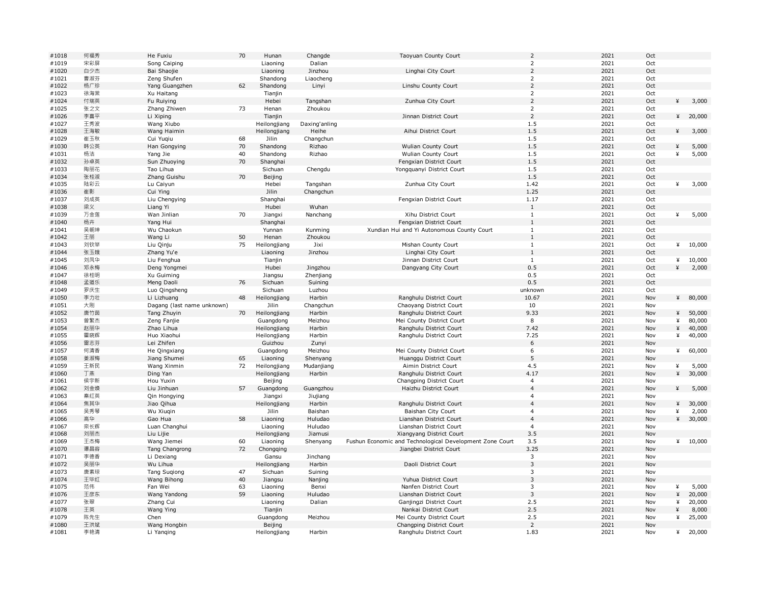| #1018 | 何福秀 | He Fuxiu                   | 70 | Hunan        | Changde       | Taoyuan County Court                                     | $\overline{2}$            | 2021 | Oct |   |         |
|-------|-----|----------------------------|----|--------------|---------------|----------------------------------------------------------|---------------------------|------|-----|---|---------|
| #1019 | 宋彩屏 | Song Caiping               |    | Liaoning     | Dalian        |                                                          | $\mathbf 2$               | 2021 | Oct |   |         |
| #1020 | 白少杰 | Bai Shaojie                |    | Liaoning     | Jinzhou       | Linghai City Court                                       | $\overline{2}$            | 2021 | Oct |   |         |
| #1021 | 曹淑芬 | Zeng Shufen                |    | Shandong     | Liaocheng     |                                                          | $\overline{2}$            | 2021 | Oct |   |         |
| #1022 | 杨广珍 | Yang Guangzhen             | 62 | Shandong     | Linyi         | Linshu County Court                                      | $\mathsf 2$               | 2021 | Oct |   |         |
| #1023 | 徐海棠 | Xu Haitang                 |    | Tianjin      |               |                                                          | $\overline{2}$            | 2021 | Oct |   |         |
| #1024 | 付瑞英 | Fu Ruiying                 |    | Hebei        | Tangshan      | Zunhua City Court                                        | $\overline{2}$            | 2021 | Oct | ¥ | 3,000   |
| #1025 | 张之文 | Zhang Zhiwen               | 73 | Henan        | Zhoukou       |                                                          | $\overline{2}$            | 2021 | Oct |   |         |
| #1026 | 李喜平 | Li Xiping                  |    | Tianjin      |               | Jinnan District Court                                    | $\overline{2}$            | 2021 | Oct | ¥ | 20,000  |
| #1027 | 王秀波 | Wang Xiubo                 |    | Heilongjiang | Daxing'anling |                                                          | 1.5                       | 2021 | Oct |   |         |
| #1028 | 王海敏 | Wang Haimin                |    | Heilongjiang | Heihe         | Aihui District Court                                     | 1.5                       | 2021 | Oct | ¥ | 3,000   |
| #1029 | 崔玉秋 | Cui Yuqiu                  | 68 | Jilin        | Changchun     |                                                          | 1.5                       | 2021 | Oct |   |         |
| #1030 | 韩公英 | Han Gongying               | 70 | Shandong     | Rizhao        | Wulian County Court                                      | 1.5                       | 2021 | Oct | ¥ | 5,000   |
| #1031 | 杨洁  | Yang Jie                   | 40 | Shandong     | Rizhao        | Wulian County Court                                      | 1.5                       | 2021 | Oct | ¥ | 5,000   |
| #1032 | 孙卓英 | Sun Zhuoying               | 70 | Shanghai     |               | Fengxian District Court                                  | 1.5                       | 2021 | Oct |   |         |
| #1033 | 陶丽花 | Tao Lihua                  |    | Sichuan      | Chengdu       | Yongquanyi District Court                                | 1.5                       | 2021 | Oct |   |         |
| #1034 | 张桂淑 | Zhang Guishu               | 70 | Beijing      |               |                                                          | 1.5                       | 2021 | Oct |   |         |
| #1035 | 陆彩云 | Lu Caiyun                  |    | Hebei        | Tangshan      | Zunhua City Court                                        | 1.42                      | 2021 | Oct | ¥ | 3,000   |
| #1036 | 崔影  | Cui Ying                   |    | Jilin        | Changchun     |                                                          | 1.25                      | 2021 | Oct |   |         |
| #1037 | 刘成英 |                            |    | Shanghai     |               | Fengxian District Court                                  | 1.17                      | 2021 | Oct |   |         |
| #1038 | 梁义  | Liu Chengying              |    |              |               |                                                          | <sup>1</sup>              | 2021 | Oct |   |         |
|       |     | Liang Yi                   |    | Hubei        | Wuhan         |                                                          |                           |      |     |   |         |
| #1039 | 万金莲 | Wan Jinlian                | 70 | Jiangxi      | Nanchang      | Xihu District Court                                      | 1                         | 2021 | Oct | ¥ | 5,000   |
| #1040 | 杨卉  | Yang Hui                   |    | Shanghai     |               | Fengxian District Court                                  | $\mathbf{1}$              | 2021 | Oct |   |         |
| #1041 | 吴朝坤 | Wu Chaokun                 |    | Yunnan       | Kunming       | Xundian Hui and Yi Autonomous County Court               | $\mathbf{1}$              | 2021 | Oct |   |         |
| #1042 | 王丽  | Wang Li                    | 50 | Henan        | Zhoukou       |                                                          | $\mathbf{1}$              | 2021 | Oct |   |         |
| #1043 | 刘钦举 | Liu Qinju                  | 75 | Heilongjiang | Jixi          | Mishan County Court                                      | $\mathbf 1$               | 2021 | Oct | ¥ | 10,000  |
| #1044 | 张玉娥 | Zhang Yu'e                 |    | Liaoning     | Jinzhou       | Linghai City Court                                       | $\mathbf{1}$              | 2021 | Oct |   |         |
| #1045 | 刘凤华 | Liu Fenghua                |    | Tianjin      |               | Jinnan District Court                                    | $\mathbf{1}$              | 2021 | Oct | ¥ | 10,000  |
| #1046 | 邓永梅 | Deng Yongmei               |    | Hubei        | Jingzhou      | Dangyang City Court                                      | 0.5                       | 2021 | Oct | ¥ | 2,000   |
| #1047 | 徐桂明 | Xu Guiming                 |    | Jiangsu      | Zhenjiang     |                                                          | 0.5                       | 2021 | Oct |   |         |
| #1048 | 孟道乐 | Meng Daoli                 | 76 | Sichuan      | Suining       |                                                          | 0.5                       | 2021 | Oct |   |         |
| #1049 | 罗庆生 | Luo Qingsheng              |    | Sichuan      | Luzhou        |                                                          | unknown                   | 2021 | Oct |   |         |
| #1050 | 李力壮 | Li Lizhuang                | 48 | Heilongjiang | Harbin        | Ranghulu District Court                                  | 10.67                     | 2021 | Nov | ¥ | 80,000  |
| #1051 | 大刚  | Dagang (last name unknown) |    | Jilin        | Changchun     | Chaoyang District Court                                  | 10                        | 2021 | Nov |   |         |
| #1052 | 唐竹茵 | Tang Zhuyin                | 70 | Heilongjiang | Harbin        | Ranghulu District Court                                  | 9.33                      | 2021 | Nov | ¥ | 50,000  |
| #1053 | 曾繁杰 | Zeng Fanjie                |    | Guangdong    | Meizhou       | Mei County District Court                                | 8                         | 2021 | Nov | ¥ | 80,000  |
| #1054 | 赵丽华 | Zhao Lihua                 |    | Heilongjiang | Harbin        | Ranghulu District Court                                  | 7.42                      | 2021 | Nov | ¥ | 40,000  |
| #1055 | 霍晓辉 | Huo Xiaohui                |    | Heilongjiang | Harbin        | Ranghulu District Court                                  | 7.25                      | 2021 | Nov | ¥ | 40,000  |
| #1056 | 雷志芬 | Lei Zhifen                 |    | Guizhou      | Zunyi         |                                                          | 6                         | 2021 | Nov |   |         |
| #1057 | 何清香 | He Qingxiang               |    | Guangdong    | Meizhou       | Mei County District Court                                | 6                         | 2021 | Nov | ¥ | 60,000  |
| #1058 | 姜淑梅 | Jiang Shumei               | 65 | Liaoning     | Shenyang      | Huanggu District Court                                   | 5                         | 2021 | Nov |   |         |
| #1059 | 王新民 | Wang Xinmin                | 72 | Heilongjiang | Mudanjiang    | Aimin District Court                                     | 4.5                       | 2021 | Nov | ¥ | 5,000   |
| #1060 | 丁燕  | Ding Yan                   |    | Heilongjiang | Harbin        | Ranghulu District Court                                  | 4.17                      | 2021 | Nov | ¥ | 30,000  |
| #1061 | 侯宇新 | Hou Yuxin                  |    | Beijing      |               | Changping District Court                                 | $\ensuremath{\mathsf{4}}$ | 2021 | Nov |   |         |
| #1062 | 刘金焕 | Liu Jinhuan                | 57 | Guangdong    | Guangzhou     | Haizhu District Court                                    | $\overline{4}$            | 2021 | Nov | ¥ | 5,000   |
| #1063 | 秦红英 | Qin Hongying               |    | Jiangxi      | Jiujiang      |                                                          | 4                         | 2021 | Nov |   |         |
| #1064 | 焦其华 | Jiao Qihua                 |    | Heilongjiang | Harbin        | Ranghulu District Court                                  | $\overline{4}$            | 2021 | Nov | ¥ | 30,000  |
| #1065 | 吴秀琴 | Wu Xiuqin                  |    | Jilin        | Baishan       | Baishan City Court                                       | $\overline{4}$            | 2021 | Nov | ¥ | 2,000   |
| #1066 | 高华  | Gao Hua                    | 58 | Liaoning     | Huludao       | Lianshan District Court                                  | $\overline{4}$            | 2021 | Nov | ¥ | 30,000  |
| #1067 | 栾长辉 | Luan Changhui              |    | Liaoning     | Huludao       | Lianshan District Court                                  | $\overline{4}$            | 2021 | Nov |   |         |
| #1068 | 刘丽杰 | Liu Lijie                  |    | Heilongjiang | Jiamusi       | Xiangyang District Court                                 | 3.5                       | 2021 | Nov |   |         |
| #1069 | 王杰梅 | Wang Jiemei                | 60 | Liaoning     | Shenyang      | Fushun Economic and Technological Development Zone Court | 3.5                       | 2021 | Nov |   | 410,000 |
| #1070 | 谭昌容 | Tang Changrong             | 72 | Chongqing    |               | Jiangbei District Court                                  | 3.25                      | 2021 | Nov |   |         |
| #1071 | 李德香 | Li Dexiang                 |    | Gansu        | Jinchang      |                                                          | 3                         | 2021 | Nov |   |         |
| #1072 | 吴丽华 | Wu Lihua                   |    | Heilongjiang | Harbin        | Daoli District Court                                     | $\overline{3}$            | 2021 | Nov |   |         |
| #1073 | 唐素琼 | Tang Suqiong               | 47 | Sichuan      | Suining       |                                                          | 3                         | 2021 | Nov |   |         |
| #1074 | 王毕红 | Wang Bihong                | 40 | Jiangsu      | Nanjing       | Yuhua District Court                                     | $\mathbf{3}$              | 2021 | Nov |   |         |
| #1075 | 范伟  | Fan Wei                    | 63 | Liaoning     | Benxi         | Nanfen District Court                                    | 3                         | 2021 | Nov | ¥ | 5,000   |
| #1076 | 王彦东 | Wang Yandong               | 59 | Liaoning     | Huludao       | Lianshan District Court                                  | 3                         | 2021 | Nov | ¥ | 20,000  |
| #1077 | 张翠  | Zhang Cui                  |    | Liaoning     | Dalian        | Ganjingzi District Court                                 | 2.5                       | 2021 | Nov | ¥ | 20,000  |
| #1078 | 王英  | Wang Ying                  |    | Tianjin      |               | Nankai District Court                                    | 2.5                       | 2021 | Nov | ¥ | 8,000   |
| #1079 | 陈先生 | Chen                       |    | Guangdong    | Meizhou       |                                                          | 2.5                       | 2021 | Nov | ¥ | 25,000  |
| #1080 | 王洪斌 |                            |    |              |               | Mei County District Court<br>Changping District Court    | $\overline{2}$            | 2021 | Nov |   |         |
|       |     | Wang Hongbin               |    | Beijing      |               |                                                          | 1.83                      | 2021 |     |   |         |
| #1081 | 李艳清 | Li Yanging                 |    | Heilongjiang | Harbin        | Ranghulu District Court                                  |                           |      | Nov | ¥ | 20,000  |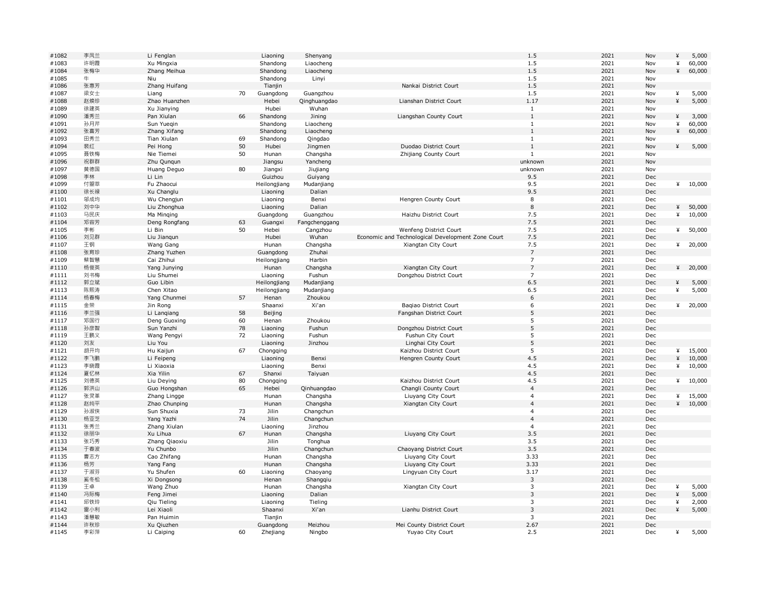| #1082          | 李凤兰 | Li Fenglan    |    | Liaoning         | Shenyang             |                                                   | 1.5            | 2021 | Nov        | ¥ | 5,000   |
|----------------|-----|---------------|----|------------------|----------------------|---------------------------------------------------|----------------|------|------------|---|---------|
| #1083          | 许明霞 | Xu Mingxia    |    | Shandong         | Liaocheng            |                                                   | 1.5            | 2021 | Nov        | ¥ | 60,000  |
| #1084          | 张梅华 | Zhang Meihua  |    | Shandong         | Liaocheng            |                                                   | 1.5            | 2021 | Nov        | ¥ | 60,000  |
| #1085          | 牛   | Niu           |    | Shandong         | Linyi                |                                                   | 1.5            | 2021 | Nov        |   |         |
| #1086          | 张惠芳 | Zhang Huifang |    | Tianjin          |                      | Nankai District Court                             | 1.5            | 2021 | Nov        |   |         |
| #1087          | 梁女士 | Liang         | 70 | Guangdong        | Guangzhou            |                                                   | 1.5            | 2021 | Nov        | ¥ | 5,000   |
| #1088          | 赵焕珍 | Zhao Huanzhen |    | Hebei            | Qinghuangdao         | Lianshan District Court                           | 1.17           | 2021 | Nov        | ¥ | 5,000   |
| #1089          | 徐建英 | Xu Jianying   |    | Hubei            | Wuhan                |                                                   | $\mathbf{1}$   | 2021 | Nov        |   |         |
| #1090          | 潘秀兰 | Pan Xiulan    | 66 | Shandong         | Jining               | Liangshan County Court                            | $\,1\,$        | 2021 | Nov        | ¥ | 3,000   |
| #1091          | 孙月芹 | Sun Yuegin    |    | Shandong         | Liaocheng            |                                                   | $\mathbf{1}$   | 2021 | Nov        | ¥ | 60,000  |
| #1092          | 张喜芳 | Zhang Xifang  |    | Shandong         | Liaocheng            |                                                   | $\mathbf{1}$   | 2021 | Nov        | ¥ | 60,000  |
| #1093          | 田秀兰 | Tian Xiulan   | 69 | Shandong         | Qingdao              |                                                   | $\mathbf{1}$   | 2021 | Nov        |   |         |
| #1094          | 裴红  | Pei Hong      | 50 | Hubei            | Jingmen              | Duodao District Court                             | $\mathbf{1}$   | 2021 | Nov        | ¥ | 5,000   |
|                | 聂铁梅 |               | 50 |                  |                      |                                                   | 1              | 2021 |            |   |         |
| #1095<br>#1096 | 祝群群 | Nie Tiemei    |    | Hunan<br>Jiangsu | Changsha<br>Yancheng | Zhijiang County Court                             | unknown        | 2021 | Nov<br>Nov |   |         |
|                |     | Zhu Qunqun    |    |                  |                      |                                                   |                | 2021 |            |   |         |
| #1097          | 黄德国 | Huang Deguo   | 80 | Jiangxi          | Jiujiang             |                                                   | unknown        |      | Nov        |   |         |
| #1098          | 李林  | Li Lin        |    | Guizhou          | Guiyang              |                                                   | 9.5            | 2021 | Dec        |   |         |
| #1099          | 付曌萃 | Fu Zhaocui    |    | Heilongjiang     | Mudanjiang           |                                                   | 9.5            | 2021 | Dec        |   | 410,000 |
| #1100          | 徐长禄 | Xu Changlu    |    | Liaoning         | Dalian               |                                                   | 9.5            | 2021 | Dec        |   |         |
| #1101          | 邬成均 | Wu Chengjun   |    | Liaoning         | Benxi                | Hengren County Court                              | 8              | 2021 | Dec        |   |         |
| #1102          | 刘中华 | Liu Zhonghua  |    | Liaoning         | Dalian               |                                                   | $\,$ 8 $\,$    | 2021 | Dec        | ¥ | 50,000  |
| #1103          | 马民庆 | Ma Minging    |    | Guangdong        | Guangzhou            | Haizhu District Court                             | 7.5            | 2021 | Dec        | ¥ | 10,000  |
| #1104          | 邓容芳 | Deng Rongfang | 63 | Guangxi          | Fangchenggang        |                                                   | 7.5            | 2021 | Dec        |   |         |
| #1105          | 李彬  | Li Bin        | 50 | Hebei            | Cangzhou             | Wenfeng District Court                            | 7.5            | 2021 | Dec        | ¥ | 50,000  |
| #1106          | 刘见群 | Liu Jiangun   |    | Hubei            | Wuhan                | Economic and Technological Development Zone Court | 7.5            | 2021 | Dec        |   |         |
| #1107          | 王钢  | Wang Gang     |    | Hunan            | Changsha             | Xiangtan City Court                               | 7.5            | 2021 | Dec        | ¥ | 20,000  |
| #1108          | 张育珍 | Zhang Yuzhen  |    | Guangdong        | Zhuhai               |                                                   | $\overline{7}$ | 2021 | Dec        |   |         |
| #1109          | 蔡智慧 | Cai Zhihui    |    | Heilongjiang     | Harbin               |                                                   | $\overline{7}$ | 2021 | Dec        |   |         |
| #1110          | 杨俊英 | Yang Junying  |    | Hunan            | Changsha             | Xiangtan City Court                               | $\overline{7}$ | 2021 | Dec        | ¥ | 20,000  |
| #1111          | 刘书梅 | Liu Shumei    |    | Liaoning         | Fushun               | Dongzhou District Court                           | $\overline{7}$ | 2021 | Dec        |   |         |
| #1112          | 郭立斌 | Guo Libin     |    | Heilongjiang     | Mudanjiang           |                                                   | 6.5            | 2021 | Dec        | ¥ | 5,000   |
| #1113          | 陈熙涛 | Chen Xitao    |    | Heilongjiang     | Mudanjiang           |                                                   | 6.5            | 2021 | Dec        | ¥ | 5,000   |
| #1114          | 杨春梅 | Yang Chunmei  | 57 | Henan            | Zhoukou              |                                                   | 6              | 2021 | Dec        |   |         |
| #1115          | 金荣  | Jin Rong      |    | Shaanxi          | Xi'an                | Bagiao District Court                             | 6              | 2021 | Dec        | ¥ | 20,000  |
| #1116          | 李兰强 | Li Lanqiang   | 58 | Beijing          |                      | Fangshan District Court                           | 5              | 2021 | Dec        |   |         |
| #1117          | 邓国行 | Deng Guoxing  | 60 | Henan            | Zhoukou              |                                                   | 5              | 2021 | Dec        |   |         |
| #1118          | 孙彦智 | Sun Yanzhi    | 78 | Liaoning         | Fushun               | Dongzhou District Court                           | 5              | 2021 | Dec        |   |         |
| #1119          | 王鹏义 | Wang Pengyi   | 72 | Liaoning         | Fushun               | Fushun City Court                                 | 5              | 2021 | Dec        |   |         |
| #1120          | 刘友  | Liu You       |    | Liaoning         | Jinzhou              | Linghai City Court                                | $\sqrt{5}$     | 2021 | Dec        |   |         |
| #1121          | 胡开均 | Hu Kaijun     | 67 | Chongqing        |                      | Kaizhou District Court                            | 5              | 2021 | Dec        | ¥ | 15,000  |
| #1122          | 李飞鹏 | Li Feipeng    |    | Liaoning         | Benxi                | Hengren County Court                              | 4.5            | 2021 | Dec        | ¥ | 10,000  |
| #1123          | 李晓霞 | Li Xiaoxia    |    | Liaoning         | Benxi                |                                                   | 4.5            | 2021 | Dec        | ¥ | 10,000  |
|                | 夏忆林 | Xia Yilin     |    |                  | Taiyuan              |                                                   | 4.5            | 2021 | Dec        |   |         |
| #1124<br>#1125 | 刘德英 |               | 67 | Shanxi           |                      | Kaizhou District Court                            | 4.5            | 2021 |            | ¥ | 10,000  |
|                |     | Liu Deying    | 80 | Chongqing        |                      |                                                   |                |      | Dec        |   |         |
| #1126          | 郭洪山 | Guo Hongshan  | 65 | Hebei            | Qinhuangdao          | Changli County Court                              | $\overline{4}$ | 2021 | Dec        |   |         |
| #1127          | 张灵革 | Zhang Lingge  |    | Hunan            | Changsha             | Liuyang City Court                                | $\overline{4}$ | 2021 | Dec        | ¥ | 15,000  |
| #1128          | 赵纯平 | Zhao Chunping |    | Hunan            | Changsha             | Xiangtan City Court                               | $\overline{4}$ | 2021 | Dec        | ¥ | 10,000  |
| #1129          | 孙淑侠 | Sun Shuxia    | 73 | Jilin            | Changchun            |                                                   | $\overline{4}$ | 2021 | Dec        |   |         |
| #1130          | 杨亚芝 | Yang Yazhi    | 74 | Jilin            | Changchun            |                                                   | $\overline{4}$ | 2021 | Dec        |   |         |
| #1131          | 张秀兰 | Zhang Xiulan  |    | Liaoning         | Jinzhou              |                                                   | $\overline{a}$ | 2021 | Dec        |   |         |
| #1132          | 徐丽华 | Xu Lihua      | 67 | Hunan            | Changsha             | Liuyang City Court                                | 3.5            | 2021 | Dec        |   |         |
| #1133          | 张巧秀 | Zhang Qiaoxiu |    | Jilin            | Tonghua              |                                                   | 3.5            | 2021 | Dec        |   |         |
| #1134          | 于春波 | Yu Chunbo     |    | <b>Jilin</b>     | Changchun            | Chaoyang District Court                           | 3.5            | 2021 | Dec        |   |         |
| #1135          | 曹志方 | Cao Zhifang   |    | Hunan            | Changsha             | Liuyang City Court                                | 3.33           | 2021 | Dec        |   |         |
| #1136          | 杨芳  | Yang Fang     |    | Hunan            | Changsha             | Liuyang City Court                                | 3.33           | 2021 | Dec        |   |         |
| #1137          | 于淑芬 | Yu Shufen     | 60 | Liaoning         | Chaoyang             | Lingyuan City Court                               | 3.17           | 2021 | Dec        |   |         |
| #1138          | 奚冬松 | Xi Dongsong   |    | Henan            | Shangqiu             |                                                   | 3              | 2021 | Dec        |   |         |
| #1139          | 王卓  | Wang Zhuo     |    | Hunan            | Changsha             | Xiangtan City Court                               | 3              | 2021 | Dec        | ¥ | 5,000   |
| #1140          | 冯际梅 | Feng Jimei    |    | Liaoning         | Dalian               |                                                   | $\overline{3}$ | 2021 | Dec        | ¥ | 5,000   |
| #1141          | 邱铁玲 | Qiu Tieling   |    | Liaoning         | Tieling              |                                                   | $\overline{3}$ | 2021 | Dec        | ¥ | 2,000   |
| #1142          | 雷小利 | Lei Xiaoli    |    | Shaanxi          | Xi'an                | Lianhu District Court                             | 3              | 2021 | Dec        | ¥ | 5,000   |
| #1143          | 潘慧敏 | Pan Huimin    |    | Tianjin          |                      |                                                   | 3              | 2021 | Dec        |   |         |
| #1144          | 许秋珍 | Xu Qiuzhen    |    | Guangdong        | Meizhou              | Mei County District Court                         | 2.67           | 2021 | Dec        |   |         |
| #1145          | 李彩萍 | Li Caiping    | 60 | Zhejiang         | Ningbo               | Yuyao City Court                                  | 2.5            | 2021 | Dec        | ¥ | 5,000   |
|                |     |               |    |                  |                      |                                                   |                |      |            |   |         |